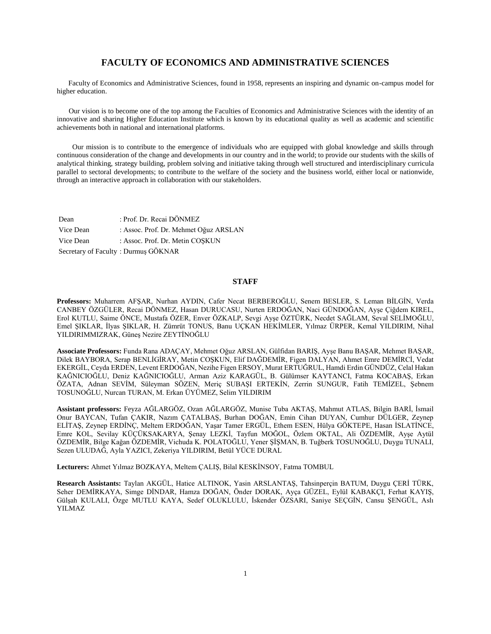## **FACULTY OF ECONOMICS AND ADMINISTRATIVE SCIENCES**

 Faculty of Economics and Administrative Sciences, found in 1958, represents an inspiring and dynamic on-campus model for higher education.

 Our vision is to become one of the top among the Faculties of Economics and Administrative Sciences with the identity of an innovative and sharing Higher Education Institute which is known by its educational quality as well as academic and scientific achievements both in national and international platforms.

 Our mission is to contribute to the emergence of individuals who are equipped with global knowledge and skills through continuous consideration of the change and developments in our country and in the world; to provide our students with the skills of analytical thinking, strategy building, problem solving and initiative taking through well structured and interdisciplinary curricula parallel to sectoral developments; to contribute to the welfare of the society and the business world, either local or nationwide, through an interactive approach in collaboration with our stakeholders.

Dean : Prof. Dr. Recai DÖNMEZ Vice Dean : Assoc. Prof. Dr. Mehmet Oğuz ARSLAN Vice Dean : Assoc. Prof. Dr. Metin COSKUN Secretary of Faculty : Durmuş GÖKNAR

## **STAFF**

**Professors:** Muharrem AFŞAR, Nurhan AYDIN, Cafer Necat BERBEROĞLU, Senem BESLER, S. Leman BİLGİN, Verda CANBEY ÖZGÜLER, Recai DÖNMEZ, Hasan DURUCASU, Nurten ERDOĞAN, Naci GÜNDOĞAN, Ayşe Çiğdem KIREL, Erol KUTLU, Saime ÖNCE, Mustafa ÖZER, Enver ÖZKALP, Sevgi Ayşe ÖZTÜRK, Necdet SAĞLAM, Seval SELİMOĞLU, Emel ŞIKLAR, İlyas ŞIKLAR, H. Zümrüt TONUS, Banu UÇKAN HEKİMLER, Yılmaz ÜRPER, Kemal YILDIRIM, Nihal YILDIRIMMIZRAK, Güneş Nezire ZEYTİNOĞLU

**Associate Professors:** Funda Rana ADAÇAY, Mehmet Oğuz ARSLAN, Gülfidan BARIŞ, Ayşe Banu BAŞAR, Mehmet BAŞAR, Dilek BAYBORA, Serap BENLİGİRAY, Metin COŞKUN, Elif DAĞDEMİR, Figen DALYAN, Ahmet Emre DEMİRCİ, Vedat EKERGİL, Ceyda ERDEN, Levent ERDOĞAN, Nezihe Figen ERSOY, Murat ERTUĞRUL, Hamdi Erdin GÜNDÜZ, Celal Hakan KAĞNICIOĞLU, Deniz KAĞNICIOĞLU, Arman Aziz KARAGÜL, B. Gülümser KAYTANCI, Fatma KOCABAŞ, Erkan ÖZATA, Adnan SEVİM, Süleyman SÖZEN, Meriç SUBAŞI ERTEKİN, Zerrin SUNGUR, Fatih TEMİZEL, Şebnem TOSUNOĞLU, Nurcan TURAN, M. Erkan ÜYÜMEZ, Selim YILDIRIM

**Assistant professors:** Feyza AĞLARGÖZ, Ozan AĞLARGÖZ, Munise Tuba AKTAŞ, Mahmut ATLAS, Bilgin BARİ, İsmail Onur BAYCAN, Tufan ÇAKIR, Nazım ÇATALBAŞ, Burhan DOĞAN, Emin Cihan DUYAN, Cumhur DÜLGER, Zeynep ELİTAŞ, Zeynep ERDİNÇ, Meltem ERDOĞAN, Yaşar Tamer ERGÜL, Ethem ESEN, Hülya GÖKTEPE, Hasan İSLATİNCE, Emre KOL, Sevilay KÜÇÜKSAKARYA, Şenay LEZKİ, Tayfun MOĞOL, Özlem OKTAL, Ali ÖZDEMİR, Ayşe Aytül ÖZDEMİR, Bilge Kağan ÖZDEMİR, Vichuda K. POLATOĞLU, Yener ŞİŞMAN, B. Tuğberk TOSUNOĞLU, Duygu TUNALI, Sezen ULUDAĞ, Ayla YAZICI, Zekeriya YILDIRIM, Betül YÜCE DURAL

**Lecturers:** Ahmet Yılmaz BOZKAYA, Meltem ÇALIŞ, Bilal KESKİNSOY, Fatma TOMBUL

**Research Assistants:** Taylan AKGÜL, Hatice ALTINOK, Yasin ARSLANTAŞ, Tahsinperçin BATUM, Duygu ÇERİ TÜRK, Seher DEMİRKAYA, Simge DİNDAR, Hamza DOĞAN, Önder DORAK, Ayça GÜZEL, Eylül KABAKÇI, Ferhat KAYIŞ, Gülşah KULALI, Özge MUTLU KAYA, Sedef OLUKLULU, İskender ÖZSARI, Saniye SEÇGİN, Cansu ŞENGÜL, Aslı YILMAZ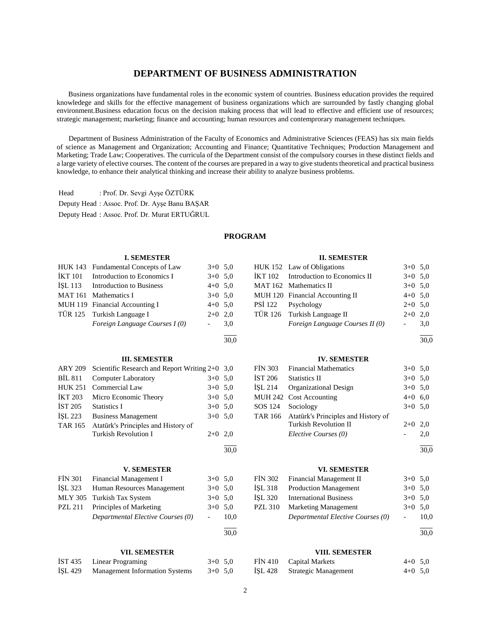## **DEPARTMENT OF BUSINESS ADMINISTRATION**

 Business organizations have fundamental roles in the economic system of countries. Business education provides the required knowledege and skills for the effective management of business organizations which are surrounded by fastly changing global environment.Business education focus on the decision making process that will lead to effective and efficient use of resources; strategic management; marketing; finance and accounting; human resources and contemprorary management techniques.

 Department of Business Administration of the Faculty of Economics and Administrative Sciences (FEAS) has six main fields of science as Management and Organization; Accounting and Finance; Quantitative Techniques; Production Management and Marketing; Trade Law; Cooperatives. The curricula of the Department consist of the compulsory courses in these distinct fields and a large variety of elective courses. The content of the courses are prepared in a way to give students theoretical and practical business knowledge, to enhance their analytical thinking and increase their ability to analyze business problems.

Head : Prof. Dr. Sevgi Ayşe ÖZTÜRK Deputy Head : Assoc. Prof. Dr. Ayşe Banu BAŞAR Deputy Head : Assoc. Prof. Dr. Murat ERTUĞRUL

## **PROGRAM**

|                | <b>I. SEMESTER</b>                             |                          |      |                | <b>II. SEMESTER</b>                 |                          |      |
|----------------|------------------------------------------------|--------------------------|------|----------------|-------------------------------------|--------------------------|------|
|                | HUK 143 Fundamental Concepts of Law            | $3+0$ 5,0                |      |                | HUK 152 Law of Obligations          | $3+0$ 5.0                |      |
| <b>İKT</b> 101 | Introduction to Economics I                    | $3+0$ 5,0                |      | <b>IKT 102</b> | Introduction to Economics II        | $3+0$                    | 5,0  |
| İŞL 113        | <b>Introduction to Business</b>                | $4+0$ 5,0                |      | <b>MAT 162</b> | Mathematics II                      | $3+0$ 5.0                |      |
| <b>MAT 161</b> | Mathematics I                                  | $3+0$ 5.0                |      |                | MUH 120 Financial Accounting II     | $4+0$ 5.0                |      |
|                | MUH 119 Financial Accounting I                 | $4+0$ 5,0                |      | <b>PSI</b> 122 | Psychology                          | $2 + 0$                  | 5,0  |
| <b>TÜR 125</b> | Turkish Language I                             | $2+0$ 2,0                |      | <b>TÜR 126</b> | Turkish Language II                 | $2+0$ 2,0                |      |
|                | Foreign Language Courses I (0)                 | $\overline{\phantom{a}}$ | 3,0  |                | Foreign Language Courses II (0)     | $\overline{\phantom{a}}$ | 3,0  |
|                |                                                |                          | 30,0 |                |                                     |                          | 30,0 |
|                | <b>III. SEMESTER</b>                           |                          |      |                | <b>IV. SEMESTER</b>                 |                          |      |
| <b>ARY 209</b> | Scientific Research and Report Writing 2+0 3,0 |                          |      | <b>FIN 303</b> | <b>Financial Mathematics</b>        | $3+0$ 5.0                |      |
| <b>BİL 811</b> | <b>Computer Laboratory</b>                     | $3+0$ 5,0                |      | İST 206        | <b>Statistics II</b>                | $3+0$ 5,0                |      |
| <b>HUK 251</b> | Commercial Law                                 | $3+0$ 5,0                |      | ISL 214        | <b>Organizational Design</b>        | $3+0$ 5.0                |      |
| <b>İKT 203</b> | Micro Economic Theory                          | $3+0$ 5,0                |      |                | MUH 242 Cost Accounting             | $4+0$ 6,0                |      |
| <b>İST 205</b> | <b>Statistics I</b>                            | $3+0$ 5,0                |      | SOS 124        | Sociology                           | $3+0$ 5.0                |      |
| İŞL 223        | <b>Business Management</b>                     | $3+0$ 5,0                |      | <b>TAR 166</b> | Atatürk's Principles and History of |                          |      |
| <b>TAR 165</b> | Atatürk's Principles and History of            |                          |      |                | <b>Turkish Revolution II</b>        | $2+0$ 2,0                |      |
|                | <b>Turkish Revolution I</b>                    | $2+0$ 2,0                |      |                | Elective Courses (0)                | $\overline{a}$           | 2,0  |
|                |                                                |                          | 30,0 |                |                                     |                          | 30,0 |
|                | <b>V. SEMESTER</b>                             |                          |      |                | <b>VI. SEMESTER</b>                 |                          |      |
| <b>FİN 301</b> | Financial Management I                         | $3+0$ 5,0                |      | <b>FİN 302</b> | Financial Management II             | $3+0$ 5.0                |      |
| İŞL 323        | Human Resources Management                     | $3+0$ 5,0                |      | İŞL 318        | <b>Production Management</b>        | $3+0$ 5,0                |      |
| <b>MLY 305</b> | Turkish Tax System                             | $3+0$ 5,0                |      | İŞL 320        | <b>International Business</b>       | $3+0$ 5.0                |      |
| <b>PZL 211</b> | Principles of Marketing                        | $3+0$ 5,0                |      | <b>PZL 310</b> | <b>Marketing Management</b>         | $3+0$ 5,0                |      |
|                | Departmental Elective Courses (0)              | $\frac{1}{2}$            | 10,0 |                | Departmental Elective Courses (0)   | $\blacksquare$           | 10,0 |
|                |                                                |                          | 30,0 |                |                                     |                          | 30,0 |
|                | <b>VII. SEMESTER</b>                           |                          |      |                | <b>VIII. SEMESTER</b>               |                          |      |
| <b>IST 435</b> | <b>Linear Programing</b>                       | $3+0$ 5,0                |      | <b>FIN 410</b> | <b>Capital Markets</b>              | $4+0$ 5.0                |      |
| <b>İSL 429</b> | <b>Management Information Systems</b>          | $3+0$ 5,0                |      | <b>İSL 428</b> | <b>Strategic Management</b>         | $4+0$ 5.0                |      |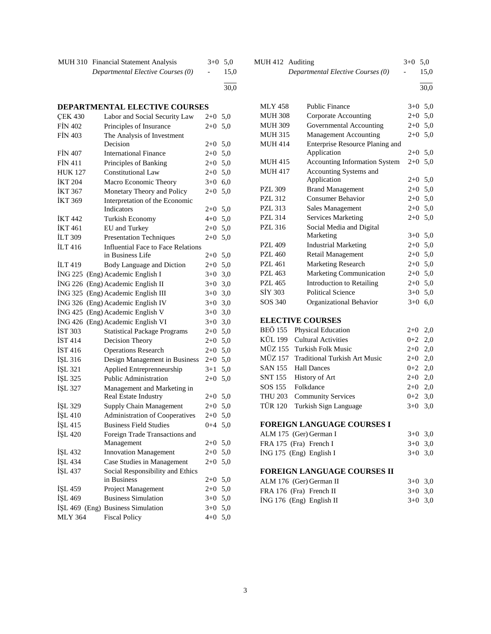| MUH 310 Financial Statement Analysis | $3+0$ 5.0 |      |
|--------------------------------------|-----------|------|
| Departmental Elective Courses (0)    | $-$       | 15,0 |

#### l 30,0

## **DEPARTMENTAL ELECTIVE COURSES**

| <b>CEK 430</b> | Labor and Social Security Law             | $2+0$   | 5,0 |
|----------------|-------------------------------------------|---------|-----|
| <b>FİN 402</b> | Principles of Insurance                   | $2 + 0$ | 5,0 |
| <b>FIN 403</b> | The Analysis of Investment                |         |     |
|                | Decision                                  | $2+0$   | 5,0 |
| <b>FIN 407</b> | <b>International Finance</b>              | $2 + 0$ | 5,0 |
| <b>FIN 411</b> | Principles of Banking                     | $2+0$   | 5,0 |
| <b>HUK 127</b> | <b>Constitutional Law</b>                 | $2 + 0$ | 5,0 |
| <b>İKT 204</b> | Macro Economic Theory                     | $3+0$   | 6,0 |
| <b>IKT 367</b> | Monetary Theory and Policy                | $2+0$   | 5,0 |
| <b>İKT 369</b> | Interpretation of the Economic            |         |     |
|                | Indicators                                | $2+0$   | 5,0 |
| <b>IKT 442</b> | Turkish Economy                           | $4 + 0$ | 5,0 |
| <b>IKT 461</b> | <b>EU</b> and Turkey                      | $2 + 0$ | 5,0 |
| İLT 309        | <b>Presentation Techniques</b>            | $2+0$   | 5,0 |
| <b>ILT416</b>  | <b>Influential Face to Face Relations</b> |         |     |
|                | in Business Life                          | $2+0$   | 5,0 |
| ILT 419        | Body Language and Diction                 | $2 + 0$ | 5,0 |
| ING 225        | (Eng) Academic English I                  | $3+0$   | 3,0 |
| ING 226        | (Eng) Academic English II                 | $3+0$   | 3,0 |
| İNG 325        | (Eng) Academic English III                | $3+0$   | 3,0 |
| <b>ING 326</b> | (Eng) Academic English IV                 | $3+0$   | 3,0 |
| ING 425        | (Eng) Academic English V                  | $3+0$   | 3,0 |
| ING 426        | (Eng) Academic English VI                 | $3+0$   | 3,0 |
| IST 303        | <b>Statistical Package Programs</b>       | $2 + 0$ | 5,0 |
| <b>IST 414</b> | Decision Theory                           | $2 + 0$ | 5,0 |
| İST 416        | <b>Operations Research</b>                | $2+0$   | 5,0 |
| İŞL 316        | Design Management in Business             | $2+0$   | 5,0 |
| ISL 321        | Applied Entreprenneurship                 | $3 + 1$ | 5,0 |
| İŞL 325        | <b>Public Administration</b>              | $2+0$   | 5,0 |
| ISL 327        | Management and Marketing in               |         |     |
|                | Real Estate Industry                      | $2+0$   | 5,0 |
| İŞL 329        | <b>Supply Chain Management</b>            | $2+0$   | 5,0 |
| İŞL 410        | <b>Administration of Cooperatives</b>     | $2+0$   | 5,0 |
| İŞL 415        | <b>Business Field Studies</b>             | $0 + 4$ | 5,0 |
| İŞL 420        | Foreign Trade Transactions and            |         |     |
|                | Management                                | $2 + 0$ | 5,0 |
| İŞL 432        | <b>Innovation Management</b>              | $2 + 0$ | 5,0 |
| İŞL 434        | Case Studies in Management                | $2 + 0$ | 5,0 |
| İŞL 437        | Social Responsibility and Ethics          |         |     |
|                | in Business                               | $2 + 0$ | 5,0 |
| ISL 459        | Project Management                        | $2 + 0$ | 5,0 |
| İŞL 469        | <b>Business Simulation</b>                | $3+0$   | 5,0 |
|                | ISL 469 (Eng) Business Simulation         | $3+0$   | 5,0 |
| <b>MLY 364</b> | <b>Fiscal Policy</b>                      | $4 + 0$ | 5,0 |
|                |                                           |         |     |

| MUH 412 Auditing |                                   | $3+0$ 5.0     |      |
|------------------|-----------------------------------|---------------|------|
|                  | Departmental Elective Courses (0) | $\sim$ $\sim$ | 15.0 |

l 30,0

| <b>MLY 458</b> | Public Finance                       | $3+0$ | 5,0 |
|----------------|--------------------------------------|-------|-----|
| <b>MUH 308</b> | Corporate Accounting                 | $2+0$ | 5,0 |
| <b>MUH 309</b> | Governmental Accounting              | $2+0$ | 5,0 |
| <b>MUH 315</b> | <b>Management Accounting</b>         | $2+0$ | 5,0 |
| <b>MUH 414</b> | Enterprise Resource Planing and      |       |     |
|                | Application                          | $2+0$ | 5,0 |
| <b>MUH 415</b> | <b>Accounting Information System</b> | $2+0$ | 5,0 |
| <b>MUH 417</b> | Accounting Systems and               |       |     |
|                | Application                          | $2+0$ | 5,0 |
| <b>PZL 309</b> | <b>Brand Management</b>              | $2+0$ | 5,0 |
| <b>PZL 312</b> | Consumer Behavior                    | $2+0$ | 5,0 |
| <b>PZL 313</b> | Sales Management                     | $2+0$ | 5,0 |
| <b>PZL 314</b> | <b>Services Marketing</b>            | $2+0$ | 5,0 |
| <b>PZL 316</b> | Social Media and Digital             |       |     |
|                | Marketing                            | $3+0$ | 5,0 |
| <b>PZL 409</b> | <b>Industrial Marketing</b>          | $2+0$ | 5,0 |
| <b>PZL 460</b> | Retail Management                    | $2+0$ | 5,0 |
| <b>PZL 461</b> | <b>Marketing Research</b>            | $2+0$ | 5,0 |
| <b>PZL 463</b> | <b>Marketing Communication</b>       | $2+0$ | 5,0 |
| <b>PZL 465</b> | Introduction to Retailing            | $2+0$ | 5,0 |
| SIY 303        | <b>Political Science</b>             | $3+0$ | 5,0 |
| SOS 340        | Organizational Behavior              | $3+0$ | 6,0 |

## **ELECTIVE COURSES**

| BEÖ 155 Physical Education            | $2+0$ 2,0 |  |
|---------------------------------------|-----------|--|
| KÜL 199 Cultural Activities           | $0+2$ 2,0 |  |
| MÜZ 155 Turkish Folk Music            | $2+0$ 2,0 |  |
| MÜZ 157 Traditional Turkish Art Music | $2+0$ 2,0 |  |
| SAN 155 Hall Dances                   | $0+2$ 2,0 |  |
| SNT 155 History of Art                | $2+0$ 2.0 |  |
| SOS 155 Folkdance                     | $2+0$ 2,0 |  |
| THU 203 Community Services            | $0+2$ 3.0 |  |
| TÜR 120 Turkish Sign Language         | $3+0$ 3.0 |  |
|                                       |           |  |

## **FOREIGN LANGUAGE COURSES I**

| ALM 175 (Ger) German I    | $3+0$ 3.0 |  |
|---------------------------|-----------|--|
| FRA 175 (Fra) French I    | $3+0$ 3.0 |  |
| $ING 175$ (Eng) English I | $3+0.30$  |  |

## **FOREIGN LANGUAGE COURSES II**

| ALM 176 (Ger) German II    | $3+0$ 3.0 |  |
|----------------------------|-----------|--|
| FRA 176 (Fra) French II    | $3+0$ 3.0 |  |
| $ING 176$ (Eng) English II | $3+0$ 3.0 |  |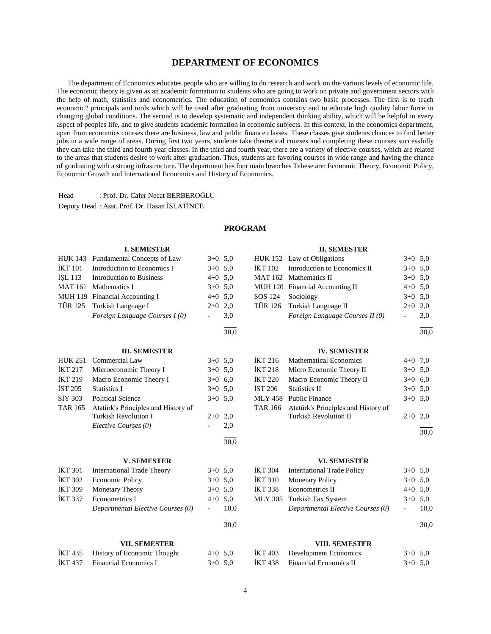## **DEPARTMENT OF ECONOMICS**

 The department of Economics educates people who are willing to do research and work on the various levels of economic life. The economic theory is given as an academic formation to students who are going to work on private and government sectors with the help of math, statistics and econometrics. The education of economics contains two basic processes. The first is to teach economic? principals and tools which will be used after graduating from university and to educate high quality labor force in changing global conditions. The second is to develop systematic and independent thinking ability, which will be helpful in every aspect of peoples life, and to give students academic formation in economic subjects. In this context, in the economics department, apart from economics courses there are business, law and public finance classes. These classes give students chances to find better jobs in a wide range of areas. During first two years, students take theoretical courses and completing these courses successfully they can take the third and fourth year classes. In the third and fourth year, there are a variety of elective courses, which are related to the areas that students desire to work after graduation. Thus, students are favoring courses in wide range and having the chance of graduating with a strong infrastructure. The department has four main branches Tehese are: Economic Theory, Economic Policy, Economic Growth and International Economics and History of Economics.

Head : Prof. Dr. Cafer Necat BERBEROĞLU

Deputy Head : Asst. Prof. Dr. Hasan İSLATİNCE

## **PROGRAM**

|                | <b>I. SEMESTER</b>                  |                |      |                | <b>II. SEMESTER</b>                 |                          |      |
|----------------|-------------------------------------|----------------|------|----------------|-------------------------------------|--------------------------|------|
|                | HUK 143 Fundamental Concepts of Law | $3+0$ 5,0      |      |                | HUK 152 Law of Obligations          | $3+0$ 5,0                |      |
| <b>İKT</b> 101 | Introduction to Economics I         | $3+0$ 5,0      |      | <b>İKT</b> 102 | Introduction to Economics II        | $3+0$ 5,0                |      |
| İŞL 113        | <b>Introduction to Business</b>     | $4+0$ 5,0      |      |                | MAT 162 Mathematics II              | $3+0$ 5,0                |      |
|                | MAT 161 Mathematics I               | $3+0$ 5,0      |      |                | MUH 120 Financial Accounting II     | $4+0$ 5,0                |      |
|                | MUH 119 Financial Accounting I      | $4+0$ 5,0      |      | SOS 124        | Sociology                           | $3+0$ 5,0                |      |
| <b>TÜR 125</b> | Turkish Language I                  | $2+0$ 2,0      |      | <b>TÜR 126</b> | Turkish Language II                 | $2+0$ 2,0                |      |
|                | Foreign Language Courses I (0)      |                | 3,0  |                | Foreign Language Courses II (0)     | $\blacksquare$           | 3,0  |
|                |                                     |                | 30,0 |                |                                     |                          | 30,0 |
|                | <b>III. SEMESTER</b>                |                |      |                | <b>IV. SEMESTER</b>                 |                          |      |
| <b>HUK 251</b> | Commercial Law                      | $3+0$ 5.0      |      | <b>IKT 216</b> | <b>Mathematical Economics</b>       | $4+0$ 7,0                |      |
| <b>IKT 217</b> | Microeconomic Theory I              | $3+0$ 5,0      |      | <b>İKT 218</b> | Micro Economic Theory II            | $3+0$ 5,0                |      |
| <b>İKT 219</b> | Macro Economic Theory I             | $3+0$ 6,0      |      | <b>İKT 220</b> | Macro Economic Theory II            | $3+0$ 6,0                |      |
| <b>İST 205</b> | <b>Statistics I</b>                 | $3+0$ 5,0      |      | <b>İST 206</b> | <b>Statistics II</b>                | $3+0$ 5.0                |      |
| <b>SİY 303</b> | <b>Political Science</b>            | $3+0$ 5,0      |      | <b>MLY 458</b> | <b>Public Finance</b>               | $3+0$ 5,0                |      |
| <b>TAR 165</b> | Atatürk's Principles and History of |                |      | <b>TAR 166</b> | Atatürk's Principles and History of |                          |      |
|                | <b>Turkish Revolution I</b>         | $2+0$ 2,0      |      |                | <b>Turkish Revolution II</b>        | $2 + 0$                  | 2,0  |
|                | Elective Courses (0)                |                | 2,0  |                |                                     |                          | 30.0 |
|                |                                     |                | 30,0 |                |                                     |                          |      |
|                | <b>V. SEMESTER</b>                  |                |      |                | <b>VI. SEMESTER</b>                 |                          |      |
| <b>İKT 301</b> | <b>International Trade Theory</b>   | $3+0$ 5,0      |      | <b>İKT 304</b> | <b>International Trade Policy</b>   | $3+0$ 5,0                |      |
| <b>İKT 302</b> | <b>Economic Policy</b>              | $3+0$ 5,0      |      | <b>IKT 310</b> | <b>Monetary Policy</b>              | $3+0$ 5,0                |      |
| <b>İKT 309</b> | Monetary Theory                     | $3+0$ 5,0      |      | <b>İKT 338</b> | Econometrics II                     | $4+0$ 5,0                |      |
| <b>İKT 337</b> | <b>Econometrics I</b>               | $4+0$ 5,0      |      | <b>MLY 305</b> | Turkish Tax System                  | $3+0$ 5,0                |      |
|                | Departmental Elective Courses (0)   | $\blacksquare$ | 10,0 |                | Departmental Elective Courses (0)   | $\overline{\phantom{a}}$ | 10,0 |
|                |                                     |                | 30,0 |                |                                     |                          | 30,0 |
|                | <b>VII. SEMESTER</b>                |                |      |                | <b>VIII. SEMESTER</b>               |                          |      |
| <b>IKT 435</b> | History of Economic Thought         | $4+0$ 5,0      |      | <b>IKT 403</b> | Development Economics               | $3+0$ 5,0                |      |
| <b>İKT 437</b> | <b>Financial Economics I</b>        | $3+0$ 5.0      |      | <b>İKT 438</b> | <b>Financial Economics II</b>       | $3+0$ 5,0                |      |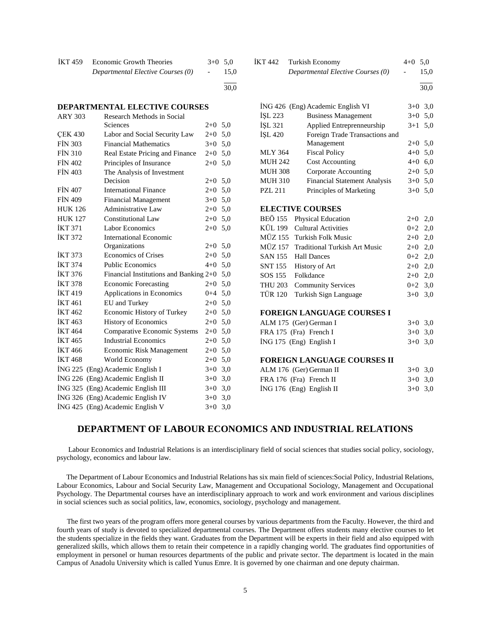| <b>IKT</b> 459 | <b>Economic Growth Theories</b>   | $3+0$ 5.0 |      |
|----------------|-----------------------------------|-----------|------|
|                | Departmental Elective Courses (0) |           | 15,0 |

#### l  $\frac{1}{30.0}$

## **DEPARTMENTAL ELECTIVE COURSES**

| <b>ARY 303</b> | Research Methods in Social               |           |     |
|----------------|------------------------------------------|-----------|-----|
|                | Sciences                                 | $2 + 0$   | 5,0 |
| <b>CEK 430</b> | Labor and Social Security Law            | $2+0$     | 5,0 |
| <b>FIN 303</b> | <b>Financial Mathematics</b>             | $3+0$     | 5,0 |
| <b>FİN 310</b> | Real Estate Pricing and Finance          | $2 + 0$   | 5,0 |
| <b>FIN 402</b> | Principles of Insurance                  | $2+0$     | 5,0 |
| <b>FIN 403</b> | The Analysis of Investment               |           |     |
|                | Decision                                 | $2+0$ 5,0 |     |
| <b>FIN 407</b> | <b>International Finance</b>             | $2+0$     | 5,0 |
| <b>FIN 409</b> | <b>Financial Management</b>              | $3+0$     | 5,0 |
| <b>HUK 126</b> | Administrative Law                       | $2+0$     | 5,0 |
| <b>HUK 127</b> | Constitutional Law                       | $2 + 0$   | 5,0 |
| <b>İKT 371</b> | Labor Economics                          | $2+0$     | 5,0 |
| <b>IKT 372</b> | International Economic                   |           |     |
|                | Organizations                            | $2 + 0$   | 5,0 |
| <b>IKT 373</b> | <b>Economics of Crises</b>               | $2 + 0$   | 5,0 |
| <b>IKT 374</b> | <b>Public Economics</b>                  | $4 + 0$   | 5,0 |
| <b>İKT 376</b> | Financial Institutions and Banking $2+0$ |           | 5,0 |
| <b>IKT 378</b> | <b>Economic Forecasting</b>              | $2+0$     | 5,0 |
| <b>IKT 419</b> | Applications in Economics                | $0 + 4$   | 5,0 |
| <b>IKT 461</b> | EU and Turkey                            | $2+0$     | 5,0 |
| <b>İKT</b> 462 | Economic History of Turkey               | $2+0$     | 5,0 |
| <b>İKT</b> 463 | <b>History of Economics</b>              | $2+0$     | 5,0 |
| <b>IKT 464</b> | Comparative Economic Systems             | $2+0$     | 5,0 |
| <b>IKT 465</b> | <b>Industrial Economics</b>              | $2+0$     | 5,0 |
| <b>İKT466</b>  | Economic Risk Management                 | $2+0$     | 5,0 |
| <b>IKT 468</b> | World Economy                            | $2+0$     | 5,0 |
| ING 225        | (Eng) Academic English I                 | $3+0$     | 3,0 |
| ING 226        | (Eng) Academic English II                | $3+0$ 3,0 |     |
| ING 325        | (Eng) Academic English III               | $3+0$     | 3,0 |
|                | İNG 326 (Eng) Academic English IV        | $3+0$     | 3,0 |
| ING 425        | (Eng) Academic English V                 | $3+0$     | 3,0 |

| IKT 442 | Turkish Economy                   | $4+0$ 5.0     |      |
|---------|-----------------------------------|---------------|------|
|         | Departmental Elective Courses (0) | $\sim$ $\sim$ | 15,0 |

l  $\frac{1}{30.0}$ 

|                | İNG 426 (Eng) Academic English VI    | $3+0$     | 3,0          |
|----------------|--------------------------------------|-----------|--------------|
| ISL 223        | <b>Business Management</b>           | $3+0$     | 5,0          |
| İŞL 321        | Applied Entreprenneurship            |           | 5,0<br>$3+1$ |
| İŞL 420        | Foreign Trade Transactions and       |           |              |
|                | Management                           | $2+0$     | 5,0          |
| <b>MLY 364</b> | <b>Fiscal Policy</b>                 | $4 + 0$   | 5,0          |
| <b>MUH 242</b> | <b>Cost Accounting</b>               | $4+0$ 6,0 |              |
| <b>MUH 308</b> | Corporate Accounting                 | $2+0$ 5,0 |              |
| <b>MUH 310</b> | <b>Financial Statement Analysis</b>  | $3+0$     | 5,0          |
| <b>PZL 211</b> | Principles of Marketing              | $3+0$     | 5,0          |
|                |                                      |           |              |
|                | <b>ELECTIVE COURSES</b>              |           |              |
| BEÖ 155        | Physical Education                   | $2+0$     | 2,0          |
| KÜL 199        | <b>Cultural Activities</b>           | $0 + 2$   | 2,0          |
|                | MÜZ 155 Turkish Folk Music           | $2+0$     | 2,0          |
| MÜZ 157        | <b>Traditional Turkish Art Music</b> | $2+0$     | 2,0          |
| SAN 155        | <b>Hall Dances</b>                   | $0 + 2$   | 2,0          |
| <b>SNT 155</b> | <b>History of Art</b>                | $2+0$ 2,0 |              |
| SOS 155        | Folkdance                            | $2+0$     | 2,0          |
| THU 203        | <b>Community Services</b>            | $0 + 2$   | 3,0          |
| <b>TÜR 120</b> | Turkish Sign Language                | $3+0$     | 3,0          |
|                |                                      |           |              |
|                | <b>FOREIGN LANGUAGE COURSES I</b>    |           |              |
|                | ALM 175 (Ger) German I               | $3+0$     | 3,0          |
|                | FRA 175 (Fra) French I               | $3+0$     | 3,0          |

# İNG 175 (Eng) English I 3+0 3,0

#### **FOREIGN LANGUAGE COURSES II**  $AIM 176 (Cor) German II$   $3+0,30$

| ALM 176 (Ger) German II    | $3+0$ 3.0 |  |
|----------------------------|-----------|--|
| FRA 176 (Fra) French II    | $3+0$ 3.0 |  |
| $ING 176 (Eng)$ English II | $3+0$ 3.0 |  |

## **DEPARTMENT OF LABOUR ECONOMICS AND INDUSTRIAL RELATIONS**

 Labour Economics and Industrial Relations is an interdisciplinary field of social sciences that studies social policy, sociology, psychology, economics and labour law.

 The Department of Labour Economics and Industrial Relations has six main field of sciences:Social Policy, Industrial Relations, Labour Economics, Labour and Social Security Law, Management and Occupational Sociology, Management and Occupational Psychology. The Departmental courses have an interdisciplinary approach to work and work environment and various disciplines in social sciences such as social politics, law, economics, sociology, psychology and management.

 The first two years of the program offers more general courses by various departments from the Faculty. However, the third and fourth years of study is devoted to specialized departmental courses. The Department offers students many elective courses to let the students specialize in the fields they want. Graduates from the Department will be experts in their field and also equipped with generalized skills, which allows them to retain their competence in a rapidly changing world. The graduates find opportunities of employment in personel or human resources departments of the public and private sector. The department is located in the main Campus of Anadolu University which is called Yunus Emre. It is governed by one chairman and one deputy chairman.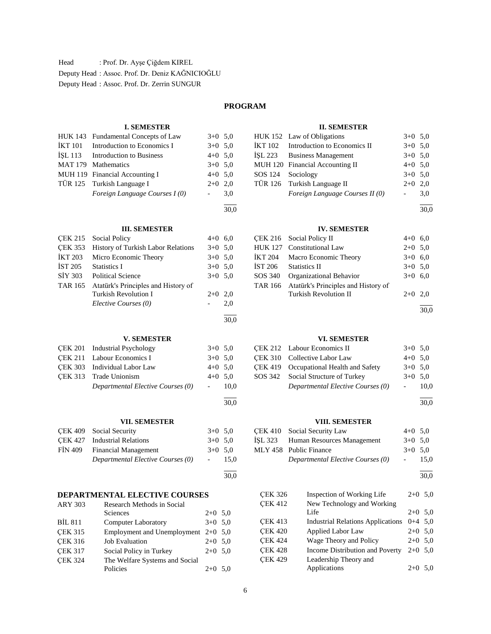Head : Prof. Dr. Ayşe Çiğdem KIREL Deputy Head : Assoc. Prof. Dr. Deniz KAĞNICIOĞLU Deputy Head : Assoc. Prof. Dr. Zerrin SUNGUR

## **PROGRAM**

30,0

l 30,0

30,0

30,0

## **I. SEMESTER**

|         | HUK 143 Fundamental Concepts of Law | $3+0$ 5.0 |     |
|---------|-------------------------------------|-----------|-----|
| İKT 101 | Introduction to Economics I         | $3+0$ 5.0 |     |
|         | ISL 113 Introduction to Business    | $4+0$ 5,0 |     |
|         | MAT 179 Mathematics                 | $3+0$ 5.0 |     |
|         | MUH 119 Financial Accounting I      | $4+0$ 5,0 |     |
|         | TÜR 125 Turkish Language I          | $2+0$ 2,0 |     |
|         | Foreign Language Courses I (0)      |           | 3,0 |
|         |                                     |           |     |

#### **III. SEMESTER**

|         | CEK 215 Social Policy                      | $4+0$ 6,0 |     |
|---------|--------------------------------------------|-----------|-----|
|         | CEK 353 History of Turkish Labor Relations | $3+0$ 5.0 |     |
| İKT 203 | Micro Economic Theory                      | $3+0$ 5.0 |     |
|         | IST 205 Statistics I                       | $3+0$ 5.0 |     |
| SİY 303 | <b>Political Science</b>                   | $3+0$ 5.0 |     |
| TAR 165 | Atatürk's Principles and History of        |           |     |
|         | Turkish Revolution I                       | $2+0$ 2.0 |     |
|         | Elective Courses (0)                       |           | 2.0 |
|         |                                            |           |     |

## **V. SEMESTER**

| CEK 201 Industrial Psychology     | $3+0$ 5.0  |        |
|-----------------------------------|------------|--------|
| CEK 211 Labour Economics I        | $3+0$ 5.0  |        |
| CEK 303 Individual Labor Law      | $4+0$ 5.0  |        |
| CEK 313 Trade Unionism            | $4+0$ 5.0  |        |
| Departmental Elective Courses (0) | $\sim 100$ | - 10.0 |
|                                   |            |        |

## **VII. SEMESTER**

|         | CEK 409 Social Security           | $3+0$ 5.0 |           |
|---------|-----------------------------------|-----------|-----------|
|         | CEK 427 Industrial Relations      | $3+0$ 5.0 |           |
| FIN 409 | <b>Financial Management</b>       |           | $3+0$ 5.0 |
|         | Departmental Elective Courses (0) |           | 15.0      |
|         |                                   |           |           |

## **DEPARTMENTAL ELECTIVE COURSES**

| <b>ARY 303</b> | Research Methods in Social            |           |     |  |  |
|----------------|---------------------------------------|-----------|-----|--|--|
|                | Sciences                              | $2+0$ 5.0 |     |  |  |
| <b>BIL 811</b> | <b>Computer Laboratory</b>            | $3+0$ 5.0 |     |  |  |
| <b>CEK 315</b> | Employment and Unemployment $2+0$ 5,0 |           |     |  |  |
| <b>CEK 316</b> | <b>Job Evaluation</b>                 | $2+0$ 5.0 |     |  |  |
| <b>CEK 317</b> | Social Policy in Turkey               | $2+0$ 5.0 |     |  |  |
| <b>CEK 324</b> | The Welfare Systems and Social        |           |     |  |  |
|                | Policies                              | $2+0$     | 5.0 |  |  |

## **II. SEMESTER**

| HUK 152 Law of Obligations           | $3+0$ 5,0           |     |
|--------------------------------------|---------------------|-----|
| IKT 102 Introduction to Economics II | $3+0$ 5.0           |     |
| İŞL 223 Business Management          | $3+0$ 5.0           |     |
| MUH 120 Financial Accounting II      | $4+0$ 5.0           |     |
| SOS 124 Sociology                    | $3+0$ 5.0           |     |
| TÜR 126 Turkish Language II          | $2+0$ 2,0           |     |
| Foreign Language Courses II (0)      | $\omega_{\rm{max}}$ | 3.0 |

l 30,0

#### **IV. SEMESTER**

|         | CEK 216 Social Policy II                    | $4+0$ 6,0 |  |
|---------|---------------------------------------------|-----------|--|
|         | HUK 127 Constitutional Law                  | $2+0$ 5.0 |  |
| İKT 204 | Macro Economic Theory                       | $3+0$ 6.0 |  |
| İST 206 | <b>Statistics II</b>                        | $3+0$ 5.0 |  |
| SOS 340 | Organizational Behavior                     | $3+0$ 6.0 |  |
|         | TAR 166 Atatürk's Principles and History of |           |  |
|         | <b>Turkish Revolution II</b>                | $2+0$ 2,0 |  |
|         |                                             |           |  |

30,0

## **VI. SEMESTER**

| CEK 212 Labour Economics II            | $3+0$ 5,0 |       |
|----------------------------------------|-----------|-------|
| CEK 310 Collective Labor Law           | $4+0$ 5.0 |       |
| CEK 419 Occupational Health and Safety | $3+0$ 5.0 |       |
| SOS 342 Social Structure of Turkey     | $3+0$ 5.0 |       |
| Departmental Elective Courses (0)      |           | -10.0 |
|                                        |           |       |

30,0

## **VIII. SEMESTER**

## ÇEK 410 Social Security Law 4+0 5,0 İŞL 323 Human Resources Management 3+0 5,0 MLY 458 Public Finance  $3+0$  5,0 *Departmental Elective Courses (0)* - 15,0

l 30,0

| <b>CEK 326</b> | Inspection of Working Life               | $2+0$ 5.0 |     |
|----------------|------------------------------------------|-----------|-----|
| <b>CEK 412</b> | New Technology and Working               |           |     |
|                | Life                                     | $2+0$ 5.0 |     |
| CEK 413        | <b>Industrial Relations Applications</b> | $0+4$ 5.0 |     |
| <b>CEK 420</b> | <b>Applied Labor Law</b>                 | $2+0$ 5,0 |     |
| <b>CEK 424</b> | Wage Theory and Policy                   | $2+0$ 5,0 |     |
| <b>CEK 428</b> | Income Distribution and Poverty          | $2+0$ 5.0 |     |
| <b>CEK 429</b> | Leadership Theory and                    |           |     |
|                | Applications                             | $2+0$     | 5,0 |
|                |                                          |           |     |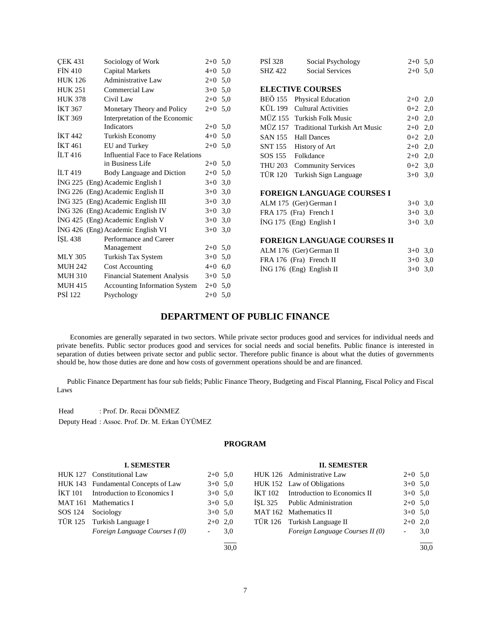| <b>CEK 431</b>     | Sociology of Work                    | $2+0$ 5,0 | <b>PSI 328</b> | Social Psychology                  | $2+0$ 5,0 |     |
|--------------------|--------------------------------------|-----------|----------------|------------------------------------|-----------|-----|
| <b>FIN 410</b>     | <b>Capital Markets</b>               | $4+0$ 5,0 | <b>SHZ 422</b> | <b>Social Services</b>             | $2+0$ 5,0 |     |
| <b>HUK 126</b>     | <b>Administrative Law</b>            | $2+0$ 5.0 |                |                                    |           |     |
| <b>HUK 251</b>     | Commercial Law                       | $3+0$ 5.0 |                | <b>ELECTIVE COURSES</b>            |           |     |
| <b>HUK 378</b>     | Civil Law                            | $2+0$ 5,0 | <b>BEÖ 155</b> | <b>Physical Education</b>          | $2+0$ 2,0 |     |
| <b>İKT 367</b>     | Monetary Theory and Policy           | $2+0$ 5,0 | KÜL 199        | <b>Cultural Activities</b>         | $0 + 2$   | 2,0 |
| <b>IKT 369</b>     | Interpretation of the Economic       |           |                | MÜZ 155 Turkish Folk Music         | $2+0$ 2,0 |     |
|                    | Indicators                           | $2+0$ 5.0 | <b>MÜZ 157</b> | Traditional Turkish Art Music      | $2+0$ 2,0 |     |
| <b>IKT</b> 442     | <b>Turkish Economy</b>               | $4+0$ 5,0 | <b>SAN 155</b> | <b>Hall Dances</b>                 | $0+2$ 2,0 |     |
| <b>İKT</b> 461     | EU and Turkey                        | $2+0$ 5.0 | <b>SNT 155</b> | History of Art                     | $2+0$ 2,0 |     |
| ILT <sub>416</sub> | Influential Face to Face Relations   |           | SOS 155        | Folkdance                          | $2+0$     | 2,0 |
|                    | in Business Life                     | $2+0$ 5.0 | <b>THU 203</b> | <b>Community Services</b>          | $0+2$ 3,0 |     |
| ILT 419            | Body Language and Diction            | $2+0$ 5,0 | <b>TÜR 120</b> | Turkish Sign Language              | $3+0$ 3,0 |     |
|                    | ING 225 (Eng) Academic English I     | $3+0$ 3,0 |                |                                    |           |     |
|                    | İNG 226 (Eng) Academic English II    | $3+0$ 3.0 |                | FOREIGN LANGUAGE COURSES I         |           |     |
|                    | ING 325 (Eng) Academic English III   | $3+0$ 3,0 |                | ALM 175 (Ger) German I             | $3+0$ 3,0 |     |
|                    | ING 326 (Eng) Academic English IV    | $3+0$ 3,0 |                | FRA 175 (Fra) French I             | $3+0$ 3,0 |     |
|                    | ING 425 (Eng) Academic English V     | $3+0$ 3,0 |                | $ING 175$ (Eng) English I          | $3+0$ 3,0 |     |
|                    | ING 426 (Eng) Academic English VI    | $3+0$ 3.0 |                |                                    |           |     |
| ISL 438            | Performance and Career               |           |                | <b>FOREIGN LANGUAGE COURSES II</b> |           |     |
|                    | Management                           | $2+0$ 5.0 |                | ALM 176 (Ger) German II            | $3+0$ 3,0 |     |
| <b>MLY 305</b>     | Turkish Tax System                   | $3+0$ 5,0 |                | FRA 176 (Fra) French II            | $3+0$ 3.0 |     |
| <b>MUH 242</b>     | Cost Accounting                      | $4+0$ 6,0 |                | İNG 176 (Eng) English II           | $3+0$ 3,0 |     |
| <b>MUH 310</b>     | <b>Financial Statement Analysis</b>  | $3+0$ 5.0 |                |                                    |           |     |
| <b>MUH 415</b>     | <b>Accounting Information System</b> | $2+0$ 5.0 |                |                                    |           |     |
| PSİ 122            | Psychology                           | $2+0$ 5.0 |                |                                    |           |     |

## **DEPARTMENT OF PUBLIC FINANCE**

 Economies are generally separated in two sectors. While private sector produces good and services for individual needs and private benefits. Public sector produces good and services for social needs and social benefits. Public finance is interested in separation of duties between private sector and public sector. Therefore public finance is about what the duties of governments should be, how those duties are done and how costs of government operations should be and are financed.

 Public Finance Department has four sub fields; Public Finance Theory, Budgeting and Fiscal Planning, Fiscal Policy and Fiscal Laws

Head : Prof. Dr. Recai DÖNMEZ

Deputy Head : Assoc. Prof. Dr. M. Erkan ÜYÜMEZ

## **PROGRAM**

| <b>I. SEMESTER</b> |                                     |                          |      | <b>II. SEMESTER</b> |                                 |                          |      |  |
|--------------------|-------------------------------------|--------------------------|------|---------------------|---------------------------------|--------------------------|------|--|
|                    | HUK 127 Constitutional Law          | $2+0$ 5.0                |      |                     | HUK 126 Administrative Law      | $2+0$ 5.0                |      |  |
|                    | HUK 143 Fundamental Concepts of Law | $3+0$ 5.0                |      |                     | HUK 152 Law of Obligations      | $3+0$ 5.0                |      |  |
| İKT 101            | Introduction to Economics I         | $3+0$ 5.0                |      | <b>IKT 102</b>      | Introduction to Economics II    | $3+0$ 5.0                |      |  |
|                    | MAT 161 Mathematics I               | $3+0$ 5.0                |      | ISL 325             | <b>Public Administration</b>    | $2+0$ 5.0                |      |  |
| SOS 124            | Sociology                           | $3+0$ 5.0                |      |                     | MAT 162 Mathematics II          | $3+0$ 5.0                |      |  |
|                    | TÜR 125 Turkish Language I          | $2+0$ 2,0                |      |                     | TÜR 126 Turkish Language II     | $2+0$ 2,0                |      |  |
|                    | Foreign Language Courses I (0)      | $\overline{\phantom{a}}$ | 3,0  |                     | Foreign Language Courses II (0) | $\overline{\phantom{0}}$ | 3,0  |  |
|                    |                                     |                          | 30.0 |                     |                                 |                          | 30.0 |  |

7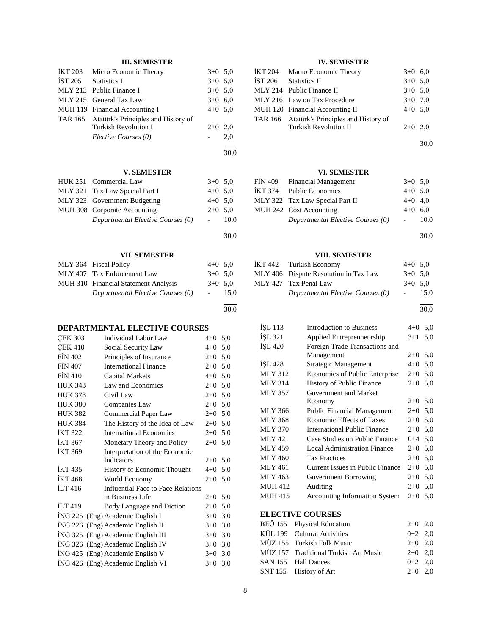## **III. SEMESTER**

| İKT 203        | Micro Economic Theory               | $3+0$ 5.0 |      |
|----------------|-------------------------------------|-----------|------|
| IST 205        | <b>Statistics I</b>                 | $3+0$ 5.0 |      |
| MLY 213        | Public Finance I                    | $3+0$ 5,0 |      |
| <b>MLY 215</b> | General Tax Law                     | $3+0$ 6,0 |      |
| <b>MUH 119</b> | Financial Accounting I              | $4+0$ 5.0 |      |
| TAR 165        | Atatürk's Principles and History of |           |      |
|                | Turkish Revolution I                | $2+0$     | 2,0  |
|                | Elective Courses (0)                |           | 2,0  |
|                |                                     |           | 30,0 |
|                | <b>V. SEMESTER</b>                  |           |      |
|                | HUK 251 Commercial Law              | $3+0$ 5.0 |      |
|                | MLY 321 Tax Law Special Part I      | $4+0$ 5.0 |      |
|                | MLY 323 Government Budgeting        | $4+0$ 5.0 |      |
|                | MUH 308 Corporate Accounting        | $2+0$ 5.0 |      |
|                |                                     |           |      |

## **VII. SEMESTER**

*Departmental Elective Courses (0)* - 10,0

| MLY 364 Fiscal Policy                | $4+0$ 5.0 |      |
|--------------------------------------|-----------|------|
| MLY 407 Tax Enforcement Law          | $3+0$ 5.0 |      |
| MUH 310 Financial Statement Analysis | $3+0$ 5.0 |      |
| Departmental Elective Courses (0)    |           | 15.0 |
|                                      |           |      |

#### 30,0

 $\overline{a}$ 30,0

## **DEPARTMENTAL ELECTIVE COURSES**

| <b>CEK 303</b>     | <b>Individual Labor Law</b>        | $4 + 0$ | 5,0 |
|--------------------|------------------------------------|---------|-----|
| <b>CEK 410</b>     | Social Security Law                | $4 + 0$ | 5,0 |
| <b>FIN 402</b>     | Principles of Insurance            | $2+0$   | 5,0 |
| <b>FIN 407</b>     | <b>International Finance</b>       | $2+0$   | 5,0 |
| <b>FIN 410</b>     | Capital Markets                    | $4 + 0$ | 5,0 |
| <b>HUK 343</b>     | Law and Economics                  | $2+0$   | 5,0 |
| <b>HUK 378</b>     | Civil Law                          | $2+0$   | 5,0 |
| <b>HUK 380</b>     | Companies Law                      | $2+0$   | 5,0 |
| <b>HUK 382</b>     | Commercial Paper Law               | $2+0$   | 5,0 |
| <b>HUK 384</b>     | The History of the Idea of Law     | $2+0$   | 5,0 |
| <b>İKT 322</b>     | <b>International Economics</b>     | $2+0$   | 5,0 |
| <b>İKT 367</b>     | Monetary Theory and Policy         | $2+0$   | 5,0 |
| <b>IKT 369</b>     | Interpretation of the Economic     |         |     |
|                    | <b>Indicators</b>                  | $2+0$   | 5,0 |
| <b>IKT435</b>      | History of Economic Thought        | $4 + 0$ | 5,0 |
| <b>IKT 468</b>     | World Economy                      | $2+0$   | 5,0 |
| ILT <sub>416</sub> | Influential Face to Face Relations |         |     |
|                    | in Business Life                   | $2+0$   | 5,0 |
| ILT <sub>419</sub> | Body Language and Diction          | $2+0$   | 5,0 |
|                    | ING 225 (Eng) Academic English I   | $3+0$   | 3,0 |
|                    | ING 226 (Eng) Academic English II  | $3+0$   | 3,0 |
|                    | İNG 325 (Eng) Academic English III | $3+0$   | 3,0 |
|                    | ING 326 (Eng) Academic English IV  | $3+0$   | 3,0 |
|                    | İNG 425 (Eng) Academic English V   | $3+0$   | 3,0 |
|                    | ING 426 (Eng) Academic English VI  | $3+0$   | 3,0 |
|                    |                                    |         |     |

## **IV. SEMESTER**

| İKT 204 | Macro Economic Theory                       | $3+0$ 6,0 |  |
|---------|---------------------------------------------|-----------|--|
|         | IST 206 Statistics II                       | $3+0$ 5.0 |  |
|         | MLY 214 Public Finance II                   | $3+0$ 5.0 |  |
|         | MLY 216 Law on Tax Procedure                | $3+0$ 7.0 |  |
|         | MUH 120 Financial Accounting II             | $4+0$ 5,0 |  |
|         | TAR 166 Atatürk's Principles and History of |           |  |
|         | <b>Turkish Revolution II</b>                | $2+0$ 2,0 |  |
|         |                                             |           |  |

## **VI. SEMESTER**

| FİN 409 Financial Management      | $3+0$ 5.0 |      |
|-----------------------------------|-----------|------|
| İKT 374 Public Economics          | $4+0$ 5.0 |      |
| MLY 322 Tax Law Special Part II   | $4+0$ 4.0 |      |
| MUH 242 Cost Accounting           | $4+0$ 6,0 |      |
| Departmental Elective Courses (0) |           | 10.0 |
|                                   |           |      |

 $\overline{a}$ 30,0

30,0

## **VIII. SEMESTER**

| İKT 442 Turkish Economy               | $4+0$ 5.0 |      |
|---------------------------------------|-----------|------|
| MLY 406 Dispute Resolution in Tax Law | $3+0$ 5.0 |      |
| MLY 427 Tax Penal Law                 | $3+0$ 5.0 |      |
| Departmental Elective Courses (0)     | $\sim$    | 15.0 |

l 30,0

| ISL 113        | <b>Introduction to Business</b>      | $4 + 0$ | 5,0 |
|----------------|--------------------------------------|---------|-----|
| İŞL 321        | Applied Entreprenneurship            | $3+1$   | 5,0 |
| ISL 420        | Foreign Trade Transactions and       |         |     |
|                | Management                           | $2+0$   | 5,0 |
| ISL 428        | Strategic Management                 | $4 + 0$ | 5,0 |
| <b>MLY 312</b> | Economics of Public Enterprise       | $2+0$   | 5,0 |
| <b>MLY 314</b> | History of Public Finance            | $2+0$   | 5,0 |
| <b>MLY 357</b> | Government and Market                |         |     |
|                | Economy                              | $2+0$   | 5,0 |
| <b>MLY 366</b> | <b>Public Financial Management</b>   | $2+0$   | 5,0 |
| <b>MLY 368</b> | Economic Effects of Taxes            | $2+0$   | 5,0 |
| <b>MLY 370</b> | International Public Finance         | $2+0$   | 5,0 |
| MLY 421        | Case Studies on Public Finance       | $0 + 4$ | 5,0 |
| <b>MLY 459</b> | <b>Local Administration Finance</b>  | $2+0$   | 5,0 |
| MLY 460        | <b>Tax Practices</b>                 | $2+0$   | 5,0 |
| MLY 461        | Current Issues in Public Finance     | $2+0$   | 5,0 |
| MLY 463        | Government Borrowing                 | $2+0$   | 5,0 |
| <b>MUH 412</b> | Auditing                             | $3+0$   | 5,0 |
| <b>MUH 415</b> | <b>Accounting Information System</b> | $2+0$   | 5,0 |
|                |                                      |         |     |
|                | <b>ELECTIVE COURSES</b>              |         |     |
| <b>BEÖ</b> 155 | <b>Physical Education</b>            | $2+0$   | 2,0 |
| KÜL 199        | <b>Cultural Activities</b>           | $0 + 2$ | 2,0 |
| MÜZ 155        | <b>Turkish Folk Music</b>            | $2+0$   | 2,0 |

MÜZ 157 Traditional Turkish Art Music 2+0 2,0 SAN 155 Hall Dances 0+2 2,0 SNT 155 History of Art 2+0 2,0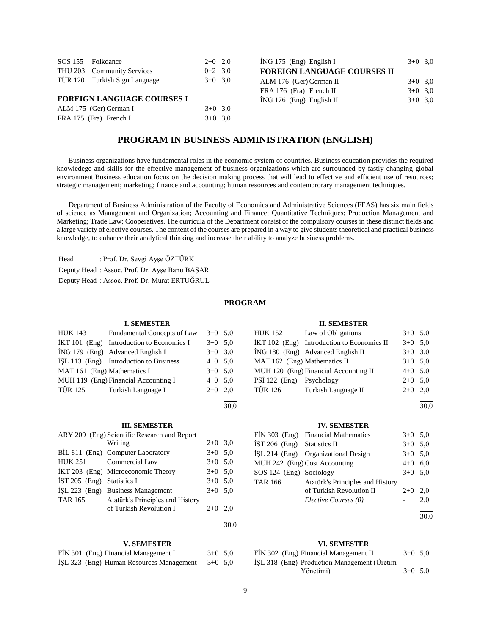|                                   | SOS 155 Folkdance             | $2+0$ 2.0 |  |  |  |  |
|-----------------------------------|-------------------------------|-----------|--|--|--|--|
|                                   | THU 203 Community Services    | $0+2$ 3.0 |  |  |  |  |
|                                   | TÜR 120 Turkish Sign Language | $3+0$ 3.0 |  |  |  |  |
|                                   |                               |           |  |  |  |  |
| <b>FOREIGN LANGUAGE COURSES I</b> |                               |           |  |  |  |  |
|                                   | ALM 175 (Ger) German I        | $3+0$ 3.0 |  |  |  |  |

FRA 175 (Fra) French I 3+0 3,0

| ING 175 (Eng) English I            | $3+0$ 3.0 |  |
|------------------------------------|-----------|--|
| <b>FOREIGN LANGUAGE COURSES II</b> |           |  |
| ALM 176 (Ger) German II            | $3+0$ 3,0 |  |
| FRA 176 (Fra) French II            | $3+0$ 3.0 |  |
| İNG 176 (Eng) English II           | $3+0$ 3.0 |  |
|                                    |           |  |

## **PROGRAM IN BUSINESS ADMINISTRATION (ENGLISH)**

 Business organizations have fundamental roles in the economic system of countries. Business education provides the required knowledege and skills for the effective management of business organizations which are surrounded by fastly changing global environment.Business education focus on the decision making process that will lead to effective and efficient use of resources; strategic management; marketing; finance and accounting; human resources and contemprorary management techniques.

 Department of Business Administration of the Faculty of Economics and Administrative Sciences (FEAS) has six main fields of science as Management and Organization; Accounting and Finance; Quantitative Techniques; Production Management and Marketing; Trade Law; Cooperatives. The curricula of the Department consist of the compulsory courses in these distinct fields and a large variety of elective courses. The content of the courses are prepared in a way to give students theoretical and practical business knowledge, to enhance their analytical thinking and increase their ability to analyze business problems.

Head : Prof. Dr. Sevgi Ayşe ÖZTÜRK Deputy Head : Assoc. Prof. Dr. Ayşe Banu BAŞAR Deputy Head : Assoc. Prof. Dr. Murat ERTUĞRUL

## **PROGRAM**

30,0

30,0

#### **I. SEMESTER**

| <b>HUK 143</b>              | Fundamental Concepts of Law                 | $3+0$ 5.0 |  |
|-----------------------------|---------------------------------------------|-----------|--|
|                             | $IKT 101$ (Eng) Introduction to Economics I | $3+0$ 5.0 |  |
|                             | $ING 179$ (Eng) Advanced English I          | $3+0$ 3,0 |  |
|                             | İŞL 113 (Eng) Introduction to Business      | $4+0$ 5.0 |  |
| MAT 161 (Eng) Mathematics I |                                             | $3+0$ 5.0 |  |
|                             | MUH 119 (Eng) Financial Accounting I        | $4+0$ 5.0 |  |
|                             | TÜR 125 Turkish Language I                  | $2+0$ 2,0 |  |
|                             |                                             |           |  |

#### **III. SEMESTER**

|                              | ARY 209 (Eng) Scientific Research and Report |           |     |
|------------------------------|----------------------------------------------|-----------|-----|
|                              | Writing                                      | $2+0$ 3,0 |     |
|                              | BIL 811 (Eng) Computer Laboratory            | $3+0$ 5,0 |     |
| HUK 251                      | Commercial Law                               | $3+0$ 5,0 |     |
|                              | IKT 203 (Eng) Microeconomic Theory           | $3+0$ 5,0 |     |
| $IST 205$ (Eng) Statistics I |                                              | $3+0$ 5,0 |     |
|                              | ISL 223 (Eng) Business Management            | $3+0$ 5,0 |     |
| <b>TAR 165</b>               | Atatürk's Principles and History             |           |     |
|                              | of Turkish Revolution I                      | $2+0$     | 2.0 |
|                              |                                              |           |     |

#### **V. SEMESTER**

|  | FİN 301 (Eng) Financial Management I     | $3+0$ 5.0 |  |
|--|------------------------------------------|-----------|--|
|  | İŞL 323 (Eng) Human Resources Management | $3+0$ 5.0 |  |

## **II. SEMESTER**

| HUK 152                      | Law of Obligations                         | $3+0$ 5.0 |     |
|------------------------------|--------------------------------------------|-----------|-----|
|                              | IKT 102 (Eng) Introduction to Economics II | $3+0$ 5.0 |     |
|                              | ING 180 (Eng) Advanced English II          | $3+0$ 3.0 |     |
| MAT 162 (Eng) Mathematics II |                                            | $3+0$ 5.0 |     |
|                              | MUH 120 (Eng) Financial Accounting II      | $4+0$ 5,0 |     |
| PSİ 122 (Eng) Psychology     |                                            | $2+0$ 5.0 |     |
| TÜR 126                      | Turkish Language II                        | $2+0$     | 2.0 |
|                              |                                            |           |     |

30,0

#### **IV. SEMESTER**

|                               | FIN 303 (Eng) Financial Mathematics | $3+0$ 5.0 |            |
|-------------------------------|-------------------------------------|-----------|------------|
| $IST 206$ (Eng) Statistics II |                                     | $3+0$ 5.0 |            |
|                               | ISL 214 (Eng) Organizational Design | $3+0$ 5.0 |            |
|                               | MUH 242 (Eng) Cost Accounting       | $4+0$ 6,0 |            |
| SOS 124 (Eng) Sociology       |                                     | $3+0$ 5.0 |            |
| <b>TAR 166</b>                | Atatürk's Principles and History    |           |            |
|                               | of Turkish Revolution II            | $2+0$     | 2.0        |
|                               | Elective Courses (0)                |           | 2.0        |
|                               |                                     |           | <b>000</b> |

30,0

#### **VI. SEMESTER**

| FIN 302 (Eng) Financial Management II       | $3+0$ 5.0 |  |
|---------------------------------------------|-----------|--|
| ISL 318 (Eng) Production Management (Uretim |           |  |
| Yönetimi)                                   | $3+0$ 5.0 |  |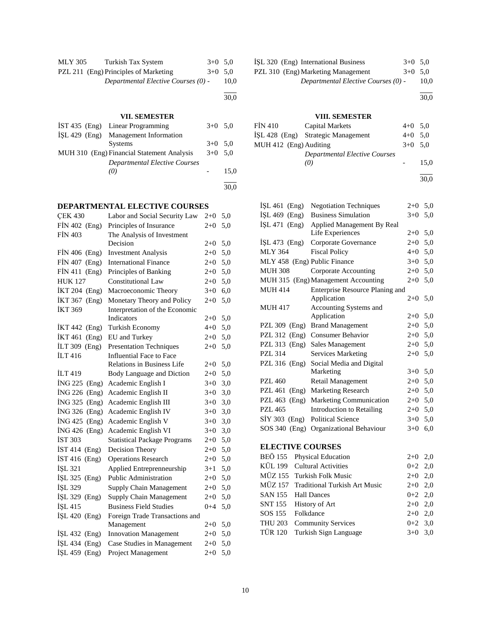| MLY 305 | Turkish Tax System                    | $3+0$ 5.0 |      |
|---------|---------------------------------------|-----------|------|
|         | PZL 211 (Eng) Principles of Marketing | $3+0$ 5.0 |      |
|         | Departmental Elective Courses (0) -   |           | 10.0 |
|         |                                       |           |      |

#### 30,0

## **VII. SEMESTER**

| IST 435 (Eng) Linear Programming           | $3+0$ 5.0 |      |
|--------------------------------------------|-----------|------|
| İSL 429 (Eng) Management Information       |           |      |
| <b>Systems</b>                             | $3+0$ 5.0 |      |
| MUH 310 (Eng) Financial Statement Analysis | $3+0$ 5.0 |      |
| <b>Departmental Elective Courses</b>       |           |      |
| (0)                                        |           | 15.0 |
|                                            |           |      |
|                                            |           | 30.0 |

## **DEPARTMENTAL ELECTIVE COURSES**

| <b>ÇEK 430</b>          | Labor and Social Security Law       | $2 + 0$ | 5,0 |
|-------------------------|-------------------------------------|---------|-----|
| FİN 402 (Eng)           | Principles of Insurance             | $2 + 0$ | 5,0 |
| <b>FİN 403</b>          | The Analysis of Investment          |         |     |
|                         | Decision                            | $2+0$   | 5,0 |
| $FIN 406$ (Eng)         | <b>Investment Analysis</b>          | $2 + 0$ | 5,0 |
| FİN 407 (Eng)           | <b>International Finance</b>        | $2 + 0$ | 5,0 |
| <b>FIN 411</b><br>(Eng) | Principles of Banking               | $2 + 0$ | 5,0 |
| <b>HUK 127</b>          | <b>Constitutional Law</b>           | $2 + 0$ | 5,0 |
| İKT 204 (Eng)           | Macroeconomic Theory                | $3+0$   | 6,0 |
| İKT 367<br>(Eng)        | Monetary Theory and Policy          | $2 + 0$ | 5,0 |
| <b>İKT 369</b>          | Interpretation of the Economic      |         |     |
|                         | Indicators                          | 2+0     | 5,0 |
| İKT 442 (Eng)           | Turkish Economy                     | $4 + 0$ | 5,0 |
| <b>IKT 461</b><br>(Eng) | EU and Turkey                       | $2 + 0$ | 5,0 |
| <b>İLT 309</b><br>(Eng) | <b>Presentation Techniques</b>      | $2 + 0$ | 5,0 |
| İLT 416                 | <b>Influential Face to Face</b>     |         |     |
|                         | <b>Relations in Business Life</b>   | $2 + 0$ | 5,0 |
| <b>İLT</b> 419          | Body Language and Diction           | $2 + 0$ | 5,0 |
| İNG 225 (Eng)           | Academic English I                  | $3 + 0$ | 3,0 |
| İNG 226 (Eng)           | Academic English II                 | $3 + 0$ | 3,0 |
| İNG 325 (Eng)           | Academic English III                | $3+0$   | 3,0 |
| $ING 326$ (Eng)         | Academic English IV                 | $3+0$   | 3,0 |
| $ING 425$ (Eng)         | Academic English V                  | $3+0$   | 3,0 |
| $ING 426$ (Eng)         | Academic English VI                 | $3+0$   | 3,0 |
| <b>IST 303</b>          | <b>Statistical Package Programs</b> | $2 + 0$ | 5,0 |
| $IST 414$ (Eng)         | Decision Theory                     | $2 + 0$ | 5,0 |
| IST 416 $(Eng)$         | <b>Operations Research</b>          | $2 + 0$ | 5,0 |
| İŞL 321                 | Applied Entreprenneurship           | $3 + 1$ | 5,0 |
| İŞL 325<br>(Eng)        | <b>Public Administration</b>        | $2 + 0$ | 5,0 |
| İŞL 329                 | <b>Supply Chain Management</b>      | $2 + 0$ | 5,0 |
| İŞL 329 (Eng)           | Supply Chain Management             | $2 + 0$ | 5,0 |
| İŞL 415                 | <b>Business Field Studies</b>       | $0 + 4$ | 5,0 |
| İŞL 420 (Eng)           | Foreign Trade Transactions and      |         |     |
|                         | Management                          | $2 + 0$ | 5,0 |
| $ISL 432$ (Eng)         | <b>Innovation Management</b>        | $2 + 0$ | 5,0 |
| İŞL 434 (Eng)           | Case Studies in Management          | $2+0$   | 5,0 |
| İŞL 459 (Eng)           | Project Management                  | $2 + 0$ | 5,0 |
|                         |                                     |         |     |

| ISL 320 (Eng) International Business | $3+0$ 5.0 |               |
|--------------------------------------|-----------|---------------|
| PZL 310 (Eng) Marketing Management   | $3+0$ 5.0 |               |
|                                      |           | $\sim$ $\sim$ |

*Departmental Elective Courses (0)* - 10,0

30,0

l

## **VIII. SEMESTER**

| FIN 410                | Capital Markets                      | $4+0$ 5.0 |      |
|------------------------|--------------------------------------|-----------|------|
|                        | ISL 428 (Eng) Strategic Management   | $4+0$ 5.0 |      |
| MUH 412 (Eng) Auditing |                                      | $3+0$ 5.0 |      |
|                        | <b>Departmental Elective Courses</b> |           |      |
|                        | (0)                                  |           | 15.0 |

l 30,0

| $ISL 461$ (Eng)              | <b>Negotiation Techniques</b>       | $2+0$   | 5,0 |
|------------------------------|-------------------------------------|---------|-----|
| $ISL 469$ (Eng)              | <b>Business Simulation</b>          | $3+0$   | 5,0 |
| $ISL 471$ (Eng)              | Applied Management By Real          |         |     |
|                              | Life Experiences                    | $2+0$   | 5,0 |
| $ISL 473$ (Eng)              | Corporate Governance                | $2+0$   | 5,0 |
| <b>MLY 364</b>               | <b>Fiscal Policy</b>                | $4 + 0$ | 5,0 |
| MLY 458 (Eng) Public Finance |                                     | $3+0$   | 5,0 |
| <b>MUH 308</b>               | Corporate Accounting                | $2+0$   | 5,0 |
|                              | MUH 315 (Eng) Management Accounting | $2+0$   | 5,0 |
| <b>MUH 414</b>               | Enterprise Resource Planing and     |         |     |
|                              | Application                         | $2+0$   | 5,0 |
| <b>MUH 417</b>               | <b>Accounting Systems and</b>       |         |     |
|                              | Application                         | $2+0$   | 5,0 |
| PZL 309 (Eng)                | <b>Brand Management</b>             | $2+0$   | 5,0 |
| PZL $312$ (Eng)              | <b>Consumer Behavior</b>            | $2+0$   | 5,0 |
| PZL 313 (Eng)                | Sales Management                    | $2+0$   | 5,0 |
| PZL 314                      | <b>Services Marketing</b>           | $2+0$   | 5,0 |
| PZL 316 (Eng)                | Social Media and Digital            |         |     |
|                              | Marketing                           | $3+0$   | 5,0 |
| PZL 460                      | Retail Management                   | $2+0$   | 5,0 |
| PZL 461<br>(Eng)             | <b>Marketing Research</b>           | $2+0$   | 5,0 |
| PZL $463$ (Eng)              | Marketing Communication             | $2+0$   | 5,0 |
| <b>PZL 465</b>               | Introduction to Retailing           | $2+0$   | 5,0 |
| $SIY$ 303 (Eng)              | <b>Political Science</b>            | $3+0$   | 5,0 |
| $SOS 340$ (Eng)              | Organizational Behaviour            | $3+0$   | 6,0 |
| <b>ELECTIVE COURSES</b>      |                                     |         |     |

| BEÖ 155 Physical Education            | $2+0$ 2,0 |  |
|---------------------------------------|-----------|--|
| KÜL 199 Cultural Activities           | $0+2$ 2,0 |  |
| MÜZ 155 Turkish Folk Music            | $2+0$ 2,0 |  |
| MÜZ 157 Traditional Turkish Art Music | $2+0$ 2,0 |  |
| SAN 155 Hall Dances                   | $0+2$ 2,0 |  |
| SNT 155 History of Art                | $2+0$ 2,0 |  |
| SOS 155 Folkdance                     | $2+0$ 2,0 |  |
| THU 203 Community Services            | $0+2$ 3.0 |  |
| TÜR 120 Turkish Sign Language         | $3+0$ 3.0 |  |
|                                       |           |  |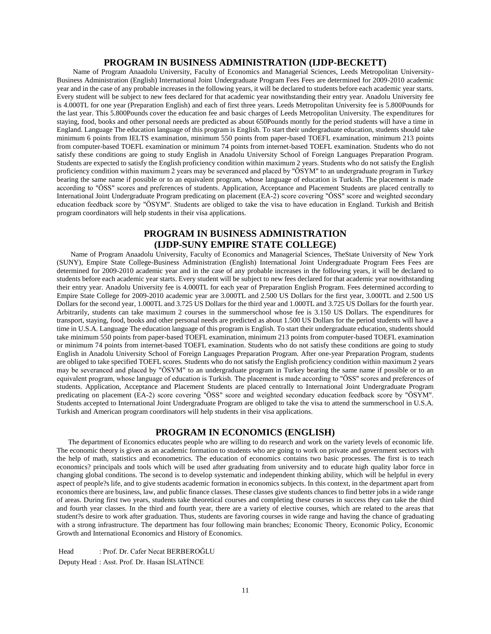## **PROGRAM IN BUSINESS ADMINISTRATION (IJDP-BECKETT)**

 Name of Program Anaadolu University, Faculty of Economics and Managerial Sciences, Leeds Metropolitan University-Business Administration (English) International Joint Undergraduate Program Fees Fees are determined for 2009-2010 academic year and in the case of any probable increases in the following years, it will be declared to students before each academic year starts. Every student will be subject to new fees declared for that academic year nowithstanding their entry year. Anadolu University fee is 4.000TL for one year (Preparation English) and each of first three years. Leeds Metropolitan University fee is 5.800Pounds for the last year. This 5.800Pounds cover the education fee and basic charges of Leeds Metropolitan University. The expenditures for staying, food, books and other personal needs are predicted as about 650Pounds montly for the period students will have a time in England. Language The education language of this program is English. To start their undergraduate education, students should take minimum 6 points from IELTS examination, minimum 550 points from paper-based TOEFL examination, minimum 213 points from computer-based TOEFL examination or minimum 74 points from internet-based TOEFL examination. Students who do not satisfy these conditions are going to study English in Anadolu University School of Foreign Languages Preparation Program. Students are expected to satisfy the English proficiency condition within maximum 2 years. Students who do not satisfy the English proficiency condition within maximum 2 years may be severanced and placed by "ÖSYM" to an undergraduate program in Turkey bearing the same name if possible or to an equivalent program, whose language of education is Turkish. The placement is made according to "ÖSS" scores and preferences of students. Application, Acceptance and Placement Students are placed centrally to International Joint Undergraduate Program predicating on placement (EA-2) score covering "ÖSS" score and weighted secondary education feedback score by "ÖSYM". Students are obliged to take the visa to have education in England. Turkish and British program coordinators will help students in their visa applications.

## **PROGRAM IN BUSINESS ADMINISTRATION (IJDP-SUNY EMPIRE STATE COLLEGE)**

 Name of Program Anaadolu University, Faculty of Economics and Managerial Sciences, TheState University of New York (SUNY), Empire State College-Business Administration (English) International Joint Undergraduate Program Fees Fees are determined for 2009-2010 academic year and in the case of any probable increases in the following years, it will be declared to students before each academic year starts. Every student will be subject to new fees declared for that academic year nowithstanding their entry year. Anadolu University fee is 4.000TL for each year of Preparation English Program. Fees determined according to Empire State College for 2009-2010 academic year are 3.000TL and 2.500 US Dollars for the first year, 3.000TL and 2.500 US Dollars for the second year, 1.000TL and 3.725 US Dollars for the third year and 1.000TL and 3.725 US Dollars for the fourth year. Arbitrarily, students can take maximum 2 courses in the summerschool whose fee is 3.150 US Dollars. The expenditures for transport, staying, food, books and other personal needs are predicted as about 1.500 US Dollars for the period students will have a time in U.S.A. Language The education language of this program is English. To start their undergraduate education, students should take minimum 550 points from paper-based TOEFL examination, minimum 213 points from computer-based TOEFL examination or minimum 74 points from internet-based TOEFL examination. Students who do not satisfy these conditions are going to study English in Anadolu University School of Foreign Languages Preparation Program. After one-year Preparation Program, students are obliged to take specified TOEFL scores. Students who do not satisfy the English proficiency condition within maximum 2 years may be severanced and placed by "ÖSYM" to an undergraduate program in Turkey bearing the same name if possible or to an equivalent program, whose language of education is Turkish. The placement is made according to "ÖSS" scores and preferences of students. Application, Acceptance and Placement Students are placed centrally to International Joint Undergraduate Program predicating on placement (EA-2) score covering "ÖSS" score and weighted secondary education feedback score by "ÖSYM". Students accepted to International Joint Undergraduate Program are obliged to take the visa to attend the summerschool in U.S.A. Turkish and American program coordinators will help students in their visa applications.

## **PROGRAM IN ECONOMICS (ENGLISH)**

 The department of Economics educates people who are willing to do research and work on the variety levels of economic life. The economic theory is given as an academic formation to students who are going to work on private and government sectors with the help of math, statistics and econometrics. The education of economics contains two basic processes. The first is to teach economics? principals and tools which will be used after graduating from university and to educate high quality labor force in changing global conditions. The second is to develop systematic and independent thinking ability, which will be helpful in every aspect of people?s life, and to give students academic formation in economics subjects. In this context, in the department apart from economics there are business, law, and public finance classes. These classes give students chances to find better jobs in a wide range of areas. During first two years, students take theoretical courses and completing these courses in success they can take the third and fourth year classes. In the third and fourth year, there are a variety of elective courses, which are related to the areas that student?s desire to work after graduation. Thus, students are favoring courses in wide range and having the chance of graduating with a strong infrastructure. The department has four following main branches; Economic Theory, Economic Policy, Economic Growth and International Economics and History of Economics.

Head : Prof. Dr. Cafer Necat BERBEROĞLU Deputy Head : Asst. Prof. Dr. Hasan İSLATİNCE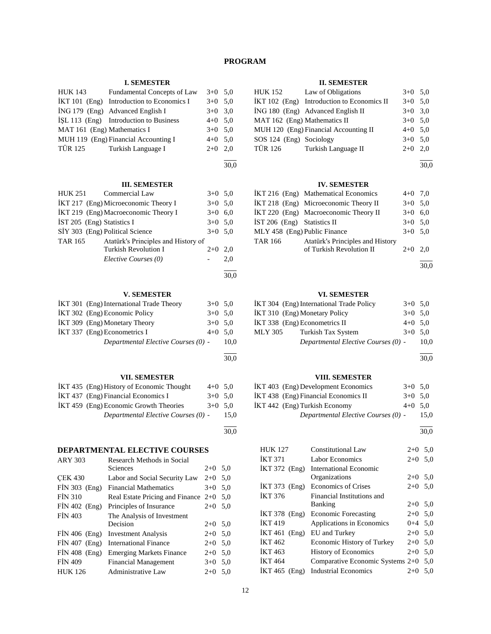## **PROGRAM**

## **I. SEMESTER**

| <b>HUK 143</b>              | Fundamental Concepts of Law                 | $3+0$ 5.0 |  |
|-----------------------------|---------------------------------------------|-----------|--|
|                             | $IKT 101$ (Eng) Introduction to Economics I | $3+0$ 5.0 |  |
|                             | $ING 179$ (Eng) Advanced English I          | $3+0$ 3,0 |  |
|                             | İŞL 113 (Eng) Introduction to Business      | $4+0$ 5.0 |  |
| MAT 161 (Eng) Mathematics I |                                             | $3+0$ 5.0 |  |
|                             | MUH 119 (Eng) Financial Accounting I        | $4+0$ 5.0 |  |
|                             | TÜR 125 Turkish Language I                  | $2+0$ 2,0 |  |
|                             |                                             |           |  |

#### 30,0

## **III. SEMESTER**

|                                 | HUK 251 Commercial Law               | $3+0$ 5.0 |     |
|---------------------------------|--------------------------------------|-----------|-----|
|                                 | IKT 217 (Eng) Microeconomic Theory I | $3+0$ 5.0 |     |
|                                 | IKT 219 (Eng) Macroeconomic Theory I | $3+0$ 6.0 |     |
| IST 205 (Eng) Statistics I      |                                      | $3+0$ 5.0 |     |
| SİY 303 (Eng) Political Science |                                      | $3+0$ 5,0 |     |
| TAR 165                         | Atatürk's Principles and History of  |           |     |
|                                 | <b>Turkish Revolution I</b>          | $2+0$     | 2.0 |
|                                 | Elective Courses (0)                 |           | 2,0 |
|                                 |                                      |           |     |

## **V. SEMESTER**

| IKT 301 (Eng) International Trade Theory | $3+0$ 5.0 |      |
|------------------------------------------|-----------|------|
| İKT 302 (Eng) Economic Policy            | $3+0$ 5.0 |      |
| IKT 309 (Eng) Monetary Theory            | $3+0$ 5.0 |      |
| IKT 337 (Eng) Econometrics I             | $4+0$ 5.0 |      |
| Departmental Elective Courses (0) -      |           | 10.0 |
|                                          |           |      |

30,0

l 30,0

30,0

## **VII. SEMESTER**

| IKT 435 (Eng) History of Economic Thought | $4+0$ 5.0 |      |
|-------------------------------------------|-----------|------|
| IKT 437 (Eng) Financial Economics I       | $3+0$ 5.0 |      |
| IKT 459 (Eng) Economic Growth Theories    | $3+0$ 5.0 |      |
| Departmental Elective Courses (0) -       |           | 15.0 |

## **DEPARTMENTAL ELECTIVE COURSES**

| <b>ARY 303</b>  | Research Methods in Social            |         |     |
|-----------------|---------------------------------------|---------|-----|
|                 | Sciences                              | $2+0$   | 5,0 |
| <b>CEK 430</b>  | Labor and Social Security Law         | $2+0$   | 5,0 |
| $FIN 303$ (Eng) | <b>Financial Mathematics</b>          | $3+0$   | 5,0 |
| <b>FIN 310</b>  | Real Estate Pricing and Finance $2+0$ |         | 5.0 |
| $FIN 402$ (Eng) | Principles of Insurance               | $2+0$   | 5,0 |
| <b>FIN 403</b>  | The Analysis of Investment            |         |     |
|                 | Decision                              | $2+0$   | 5,0 |
| $FIN 406$ (Eng) | <b>Investment Analysis</b>            | $2+0$   | 5,0 |
| $FIN 407$ (Eng) | <b>International Finance</b>          | $2 + 0$ | 5,0 |
| $FIN 408$ (Eng) | <b>Emerging Markets Finance</b>       | $2+0$   | 5,0 |
| <b>FIN 409</b>  | <b>Financial Management</b>           | $3+0$   | 5,0 |
| <b>HUK 126</b>  | <b>Administrative Law</b>             | $2+0$   | 5,0 |

## **II. SEMESTER**

|                              | HUK 152 Law of Obligations                 | $3+0$ 5,0 |  |
|------------------------------|--------------------------------------------|-----------|--|
|                              | İKT 102 (Eng) Introduction to Economics II | $3+0$ 5.0 |  |
|                              | İNG 180 (Eng) Advanced English II          | $3+0$ 3.0 |  |
| MAT 162 (Eng) Mathematics II |                                            | $3+0$ 5,0 |  |
|                              | MUH 120 (Eng) Financial Accounting II      | $4+0$ 5.0 |  |
| SOS 124 (Eng) Sociology      |                                            | $3+0$ 5.0 |  |
| <b>TÜR 126</b>               | Turkish Language II                        | $2+0$ 2.0 |  |

l 30,0

## **IV. SEMESTER**

|                              | IKT 216 (Eng) Mathematical Economics  | $4+0$ 7,0 |  |
|------------------------------|---------------------------------------|-----------|--|
|                              | İKT 218 (Eng) Microeconomic Theory II | $3+0$ 5.0 |  |
|                              | IKT 220 (Eng) Macroeconomic Theory II | $3+0$ 6.0 |  |
| IST 206 (Eng) Statistics II  |                                       | $3+0$ 5.0 |  |
| MLY 458 (Eng) Public Finance |                                       | $3+0$ 5.0 |  |
| TAR 166                      | Atatürk's Principles and History      |           |  |
|                              | of Turkish Revolution II              | $2+0$ 2.0 |  |
|                              |                                       |           |  |

30,0

## **VI. SEMESTER**

| İKT 310 (Eng) Monetary Policy<br>$3+0$ 5.0<br>İKT 338 (Eng) Econometrics II<br>$4+0$ 5.0<br><b>MLY 305</b><br>Turkish Tax System<br>$3+0$ 5.0<br>Departmental Elective Courses (0) - | IKT 304 (Eng) International Trade Policy | $3+0$ 5.0 |      |
|--------------------------------------------------------------------------------------------------------------------------------------------------------------------------------------|------------------------------------------|-----------|------|
|                                                                                                                                                                                      |                                          |           |      |
|                                                                                                                                                                                      |                                          |           |      |
|                                                                                                                                                                                      |                                          |           |      |
|                                                                                                                                                                                      |                                          |           | 10.0 |

 $\overline{a}$ 30,0

## **VIII. SEMESTER**

| IKT 403 (Eng) Development Economics  | $3+0$ 5.0 |      |
|--------------------------------------|-----------|------|
| IKT 438 (Eng) Financial Economics II | $3+0$ 5.0 |      |
| IKT 442 (Eng) Turkish Economy        | $4+0$ 5.0 |      |
| Departmental Elective Courses (0) -  |           | 15.0 |

l 30,0

| <b>HUK 127</b>  | <b>Constitutional Law</b>   | $2+0$     | 5,0                                    |
|-----------------|-----------------------------|-----------|----------------------------------------|
|                 | <b>Labor Economics</b>      | $2+0$     | 5,0                                    |
| $IKT 372$ (Eng) | International Economic      |           |                                        |
|                 | Organizations               | $2+0$ 5.0 |                                        |
| $IKT 373$ (Eng) | <b>Economics of Crises</b>  | $2+0$ 5.0 |                                        |
|                 | Financial Institutions and  |           |                                        |
|                 | Banking                     | $2+0$ 5,0 |                                        |
| $IKT 378$ (Eng) | <b>Economic Forecasting</b> | $2+0$ 5.0 |                                        |
|                 | Applications in Economics   | $0+4$ 5.0 |                                        |
| $IKT 461$ (Eng) | EU and Turkey               | $2+0$ 5.0 |                                        |
|                 | Economic History of Turkey  | $2+0$ 5.0 |                                        |
|                 | <b>History of Economics</b> | $2+0$     | 5,0                                    |
|                 |                             |           |                                        |
| $IKT 465$ (Eng) | <b>Industrial Economics</b> | $2+0$     | 5.0                                    |
|                 |                             |           | Comparative Economic Systems $2+0$ 5,0 |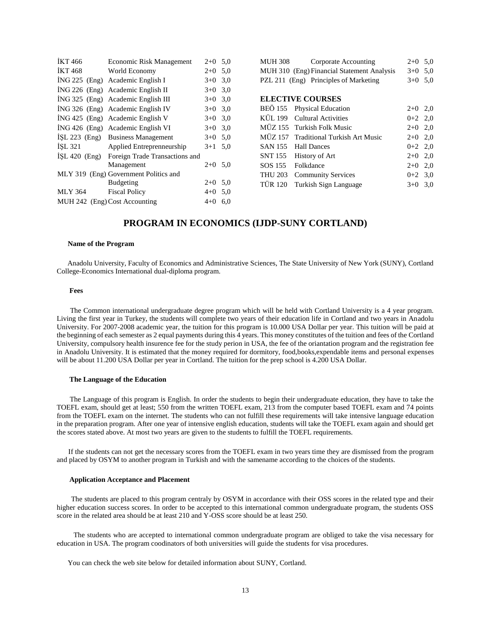| <b>İKT 466</b>  | Economic Risk Management              | $2+0$     | 5,0 |
|-----------------|---------------------------------------|-----------|-----|
| <b>IKT468</b>   | World Economy                         | $2+0$     | 5,0 |
|                 | ING 225 (Eng) Academic English I      | $3+0$     | 3,0 |
|                 | ING 226 (Eng) Academic English II     | $3+0$     | 3,0 |
|                 | ING 325 (Eng) Academic English III    | $3+0$     | 3,0 |
|                 | ING 326 (Eng) Academic English IV     | $3+0$     | 3,0 |
| $ING 425$ (Eng) | Academic English V                    | $3+0$     | 3,0 |
|                 | ING 426 (Eng) Academic English VI     | $3+0$     | 3,0 |
|                 | İŞL 223 (Eng) Business Management     | $3+0$ 5.0 |     |
| ISL 321         | Applied Entreprenneurship             | $3+1$     | 5,0 |
| $ISL 420$ (Eng) | Foreign Trade Transactions and        |           |     |
|                 | Management                            | $2+0$     | 5,0 |
|                 | MLY 319 (Eng) Government Politics and |           |     |
|                 | <b>Budgeting</b>                      | $2+0$     | 5,0 |
| MLY 364         | <b>Fiscal Policy</b>                  | $4 + 0$   | 5,0 |
|                 | MUH 242 (Eng) Cost Accounting         | $4 + 0$   | 6,0 |

| MUH 308        | Corporate Accounting                       | $2+0$     | 5,0 |
|----------------|--------------------------------------------|-----------|-----|
|                | MUH 310 (Eng) Financial Statement Analysis | $3+0$ 5.0 |     |
|                | PZL 211 (Eng) Principles of Marketing      | $3+0$     | 5,0 |
|                |                                            |           |     |
|                | <b>ELECTIVE COURSES</b>                    |           |     |
|                | BEÖ 155 Physical Education                 | $2+0$ 2,0 |     |
|                | KÜL 199 Cultural Activities                | $0+2$ 2,0 |     |
|                | MÜZ 155 Turkish Folk Music                 | $2+0$ 2,0 |     |
|                | MÜZ 157 Traditional Turkish Art Music      | $2+0$ 2.0 |     |
| SAN 155        | <b>Hall Dances</b>                         | $0+2$ 2,0 |     |
| SNT 155        | History of Art                             | $2+0$ 2,0 |     |
| SOS 155        | Folkdance                                  | $2+0$     | 2,0 |
| THU 203        | <b>Community Services</b>                  | $0+2$ 3.0 |     |
| <b>TÜR 120</b> | Turkish Sign Language                      | $3+0$     | 3,0 |
|                |                                            |           |     |

## **PROGRAM IN ECONOMICS (IJDP-SUNY CORTLAND)**

#### **Name of the Program**

 Anadolu University, Faculty of Economics and Administrative Sciences, The State University of New York (SUNY), Cortland College-Economics International dual-diploma program.

#### **Fees**

 The Common international undergraduate degree program which will be held with Cortland University is a 4 year program. Living the first year in Turkey, the students will complete two years of their education life in Cortland and two years in Anadolu University. For 2007-2008 academic year, the tuition for this program is 10.000 USA Dollar per year. This tuition will be paid at the beginning of each semester as 2 equal payments during this 4 years. This money constitutes of the tuition and fees of the Cortland University, compulsory health insurence fee for the study perion in USA, the fee of the oriantation program and the registration fee in Anadolu University. It is estimated that the money required for dormitory, food,books,expendable items and personal expenses will be about 11.200 USA Dollar per year in Cortland. The tuition for the prep school is 4.200 USA Dollar.

#### **The Language of the Education**

 The Language of this program is English. In order the students to begin their undergraduate education, they have to take the TOEFL exam, should get at least; 550 from the written TOEFL exam, 213 from the computer based TOEFL exam and 74 points from the TOEFL exam on the internet. The students who can not fulfill these requirements will take intensive language education in the preparation program. After one year of intensive english education, students will take the TOEFL exam again and should get the scores stated above. At most two years are given to the students to fulfill the TOEFL requirements.

 If the students can not get the necessary scores from the TOEFL exam in two years time they are dismissed from the program and placed by OSYM to another program in Turkish and with the samename according to the choices of the students.

## **Application Acceptance and Placement**

 The students are placed to this program centraly by OSYM in accordance with their OSS scores in the related type and their higher education success scores. In order to be accepted to this international common undergraduate program, the students OSS score in the related area should be at least 210 and Y-OSS score should be at least 250.

 The students who are accepted to international common undergraduate program are obliged to take the visa necessary for education in USA. The program coodinators of both universities will guide the students for visa procedures.

You can check the web site below for detailed information about SUNY, Cortland.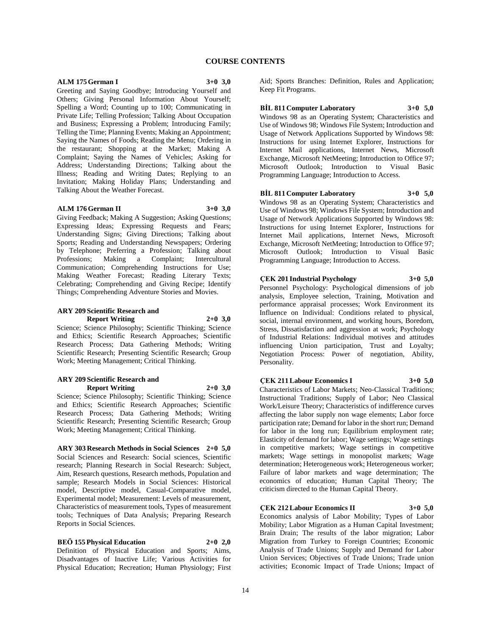## **COURSE CONTENTS**

## **ALM 175 German I 3+0 3,0**

Greeting and Saying Goodbye; Introducing Yourself and Others; Giving Personal Information About Yourself; Spelling a Word; Counting up to 100; Communicating in Private Life; Telling Profession; Talking About Occupation and Business; Expressing a Problem; Introducing Family; Telling the Time; Planning Events; Making an Appointment; Saying the Names of Foods; Reading the Menu; Ordering in the restaurant; Shopping at the Market; Making A Complaint; Saying the Names of Vehicles; Asking for Address; Understanding Directions; Talking about the Illness; Reading and Writing Dates; Replying to an Invitation; Making Holiday Plans; Understanding and Talking About the Weather Forecast.

#### **ALM 176 German II 3+0 3,0**

Giving Feedback; Making A Suggestion; Asking Questions; Expressing Ideas; Expressing Requests and Fears; Understanding Signs; Giving Directions; Talking about Sports; Reading and Understanding Newspapers; Ordering by Telephone; Preferring a Profession; Talking about<br>Professions; Making a Complaint; Intercultural a Complaint; Communication; Comprehending Instructions for Use; Making Weather Forecast; Reading Literary Texts; Celebrating; Comprehending and Giving Recipe; Identify Things; Comprehending Adventure Stories and Movies.

#### **ARY 209 Scientific Research and Report Writing 2+0 3,0**

Science; Science Philosophy; Scientific Thinking; Science and Ethics; Scientific Research Approaches; Scientific Research Process; Data Gathering Methods; Writing Scientific Research; Presenting Scientific Research; Group Work; Meeting Management; Critical Thinking.

## **ARY 209 Scientific Research and Report Writing 2+0 3,0**

Science; Science Philosophy; Scientific Thinking; Science and Ethics; Scientific Research Approaches; Scientific Research Process; Data Gathering Methods; Writing Scientific Research; Presenting Scientific Research; Group Work; Meeting Management; Critical Thinking.

**ARY 303 Research Methods in Social Sciences 2+0 5,0** Social Sciences and Research: Social sciences, Scientific research; Planning Research in Social Research: Subject, Aim, Research questions, Research methods, Population and sample; Research Models in Social Sciences: Historical model, Descriptive model, Casual-Comparative model, Experimental model; Measurement: Levels of measurement, Characteristics of measurement tools, Types of measurement tools; Techniques of Data Analysis; Preparing Research Reports in Social Sciences.

**BEÖ 155 Physical Education 2+0 2,0**

Definition of Physical Education and Sports; Aims, Disadvantages of Inactive Life; Various Activities for Physical Education; Recreation; Human Physiology; First Aid; Sports Branches: Definition, Rules and Application; Keep Fit Programs.

## **BİL 811 Computer Laboratory 3+0 5,0**

Windows 98 as an Operating System; Characteristics and Use of Windows 98; Windows File System; Introduction and Usage of Network Applications Supported by Windows 98: Instructions for using Internet Explorer, Instructions for Internet Mail applications, Internet News, Microsoft Exchange, Microsoft NetMeeting; Introduction to Office 97; Microsoft Outlook; Introduction to Visual Basic Programming Language; Introduction to Access.

## **BİL 811 Computer Laboratory 3+0 5,0** Windows 98 as an Operating System; Characteristics and

Use of Windows 98; Windows File System; Introduction and Usage of Network Applications Supported by Windows 98: Instructions for using Internet Explorer, Instructions for Internet Mail applications, Internet News, Microsoft Exchange, Microsoft NetMeeting; Introduction to Office 97; Microsoft Outlook; Introduction to Visual Basic Programming Language; Introduction to Access.

## **ÇEK 201 Industrial Psychology 3+0 5,0**

Personnel Psychology: Psychological dimensions of job analysis, Employee selection, Training, Motivation and performance appraisal processes; Work Environment its Influence on Individual: Conditions related to physical, social, internal environment, and working hours, Boredom, Stress, Dissatisfaction and aggression at work; Psychology of Industrial Relations: Individual motives and attitudes influencing Union participation, Trust and Loyalty; Negotiation Process: Power of negotiation, Ability, Personality.

## **ÇEK 211 Labour Economics I 3+0 5,0**

Characteristics of Labor Markets; Neo-Classical Traditions; Instructional Traditions; Supply of Labor; Neo Classical Work/Leisure Theory; Characteristics of indifference curves affecting the labor supply non wage elements; Labor force participation rate; Demand for labor in the short run; Demand for labor in the long run; Equilibrium employment rate; Elasticity of demand for labor; Wage settings; Wage settings in competitive markets; Wage settings in competitive markets; Wage settings in monopolist markets; Wage determination; Heterogeneous work; Heterogeneous worker; Failure of labor markets and wage determination; The economics of education; Human Capital Theory; The criticism directed to the Human Capital Theory.

## **ÇEK 212 Labour Economics II 3+0 5,0**

Economics analysis of Labor Mobility; Types of Labor Mobility; Labor Migration as a Human Capital Investment; Brain Drain; The results of the labor migration; Labor Migration from Turkey to Foreign Countries; Economic Analysis of Trade Unions; Supply and Demand for Labor Union Services; Objectives of Trade Unions; Trade union activities; Economic Impact of Trade Unions; Impact of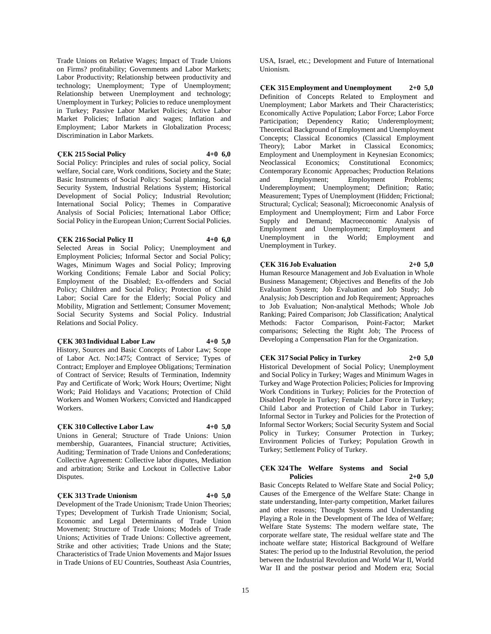Trade Unions on Relative Wages; Impact of Trade Unions on Firms? profitability; Governments and Labor Markets; Labor Productivity; Relationship between productivity and technology; Unemployment; Type of Unemployment; Relationship between Unemployment and technology; Unemployment in Turkey; Policies to reduce unemployment in Turkey; Passive Labor Market Policies; Active Labor Market Policies; Inflation and wages; Inflation and Employment; Labor Markets in Globalization Process; Discrimination in Labor Markets.

#### **ÇEK 215 Social Policy 4+0 6,0**

Social Policy: Principles and rules of social policy, Social welfare, Social care, Work conditions, Society and the State; Basic Instruments of Social Policy: Social planning, Social Security System, Industrial Relations System; Historical Development of Social Policy; Industrial Revolution; International Social Policy; Themes in Comparative Analysis of Social Policies; International Labor Office; Social Policy in the European Union; Current Social Policies.

#### **ÇEK 216 Social Policy II 4+0 6,0**

Selected Areas in Social Policy; Unemployment and Employment Policies; Informal Sector and Social Policy; Wages, Minimum Wages and Social Policy; Improving Working Conditions; Female Labor and Social Policy; Employment of the Disabled; Ex-offenders and Social Policy; Children and Social Policy; Protection of Child Labor; Social Care for the Elderly; Social Policy and Mobility, Migration and Settlement; Consumer Movement; Social Security Systems and Social Policy. Industrial Relations and Social Policy.

## **ÇEK 303 Individual Labor Law 4+0 5,0**

History, Sources and Basic Concepts of Labor Law; Scope of Labor Act. No:1475; Contract of Service; Types of Contract; Employer and Employee Obligations; Termination of Contract of Service; Results of Termination, Indemnity Pay and Certificate of Work; Work Hours; Overtime; Night Work; Paid Holidays and Vacations; Protection of Child Workers and Women Workers; Convicted and Handicapped Workers.

## **ÇEK 310 Collective Labor Law 4+0 5,0**

Unions in General; Structure of Trade Unions: Union membership, Guarantees, Financial structure; Activities, Auditing; Termination of Trade Unions and Confederations; Collective Agreement: Collective labor disputes, Mediation and arbitration; Strike and Lockout in Collective Labor Disputes.

## **ÇEK 313 Trade Unionism 4+0 5,0**

Development of the Trade Unionism; Trade Union Theories; Types; Development of Turkish Trade Unionism; Social, Economic and Legal Determinants of Trade Union Movement; Structure of Trade Unions; Models of Trade Unions; Activities of Trade Unions: Collective agreement, Strike and other activities; Trade Unions and the State; Characteristics of Trade Union Movements and Major Issues in Trade Unions of EU Countries, Southeast Asia Countries,

USA, Israel, etc.; Development and Future of International Unionism.

**ÇEK 315 Employment and Unemployment 2+0 5,0** Definition of Concepts Related to Employment and Unemployment; Labor Markets and Their Characteristics; Economically Active Population; Labor Force; Labor Force Participation; Dependency Ratio; Underemployment; Theoretical Background of Employment and Unemployment Concepts; Classical Economics (Classical Employment Theory); Labor Market in Classical Economics; Employment and Unemployment in Keynesian Economics; Neoclassical Economics; Constitutional Economics; Contemporary Economic Approaches; Production Relations and Employment; Employment Problems; Underemployment; Unemployment; Definition; Ratio; Measurement; Types of Unemployment (Hidden; Frictional; Structural; Cyclical; Seasonal); Microeconomic Analysis of Employment and Unemployment; Firm and Labor Force Supply and Demand; Macroeconomic Analysis of Employment and Unemployment; Employment and Unemployment in the World; Employment and Unemployment in Turkey.

## **ÇEK 316 Job Evaluation 2+0 5,0**

Human Resource Management and Job Evaluation in Whole Business Management; Objectives and Benefits of the Job Evaluation System; Job Evaluation and Job Study; Job Analysis; Job Description and Job Requirement; Approaches to Job Evaluation; Non-analytical Methods; Whole Job Ranking; Paired Comparison; Job Classification; Analytical Methods: Factor Comparison, Point-Factor; Market comparisons; Selecting the Right Job; The Process of Developing a Compensation Plan for the Organization.

## **ÇEK 317 Social Policy in Turkey 2+0 5,0**

Historical Development of Social Policy; Unemployment and Social Policy in Turkey; Wages and Minimum Wages in Turkey and Wage Protection Policies; Policies for Improving Work Conditions in Turkey; Policies for the Protection of Disabled People in Turkey; Female Labor Force in Turkey; Child Labor and Protection of Child Labor in Turkey; Informal Sector in Turkey and Policies for the Protection of Informal Sector Workers; Social Security System and Social Policy in Turkey; Consumer Protection in Turkey; Environment Policies of Turkey; Population Growth in Turkey; Settlement Policy of Turkey.

## **ÇEK 324 The Welfare Systems and Social Policies 2+0 5,0**

Basic Concepts Related to Welfare State and Social Policy; Causes of the Emergence of the Welfare State: Change in state understanding, Inter-party competition, Market failures and other reasons; Thought Systems and Understanding Playing a Role in the Development of The Idea of Welfare; Welfare State Systems: The modern welfare state, The corporate welfare state, The residual welfare state and The inchoate welfare state; Historical Background of Welfare States: The period up to the Industrial Revolution, the period between the Industrial Revolution and World War II, World War II and the postwar period and Modern era; Social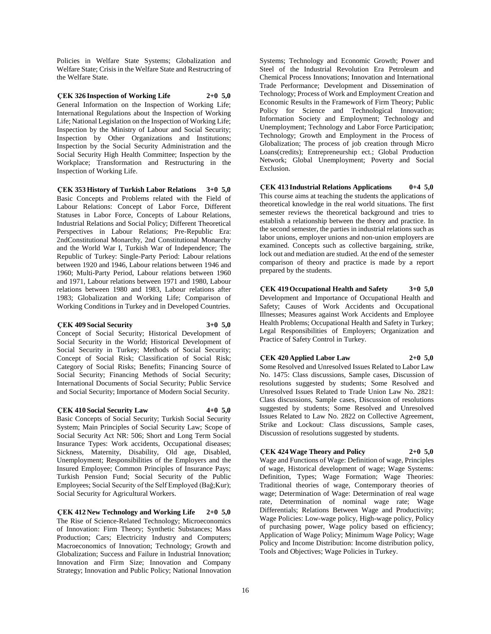Policies in Welfare State Systems; Globalization and Welfare State; Crisis in the Welfare State and Restructring of the Welfare State.

**ÇEK 326 Inspection of Working Life 2+0 5,0** General Information on the Inspection of Working Life; International Regulations about the Inspection of Working Life; National Legislation on the Inspection of Working Life; Inspection by the Ministry of Labour and Social Security; Inspection by Other Organizations and Institutions; Inspection by the Social Security Administration and the Social Security High Health Committee; Inspection by the Workplace; Transformation and Restructuring in the Inspection of Working Life.

**ÇEK 353 History of Turkish Labor Relations 3+0 5,0** Basic Concepts and Problems related with the Field of Labour Relations: Concept of Labor Force, Different Statuses in Labor Force, Concepts of Labour Relations, Industrial Relations and Social Policy; Different Theoretical Perspectives in Labour Relations; Pre-Republic Era: 2ndConstitutional Monarchy, 2nd Constitutional Monarchy and the World War I, Turkish War of Independence; The Republic of Turkey: Single-Party Period: Labour relations between 1920 and 1946, Labour relations between 1946 and 1960; Multi-Party Period, Labour relations between 1960 and 1971, Labour relations between 1971 and 1980, Labour relations between 1980 and 1983, Labour relations after 1983; Globalization and Working Life; Comparison of Working Conditions in Turkey and in Developed Countries.

## **ÇEK 409 Social Security 3+0 5,0**

Concept of Social Security; Historical Development of Social Security in the World; Historical Development of Social Security in Turkey; Methods of Social Security; Concept of Social Risk; Classification of Social Risk; Category of Social Risks; Benefits; Financing Source of Social Security; Financing Methods of Social Security; International Documents of Social Security; Public Service and Social Security; Importance of Modern Social Security.

## **ÇEK 410 Social Security Law 4+0 5,0**

Basic Concepts of Social Security; Turkish Social Security System; Main Principles of Social Security Law; Scope of Social Security Act NR: 506; Short and Long Term Social Insurance Types: Work accidents, Occupational diseases; Sickness, Maternity, Disability, Old age, Disabled, Unemployment; Responsibilities of the Employers and the Insured Employee; Common Principles of Insurance Pays; Turkish Pension Fund; Social Security of the Public Employees; Social Security of the Self Employed (Bağ;Kur); Social Security for Agricultural Workers.

**ÇEK 412 New Technology and Working Life 2+0 5,0** The Rise of Science-Related Technology; Microeconomics of Innovation: Firm Theory; Synthetic Substances; Mass Production; Cars; Electricity Industry and Computers; Macroeconomics of Innovation; Technology; Growth and Globalization; Success and Failure in Industrial Innovation; Innovation and Firm Size; Innovation and Company Strategy; Innovation and Public Policy; National Innovation

Systems; Technology and Economic Growth; Power and Steel of the Industrial Revolution Era Petroleum and Chemical Process Innovations; Innovation and International Trade Performance; Development and Dissemination of Technology; Process of Work and Employment Creation and Economic Results in the Framework of Firm Theory; Public Policy for Science and Technological Innovation; Information Society and Employment; Technology and Unemployment; Technology and Labor Force Participation; Technology; Growth and Employment in the Process of Globalization; The process of job creation through Micro Loans(credits); Entrepreneurship ect.; Global Production Network; Global Unemployment; Poverty and Social Exclusion.

**ÇEK 413 Industrial Relations Applications 0+4 5,0** This course aims at teaching the students the applications of theoretical knowledge in the real world situations. The first semester reviews the theoretical background and tries to establish a relationship between the theory and practice. In the second semester, the parties in industrial relations such as labor unions, employer unions and non-union employers are examined. Concepts such as collective bargaining, strike, lock out and mediation are studied. At the end of the semester comparison of theory and practice is made by a report prepared by the students.

**ÇEK 419 Occupational Health and Safety 3+0 5,0** Development and Importance of Occupational Health and Safety; Causes of Work Accidents and Occupational Illnesses; Measures against Work Accidents and Employee Health Problems; Occupational Health and Safety in Turkey; Legal Responsibilities of Employers; Organization and Practice of Safety Control in Turkey.

## **ÇEK 420 Applied Labor Law 2+0 5,0**

Some Resolved and Unresolved Issues Related to Labor Law No. 1475: Class discussions, Sample cases, Discussion of resolutions suggested by students; Some Resolved and Unresolved Issues Related to Trade Union Law No. 2821: Class discussions, Sample cases, Discussion of resolutions suggested by students; Some Resolved and Unresolved Issues Related to Law No. 2822 on Collective Agreement, Strike and Lockout: Class discussions, Sample cases, Discussion of resolutions suggested by students.

## **ÇEK 424 Wage Theory and Policy 2+0 5,0**

Wage and Functions of Wage: Definition of wage, Principles of wage, Historical development of wage; Wage Systems: Definition, Types; Wage Formation; Wage Theories: Traditional theories of wage, Contemporary theories of wage; Determination of Wage: Determination of real wage rate, Determination of nominal wage rate; Wage Differentials; Relations Between Wage and Productivity; Wage Policies: Low-wage policy, High-wage policy, Policy of purchasing power, Wage policy based on efficiency; Application of Wage Policy; Minimum Wage Policy; Wage Policy and Income Distribution: Income distribution policy, Tools and Objectives; Wage Policies in Turkey.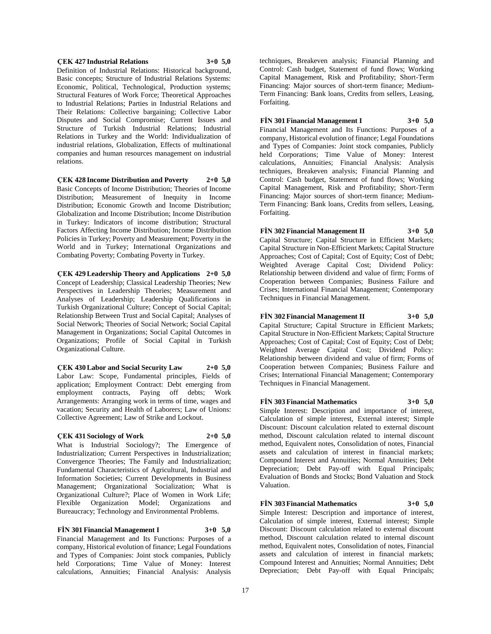## **ÇEK 427 Industrial Relations 3+0 5,0**

Definition of Industrial Relations: Historical background, Basic concepts; Structure of Industrial Relations Systems: Economic, Political, Technological, Production systems; Structural Features of Work Force; Theoretical Approaches to Industrial Relations; Parties in Industrial Relations and Their Relations: Collective bargaining; Collective Labor Disputes and Social Compromise; Current Issues and Structure of Turkish Industrial Relations; Industrial Relations in Turkey and the World: Individualization of industrial relations, Globalization, Effects of multinational companies and human resources management on industrial relations.

**ÇEK 428 Income Distribution and Poverty 2+0 5,0** Basic Concepts of Income Distribution; Theories of Income Distribution; Measurement of Inequity in Income Distribution; Economic Growth and Income Distribution; Globalization and Income Distribution; Income Distribution in Turkey: Indicators of income distribution; Structural Factors Affecting Income Distribution; Income Distribution Policies in Turkey; Poverty and Measurement; Poverty in the World and in Turkey; International Organizations and Combating Poverty; Combating Poverty in Turkey.

**ÇEK 429 Leadership Theory and Applications 2+0 5,0** Concept of Leadership; Classical Leadership Theories; New Perspectives in Leadership Theories; Measurement and Analyses of Leadership; Leadership Qualifications in Turkish Organizational Culture; Concept of Social Capital; Relationship Between Trust and Social Capital; Analyses of Social Network; Theories of Social Network; Social Capital Management in Organizations; Social Capital Outcomes in Organizations; Profile of Social Capital in Turkish Organizational Culture.

**ÇEK 430 Labor and Social Security Law 2+0 5,0** Labor Law: Scope, Fundamental principles, Fields of application; Employment Contract: Debt emerging from employment contracts, Paying off debts; Work Arrangements: Arranging work in terms of time, wages and vacation; Security and Health of Laborers; Law of Unions: Collective Agreement; Law of Strike and Lockout.

## **ÇEK 431 Sociology of Work 2+0 5,0**

What is Industrial Sociology?; The Emergence of Industrialization; Current Perspectives in Industrialization; Convergence Theories; The Family and Industrialization; Fundamental Characteristics of Agricultural, Industrial and Information Societies; Current Developments in Business Management; Organizational Socialization; What is Organizational Culture?; Place of Women in Work Life; Flexible Organization Model; Organizations and Bureaucracy; Technology and Environmental Problems.

**FİN 301 Financial Management I 3+0 5,0** Financial Management and Its Functions: Purposes of a company, Historical evolution of finance; Legal Foundations and Types of Companies: Joint stock companies, Publicly held Corporations; Time Value of Money: Interest calculations, Annuities; Financial Analysis: Analysis

techniques, Breakeven analysis; Financial Planning and Control: Cash budget, Statement of fund flows; Working Capital Management, Risk and Profitability; Short-Term Financing: Major sources of short-term finance; Medium-Term Financing: Bank loans, Credits from sellers, Leasing, Forfaiting.

## **FİN 301 Financial Management I 3+0 5,0**

Financial Management and Its Functions: Purposes of a company, Historical evolution of finance; Legal Foundations and Types of Companies: Joint stock companies, Publicly held Corporations; Time Value of Money: Interest calculations, Annuities; Financial Analysis: Analysis techniques, Breakeven analysis; Financial Planning and Control: Cash budget, Statement of fund flows; Working Capital Management, Risk and Profitability; Short-Term Financing: Major sources of short-term finance; Medium-Term Financing: Bank loans, Credits from sellers, Leasing, Forfaiting.

## **FİN 302 Financial Management II 3+0 5,0**

Capital Structure; Capital Structure in Efficient Markets; Capital Structure in Non-Efficient Markets; Capital Structure Approaches; Cost of Capital; Cost of Equity; Cost of Debt; Weighted Average Capital Cost; Dividend Policy: Relationship between dividend and value of firm; Forms of Cooperation between Companies; Business Failure and Crises; International Financial Management; Contemporary Techniques in Financial Management.

## **FİN 302 Financial Management II 3+0 5,0**

Capital Structure; Capital Structure in Efficient Markets; Capital Structure in Non-Efficient Markets; Capital Structure Approaches; Cost of Capital; Cost of Equity; Cost of Debt; Weighted Average Capital Cost; Dividend Policy: Relationship between dividend and value of firm; Forms of Cooperation between Companies; Business Failure and Crises; International Financial Management; Contemporary Techniques in Financial Management.

**FİN 303 Financial Mathematics 3+0 5,0** Simple Interest: Description and importance of interest, Calculation of simple interest, External interest; Simple Discount: Discount calculation related to external discount method, Discount calculation related to internal discount method, Equivalent notes, Consolidation of notes, Financial assets and calculation of interest in financial markets; Compound Interest and Annuities; Normal Annuities; Debt Depreciation; Debt Pay-off with Equal Principals; Evaluation of Bonds and Stocks; Bond Valuation and Stock Valuation.

**FİN 303 Financial Mathematics 3+0 5,0**

Simple Interest: Description and importance of interest, Calculation of simple interest, External interest; Simple Discount: Discount calculation related to external discount method, Discount calculation related to internal discount method, Equivalent notes, Consolidation of notes, Financial assets and calculation of interest in financial markets; Compound Interest and Annuities; Normal Annuities; Debt Depreciation; Debt Pay-off with Equal Principals;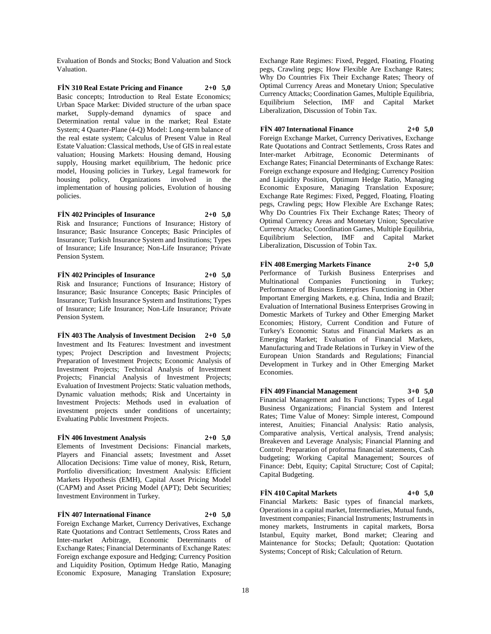Evaluation of Bonds and Stocks; Bond Valuation and Stock Valuation.

**FİN 310 Real Estate Pricing and Finance 2+0 5,0** Basic concepts; Introduction to Real Estate Economics; Urban Space Market: Divided structure of the urban space market, Supply-demand dynamics of space and Determination rental value in the market; Real Estate System; 4 Quarter-Plane (4-Q) Model: Long-term balance of the real estate system; Calculus of Present Value in Real Estate Valuation: Classical methods, Use of GIS in real estate valuation; Housing Markets: Housing demand, Housing supply, Housing market equilibrium, The hedonic price model, Housing policies in Turkey, Legal framework for housing policy, Organizations involved in the implementation of housing policies, Evolution of housing policies.

**FİN 402 Principles of Insurance 2+0 5,0** Risk and Insurance; Functions of Insurance; History of Insurance; Basic Insurance Concepts; Basic Principles of Insurance; Turkish Insurance System and Institutions; Types of Insurance; Life Insurance; Non-Life Insurance; Private Pension System.

**FİN 402 Principles of Insurance 2+0 5,0** Risk and Insurance; Functions of Insurance; History of Insurance; Basic Insurance Concepts; Basic Principles of Insurance; Turkish Insurance System and Institutions; Types of Insurance; Life Insurance; Non-Life Insurance; Private Pension System.

**FİN 403 The Analysis of Investment Decision 2+0 5,0** Investment and Its Features: Investment and investment types; Project Description and Investment Projects; Preparation of Investment Projects; Economic Analysis of Investment Projects; Technical Analysis of Investment Projects; Financial Analysis of Investment Projects; Evaluation of Investment Projects: Static valuation methods, Dynamic valuation methods; Risk and Uncertainty in Investment Projects: Methods used in evaluation of investment projects under conditions of uncertainty; Evaluating Public Investment Projects.

## **FİN 406 Investment Analysis 2+0 5,0**

Elements of Investment Decisions: Financial markets, Players and Financial assets; Investment and Asset Allocation Decisions: Time value of money, Risk, Return, Portfolio diversification; Investment Analysis: Efficient Markets Hypothesis (EMH), Capital Asset Pricing Model (CAPM) and Asset Pricing Model (APT); Debt Securities; Investment Environment in Turkey.

## **FİN 407 International Finance 2+0 5,0**

Foreign Exchange Market, Currency Derivatives, Exchange Rate Quotations and Contract Settlements, Cross Rates and Inter-market Arbitrage, Economic Determinants of Exchange Rates; Financial Determinants of Exchange Rates: Foreign exchange exposure and Hedging; Currency Position and Liquidity Position, Optimum Hedge Ratio, Managing Economic Exposure, Managing Translation Exposure;

Exchange Rate Regimes: Fixed, Pegged, Floating, Floating pegs, Crawling pegs; How Flexible Are Exchange Rates; Why Do Countries Fix Their Exchange Rates; Theory of Optimal Currency Areas and Monetary Union; Speculative Currency Attacks; Coordination Games, Multiple Equilibria, Equilibrium Selection, IMF and Capital Market Liberalization, Discussion of Tobin Tax.

**FİN 407 International Finance 2+0 5,0**

Foreign Exchange Market, Currency Derivatives, Exchange Rate Quotations and Contract Settlements, Cross Rates and Inter-market Arbitrage, Economic Determinants of Exchange Rates; Financial Determinants of Exchange Rates: Foreign exchange exposure and Hedging; Currency Position and Liquidity Position, Optimum Hedge Ratio, Managing Economic Exposure, Managing Translation Exposure; Exchange Rate Regimes: Fixed, Pegged, Floating, Floating pegs, Crawling pegs; How Flexible Are Exchange Rates; Why Do Countries Fix Their Exchange Rates; Theory of Optimal Currency Areas and Monetary Union; Speculative Currency Attacks; Coordination Games, Multiple Equilibria, Equilibrium Selection, IMF and Capital Market Liberalization, Discussion of Tobin Tax.

**FİN 408 Emerging Markets Finance 2+0 5,0** Performance of Turkish Business Enterprises and Multinational Companies Functioning in Turkey; Performance of Business Enterprises Functioning in Other Important Emerging Markets, e.g. China, India and Brazil; Evaluation of International Business Enterprises Growing in Domestic Markets of Turkey and Other Emerging Market Economies; History, Current Condition and Future of Turkey's Economic Status and Financial Markets as an Emerging Market; Evaluation of Financial Markets, Manufacturing and Trade Relations in Turkey in View of the European Union Standards and Regulations; Financial Development in Turkey and in Other Emerging Market Economies.

**FİN 409 Financial Management 3+0 5,0** Financial Management and Its Functions; Types of Legal Business Organizations; Financial System and Interest Rates; Time Value of Money: Simple interest, Compound interest, Anuities; Financial Analysis: Ratio analysis, Comparative analysis, Vertical analysis, Trend analysis; Breakeven and Leverage Analysis; Financial Planning and Control: Preparation of proforma financial statements, Cash budgeting; Working Capital Management; Sources of Finance: Debt, Equity; Capital Structure; Cost of Capital; Capital Budgeting.

## **FİN 410 Capital Markets 4+0 5,0**

Financial Markets: Basic types of financial markets, Operations in a capital market, Intermediaries, Mutual funds, Investment companies; Financial Instruments; Instruments in money markets, Instruments in capital markets, Borsa Istanbul, Equity market, Bond market; Clearing and Maintenance for Stocks; Default; Quotation: Quotation Systems; Concept of Risk; Calculation of Return.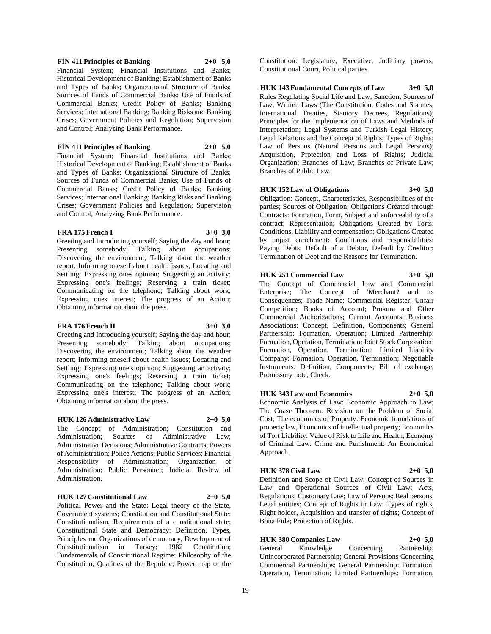## **FİN 411 Principles of Banking 2+0 5,0** Financial System; Financial Institutions and Banks;

and Control; Analyzing Bank Performance.

**FİN 411 Principles of Banking 2+0 5,0** Financial System; Financial Institutions and Banks; Historical Development of Banking; Establishment of Banks and Types of Banks; Organizational Structure of Banks; Sources of Funds of Commercial Banks; Use of Funds of Commercial Banks; Credit Policy of Banks; Banking Services; International Banking; Banking Risks and Banking Crises; Government Policies and Regulation; Supervision

Historical Development of Banking; Establishment of Banks and Types of Banks; Organizational Structure of Banks; Sources of Funds of Commercial Banks; Use of Funds of Commercial Banks; Credit Policy of Banks; Banking Services; International Banking; Banking Risks and Banking Crises; Government Policies and Regulation; Supervision and Control; Analyzing Bank Performance.

## **FRA 175 French I 3+0 3,0**

Greeting and Introducing yourself; Saying the day and hour; Presenting somebody; Talking about occupations; Discovering the environment; Talking about the weather report; Informing oneself about health issues; Locating and Settling; Expressing ones opinion; Suggesting an activity; Expressing one's feelings; Reserving a train ticket; Communicating on the telephone; Talking about work; Expressing ones interest; The progress of an Action; Obtaining information about the press.

## **FRA 176 French II 3+0 3,0**

Greeting and Introducing yourself; Saying the day and hour; Presenting somebody; Talking about occupations; Discovering the environment; Talking about the weather report; Informing oneself about health issues; Locating and Settling; Expressing one's opinion; Suggesting an activity; Expressing one's feelings; Reserving a train ticket; Communicating on the telephone; Talking about work; Expressing one's interest; The progress of an Action; Obtaining information about the press.

## **HUK 126 Administrative Law 2+0 5,0**

The Concept of Administration; Constitution and Administration; Sources of Administrative Law; Administrative Decisions; Administrative Contracts; Powers of Administration; Police Actions; Public Services; Financial Responsibility of Administration; Organization of Administration; Public Personnel; Judicial Review of Administration.

## **HUK 127 Constitutional Law 2+0 5,0**

Political Power and the State: Legal theory of the State, Government systems; Constitution and Constitutional State: Constitutionalism, Requirements of a constitutional state; Constitutional State and Democracy: Definition, Types, Principles and Organizations of democracy; Development of Constitutionalism in Turkey; 1982 Constitution; Fundamentals of Constitutional Regime: Philosophy of the Constitution, Qualities of the Republic; Power map of the

Constitution: Legislature, Executive, Judiciary powers, Constitutional Court, Political parties.

**HUK 143 Fundamental Concepts of Law 3+0 5,0** Rules Regulating Social Life and Law; Sanction; Sources of Law; Written Laws (The Constitution, Codes and Statutes, International Treaties, Stautory Decrees, Regulations); Principles for the Implementation of Laws and Methods of Interpretation; Legal Systems and Turkish Legal History; Legal Relations and the Concept of Rights; Types of Rights; Law of Persons (Natural Persons and Legal Persons); Acquisition, Protection and Loss of Rights; Judicial Organization; Branches of Law; Branches of Private Law; Branches of Public Law.

## **HUK 152 Law of Obligations 3+0 5,0**

Obligation: Concept, Characteristics, Responsibilities of the parties; Sources of Obligation; Obligations Created through Contracts: Formation, Form, Subject and enforceability of a contract; Representation; Obligations Created by Torts: Conditions, Liability and compensation; Obligations Created by unjust enrichment: Conditions and responsibilities; Paying Debts; Default of a Debtor, Default by Creditor; Termination of Debt and the Reasons for Termination.

## **HUK 251 Commercial Law 3+0 5,0**

The Concept of Commercial Law and Commercial Enterprise; The Concept of 'Merchant? and its Consequences; Trade Name; Commercial Register; Unfair Competition; Books of Account; Prokura and Other Commercial Authorizations; Current Accounts; Business Associations: Concept, Definition, Components; General Partnership: Formation, Operation; Limited Partnership: Formation, Operation, Termination; Joint Stock Corporation: Formation, Operation, Termination; Limited Liability Company: Formation, Operation, Termination; Negotiable Instruments: Definition, Components; Bill of exchange, Promissory note, Check.

## **HUK 343 Law and Economics 2+0 5,0**

Economic Analysis of Law: Economic Approach to Law; The Coase Theorem: Revision on the Problem of Social Cost; The economics of Property: Economic foundations of property law, Economics of intellectual property; Economics of Tort Liability: Value of Risk to Life and Health; Economy of Criminal Law: Crime and Punishment: An Economical Approach.

## **HUK 378 Civil Law 2+0 5,0**

Definition and Scope of Civil Law; Concept of Sources in Law and Operational Sources of Civil Law; Acts, Regulations; Customary Law; Law of Persons: Real persons, Legal entities; Concept of Rights in Law: Types of rights, Right holder, Acquisition and transfer of rights; Concept of Bona Fide; Protection of Rights.

## **HUK 380 Companies Law 2+0 5,0**

General Knowledge Concerning Partnership; Unincorporated Partnership; General Provisions Concerning Commercial Partnerships; General Partnership: Formation, Operation, Termination; Limited Partnerships: Formation,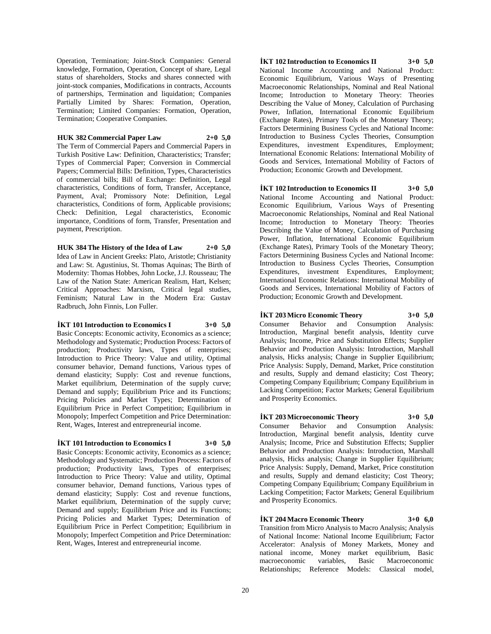Operation, Termination; Joint-Stock Companies: General knowledge, Formation, Operation, Concept of share, Legal status of shareholders, Stocks and shares connected with joint-stock companies, Modifications in contracts, Accounts of partnerships, Termination and liquidation; Companies Partially Limited by Shares: Formation, Operation, Termination; Limited Companies: Formation, Operation, Termination; Cooperative Companies.

## **HUK 382 Commercial Paper Law 2+0 5,0**

The Term of Commercial Papers and Commercial Papers in Turkish Positive Law: Definition, Characteristics; Transfer; Types of Commercial Paper; Conversion in Commercial Papers; Commercial Bills: Definition, Types, Characteristics of commercial bills; Bill of Exchange: Definition, Legal characteristics, Conditions of form, Transfer, Acceptance, Payment, Aval; Promissory Note: Definition, Legal characteristics, Conditions of form, Applicable provisions; Check: Definition, Legal characteristics, Economic importance, Conditions of form, Transfer, Presentation and payment, Prescription.

**HUK 384 The History of the Idea of Law 2+0 5,0** Idea of Law in Ancient Greeks: Plato, Aristotle; Christianity and Law: St. Agustinius, St. Thomas Aquinas; The Birth of Modernity: Thomas Hobbes, John Locke, J.J. Rousseau; The Law of the Nation State: American Realism, Hart, Kelsen; Critical Approaches: Marxism, Critical legal studies, Feminism; Natural Law in the Modern Era: Gustav Radbruch, John Finnis, Lon Fuller.

## **İKT 101 Introduction to Economics I 3+0 5,0**

Basic Concepts: Economic activity, Economics as a science; Methodology and Systematic; Production Process: Factors of production; Productivity laws, Types of enterprises; Introduction to Price Theory: Value and utility, Optimal consumer behavior, Demand functions, Various types of demand elasticity; Supply: Cost and revenue functions, Market equilibrium, Determination of the supply curve; Demand and supply; Equilibrium Price and its Functions; Pricing Policies and Market Types; Determination of Equilibrium Price in Perfect Competition; Equilibrium in Monopoly; Imperfect Competition and Price Determination: Rent, Wages, Interest and entrepreneurial income.

## **İKT 101 Introduction to Economics I 3+0 5,0**

Basic Concepts: Economic activity, Economics as a science; Methodology and Systematic; Production Process: Factors of production; Productivity laws, Types of enterprises; Introduction to Price Theory: Value and utility, Optimal consumer behavior, Demand functions, Various types of demand elasticity; Supply: Cost and revenue functions, Market equilibrium, Determination of the supply curve; Demand and supply; Equilibrium Price and its Functions; Pricing Policies and Market Types; Determination of Equilibrium Price in Perfect Competition; Equilibrium in Monopoly; Imperfect Competition and Price Determination: Rent, Wages, Interest and entrepreneurial income.

**İKT 102 Introduction to Economics II 3+0 5,0** National Income Accounting and National Product: Economic Equilibrium, Various Ways of Presenting Macroeconomic Relationships, Nominal and Real National Income; Introduction to Monetary Theory: Theories Describing the Value of Money, Calculation of Purchasing Power, Inflation, International Economic Equilibrium (Exchange Rates), Primary Tools of the Monetary Theory; Factors Determining Business Cycles and National Income: Introduction to Business Cycles Theories, Consumption Expenditures, investment Expenditures, Employment; International Economic Relations: International Mobility of Goods and Services, International Mobility of Factors of Production; Economic Growth and Development.

**İKT 102 Introduction to Economics II 3+0 5,0** National Income Accounting and National Product: Economic Equilibrium, Various Ways of Presenting Macroeconomic Relationships, Nominal and Real National Income; Introduction to Monetary Theory: Theories Describing the Value of Money, Calculation of Purchasing Power, Inflation, International Economic Equilibrium (Exchange Rates), Primary Tools of the Monetary Theory; Factors Determining Business Cycles and National Income: Introduction to Business Cycles Theories, Consumption Expenditures, investment Expenditures, Employment; International Economic Relations: International Mobility of Goods and Services, International Mobility of Factors of Production; Economic Growth and Development.

## **İKT 203 Micro Economic Theory 3+0 5,0**

Consumer Behavior and Consumption Analysis: Introduction, Marginal benefit analysis, Identity curve Analysis; Income, Price and Substitution Effects; Supplier Behavior and Production Analysis: Introduction, Marshall analysis, Hicks analysis; Change in Supplier Equilibrium; Price Analysis: Supply, Demand, Market, Price constitution and results, Supply and demand elasticity; Cost Theory; Competing Company Equilibrium; Company Equilibrium in Lacking Competition; Factor Markets; General Equilibrium and Prosperity Economics.

**İKT 203 Microeconomic Theory 3+0 5,0** Consumer Behavior and Consumption Analysis: Introduction, Marginal benefit analysis, Identity curve Analysis; Income, Price and Substitution Effects; Supplier Behavior and Production Analysis: Introduction, Marshall analysis, Hicks analysis; Change in Supplier Equilibrium; Price Analysis: Supply, Demand, Market, Price constitution and results, Supply and demand elasticity; Cost Theory; Competing Company Equilibrium; Company Equilibrium in Lacking Competition; Factor Markets; General Equilibrium and Prosperity Economics.

**İKT 204 Macro Economic Theory 3+0 6,0** Transition from Micro Analysis to Macro Analysis; Analysis of National Income: National Income Equilibrium; Factor Accelerator: Analysis of Money Markets, Money and national income, Money market equilibrium, Basic macroeconomic variables, Basic Macroeconomic Relationships; Reference Models: Classical model,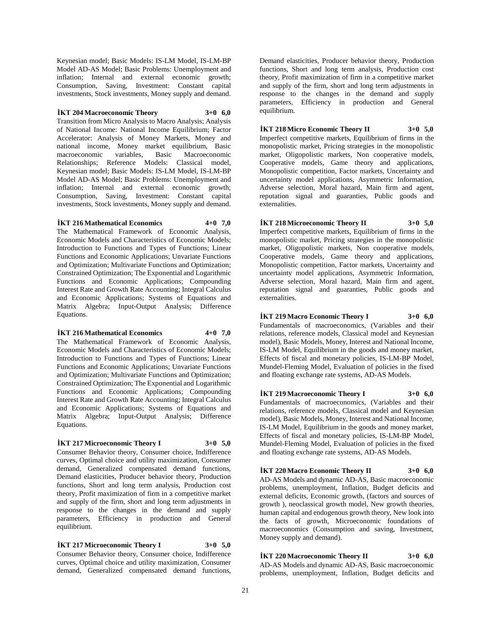Keynesian model; Basic Models: IS-LM Model, IS-LM-BP Model AD-AS Model; Basic Problems: Unemployment and inflation; Internal and external economic growth; Consumption, Saving, Investment: Constant capital investments, Stock investments, Money supply and demand.

**İKT 204 Macroeconomic Theory 3+0 6,0** Transition from Micro Analysis to Macro Analysis; Analysis of National Income: National Income Equilibrium; Factor Accelerator: Analysis of Money Markets, Money and national income, Money market equilibrium, Basic macroeconomic variables, Basic Macroeconomic Relationships; Reference Models: Classical model, Keynesian model; Basic Models: IS-LM Model, IS-LM-BP Model AD-AS Model; Basic Problems: Unemployment and inflation; Internal and external economic growth; Consumption, Saving, Investment: Constant capital investments, Stock investments, Money supply and demand.

## **İKT 216 Mathematical Economics 4+0 7,0**

The Mathematical Framework of Economic Analysis, Economic Models and Characteristics of Economic Models; Introduction to Functions and Types of Functions; Linear Functions and Economic Applications; Unvariate Functions and Optimization; Multivariate Functions and Optimization; Constrained Optimization; The Exponential and Logarithmic Functions and Economic Applications; Compounding Interest Rate and Growth Rate Accounting; Integral Calculus and Economic Applications; Systems of Equations and Matrix Algebra; Input-Output Analysis; Difference Equations.

#### **İKT 216 Mathematical Economics 4+0 7,0**

The Mathematical Framework of Economic Analysis, Economic Models and Characteristics of Economic Models; Introduction to Functions and Types of Functions; Linear Functions and Economic Applications; Unvariate Functions and Optimization; Multivariate Functions and Optimization; Constrained Optimization; The Exponential and Logarithmic Functions and Economic Applications; Compounding Interest Rate and Growth Rate Accounting; Integral Calculus and Economic Applications; Systems of Equations and Matrix Algebra; Input-Output Analysis; Difference Equations.

#### **İKT 217 Microeconomic Theory I 3+0 5,0**

Consumer Behavior theory, Consumer choice, Indifference curves, Optimal choice and utility maximization, Consumer demand, Generalized compensated demand functions, Demand elasticities, Producer behavior theory, Production functions, Short and long term analysis, Production cost theory, Profit maximization of firm in a competitive market and supply of the firm, short and long term adjustments in response to the changes in the demand and supply parameters, Efficiency in production and General equilibrium.

## **İKT 217 Microeconomic Theory I 3+0 5,0**

Consumer Behavior theory, Consumer choice, Indifference curves, Optimal choice and utility maximization, Consumer demand, Generalized compensated demand functions,

Demand elasticities, Producer behavior theory, Production functions, Short and long term analysis, Production cost theory, Profit maximization of firm in a competitive market and supply of the firm, short and long term adjustments in response to the changes in the demand and supply parameters, Efficiency in production and General equilibrium.

## **İKT 218 Micro Economic Theory II 3+0 5,0**

Imperfect competitive markets, Equilibrium of firms in the monopolistic market, Pricing strategies in the monopolistic market, Oligopolistic markets, Non cooperative models, Cooperative models, Game theory and applications, Monopolistic competition, Factor markets, Uncertainty and uncertainty model applications, Asymmetric Information, Adverse selection, Moral hazard, Main firm and agent, reputation signal and guaranties, Public goods and externalities.

**İKT 218 Microeconomic Theory II 3+0 5,0** Imperfect competitive markets, Equilibrium of firms in the monopolistic market, Pricing strategies in the monopolistic market, Oligopolistic markets, Non cooperative models, Cooperative models, Game theory and applications, Monopolistic competition, Factor markets, Uncertainty and uncertainty model applications, Asymmetric Information, Adverse selection, Moral hazard, Main firm and agent, reputation signal and guaranties, Public goods and externalities.

**İKT 219 Macro Economic Theory I 3+0 6,0** Fundamentals of macroeconomics, (Variables and their relations, reference models, Classical model and Keynesian model), Basic Models, Money, Interest and National Income, IS-LM Model, Equilibrium in the goods and money market, Effects of fiscal and monetary policies, IS-LM-BP Model, Mundel-Fleming Model, Evaluation of policies in the fixed and floating exchange rate systems, AD-AS Models.

**İKT 219 Macroeconomic Theory I 3+0 6,0** Fundamentals of macroeconomics, (Variables and their relations, reference models, Classical model and Keynesian model), Basic Models, Money, Interest and National Income, IS-LM Model, Equilibrium in the goods and money market, Effects of fiscal and monetary policies, IS-LM-BP Model, Mundel-Fleming Model, Evaluation of policies in the fixed and floating exchange rate systems, AD-AS Models.

**İKT 220 Macro Economic Theory II 3+0 6,0** AD-AS Models and dynamic AD-AS, Basic macroeconomic problems, unemployment, Inflation, Budget deficits and external deficits, Economic growth, (factors and sources of growth ), neoclassical growth model, New growth theories, human capital and endogenous growth theory, New look into the facts of growth, Microeconomic foundations of macroeconomics (Consumption and saving, Investment, Money supply and demand).

**İKT 220 Macroeconomic Theory II 3+0 6,0**

AD-AS Models and dynamic AD-AS, Basic macroeconomic problems, unemployment, Inflation, Budget deficits and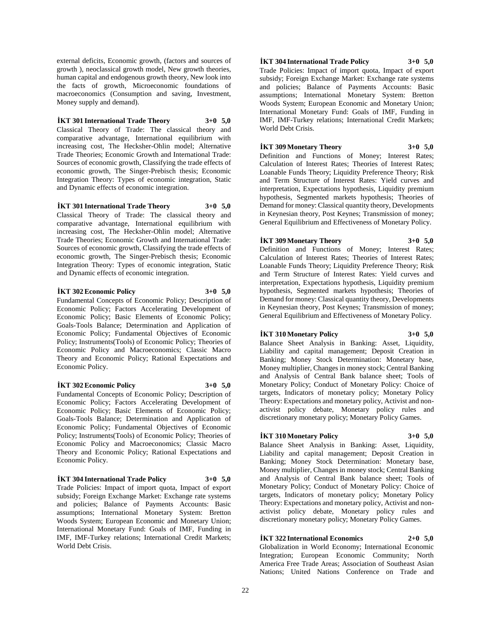external deficits, Economic growth, (factors and sources of growth ), neoclassical growth model, New growth theories, human capital and endogenous growth theory, New look into the facts of growth, Microeconomic foundations of macroeconomics (Consumption and saving, Investment, Money supply and demand).

## **İKT 301 International Trade Theory 3+0 5,0**

Classical Theory of Trade: The classical theory and comparative advantage, International equilibrium with increasing cost, The Hecksher-Ohlin model; Alternative Trade Theories; Economic Growth and International Trade: Sources of economic growth, Classifying the trade effects of economic growth, The Singer-Prebisch thesis; Economic Integration Theory: Types of economic integration, Static and Dynamic effects of economic integration.

**İKT 301 International Trade Theory 3+0 5,0**

Classical Theory of Trade: The classical theory and comparative advantage, International equilibrium with increasing cost, The Hecksher-Ohlin model; Alternative Trade Theories; Economic Growth and International Trade: Sources of economic growth, Classifying the trade effects of economic growth, The Singer-Prebisch thesis; Economic Integration Theory: Types of economic integration, Static and Dynamic effects of economic integration.

#### **İKT 302 Economic Policy 3+0 5,0**

Fundamental Concepts of Economic Policy; Description of Economic Policy; Factors Accelerating Development of Economic Policy; Basic Elements of Economic Policy; Goals-Tools Balance; Determination and Application of Economic Policy; Fundamental Objectives of Economic Policy; Instruments(Tools) of Economic Policy; Theories of Economic Policy and Macroeconomics; Classic Macro Theory and Economic Policy; Rational Expectations and Economic Policy.

## **İKT 302 Economic Policy 3+0 5,0**

Fundamental Concepts of Economic Policy: Description of Economic Policy; Factors Accelerating Development of Economic Policy; Basic Elements of Economic Policy; Goals-Tools Balance; Determination and Application of Economic Policy; Fundamental Objectives of Economic Policy; Instruments(Tools) of Economic Policy; Theories of Economic Policy and Macroeconomics; Classic Macro Theory and Economic Policy; Rational Expectations and Economic Policy.

## **İKT 304 International Trade Policy 3+0 5,0**

Trade Policies: Impact of import quota, Impact of export subsidy; Foreign Exchange Market: Exchange rate systems and policies; Balance of Payments Accounts: Basic assumptions; International Monetary System: Bretton Woods System; European Economic and Monetary Union; International Monetary Fund: Goals of IMF, Funding in IMF, IMF-Turkey relations; International Credit Markets; World Debt Crisis.

## **İKT 304 International Trade Policy 3+0 5,0**

Trade Policies: Impact of import quota, Impact of export subsidy; Foreign Exchange Market: Exchange rate systems and policies; Balance of Payments Accounts: Basic assumptions; International Monetary System: Bretton Woods System; European Economic and Monetary Union; International Monetary Fund: Goals of IMF, Funding in IMF, IMF-Turkey relations; International Credit Markets; World Debt Crisis.

## **İKT 309 Monetary Theory 3+0 5,0**

Definition and Functions of Money; Interest Rates; Calculation of Interest Rates; Theories of Interest Rates; Loanable Funds Theory; Liquidity Preference Theory; Risk and Term Structure of Interest Rates: Yield curves and interpretation, Expectations hypothesis, Liquidity premium hypothesis, Segmented markets hypothesis; Theories of Demand for money: Classical quantity theory, Developments in Keynesian theory, Post Keynes; Transmission of money; General Equilibrium and Effectiveness of Monetary Policy.

## **İKT 309 Monetary Theory 3+0 5,0**

Definition and Functions of Money; Interest Rates; Calculation of Interest Rates; Theories of Interest Rates; Loanable Funds Theory; Liquidity Preference Theory; Risk and Term Structure of Interest Rates: Yield curves and interpretation, Expectations hypothesis, Liquidity premium hypothesis, Segmented markets hypothesis; Theories of Demand for money: Classical quantity theory, Developments in Keynesian theory, Post Keynes; Transmission of money; General Equilibrium and Effectiveness of Monetary Policy.

## **İKT 310 Monetary Policy 3+0 5,0**

Balance Sheet Analysis in Banking: Asset, Liquidity, Liability and capital management; Deposit Creation in Banking; Money Stock Determination: Monetary base, Money multiplier, Changes in money stock; Central Banking and Analysis of Central Bank balance sheet; Tools of Monetary Policy; Conduct of Monetary Policy: Choice of targets, Indicators of monetary policy; Monetary Policy Theory: Expectations and monetary policy, Activist and nonactivist policy debate, Monetary policy rules and discretionary monetary policy; Monetary Policy Games.

## **İKT 310 Monetary Policy 3+0 5,0**

Balance Sheet Analysis in Banking: Asset, Liquidity, Liability and capital management; Deposit Creation in Banking; Money Stock Determination: Monetary base, Money multiplier, Changes in money stock; Central Banking and Analysis of Central Bank balance sheet; Tools of Monetary Policy; Conduct of Monetary Policy: Choice of targets, Indicators of monetary policy; Monetary Policy Theory: Expectations and monetary policy, Activist and nonactivist policy debate, Monetary policy rules and discretionary monetary policy; Monetary Policy Games.

## **İKT 322 International Economics 2+0 5,0**

Globalization in World Economy; International Economic Integration; European Economic Community; North America Free Trade Areas; Association of Southeast Asian Nations; United Nations Conference on Trade and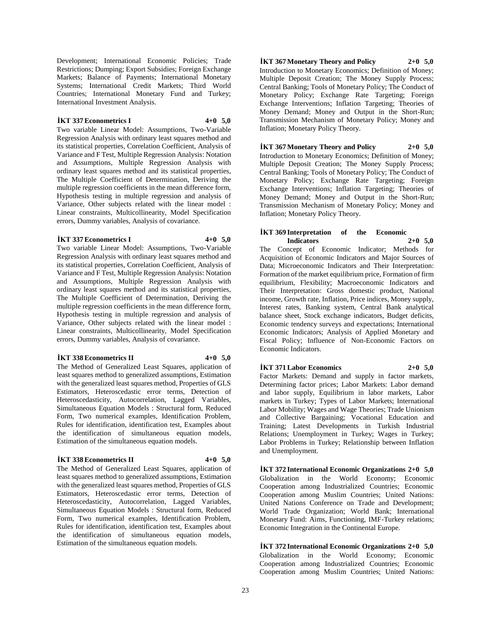Development; International Economic Policies; Trade Restrictions; Dumping; Export Subsidies; Foreign Exchange Markets; Balance of Payments; International Monetary Systems; International Credit Markets; Third World Countries; International Monetary Fund and Turkey; International Investment Analysis.

## **İKT 337 Econometrics I 4+0 5,0**

Two variable Linear Model: Assumptions, Two-Variable Regression Analysis with ordinary least squares method and its statistical properties, Correlation Coefficient, Analysis of Variance and F Test, Multiple Regression Analysis: Notation and Assumptions, Multiple Regression Analysis with ordinary least squares method and its statistical properties, The Multiple Coefficient of Determination, Deriving the multiple regression coefficients in the mean difference form, Hypothesis testing in multiple regression and analysis of Variance, Other subjects related with the linear model : Linear constraints, Multicollinearity, Model Specification errors, Dummy variables, Analysis of covariance.

## **İKT 337 Econometrics I 4+0 5,0**

Two variable Linear Model: Assumptions, Two-Variable Regression Analysis with ordinary least squares method and its statistical properties, Correlation Coefficient, Analysis of Variance and F Test, Multiple Regression Analysis: Notation and Assumptions, Multiple Regression Analysis with ordinary least squares method and its statistical properties, The Multiple Coefficient of Determination, Deriving the multiple regression coefficients in the mean difference form, Hypothesis testing in multiple regression and analysis of Variance, Other subjects related with the linear model : Linear constraints, Multicollinearity, Model Specification errors, Dummy variables, Analysis of covariance.

## **İKT 338 Econometrics II 4+0 5,0**

The Method of Generalized Least Squares, application of least squares method to generalized assumptions, Estimation with the generalized least squares method, Properties of GLS Estimators, Heteroscedastic error terms, Detection of Heteroscedasticity, Autocorrelation, Lagged Variables, Simultaneous Equation Models : Structural form, Reduced Form, Two numerical examples, Identification Problem, Rules for identification, identification test, Examples about the identification of simultaneous equation models, Estimation of the simultaneous equation models.

## **İKT 338 Econometrics II 4+0 5,0**

The Method of Generalized Least Squares, application of least squares method to generalized assumptions, Estimation with the generalized least squares method, Properties of GLS Estimators, Heteroscedastic error terms, Detection of Heteroscedasticity, Autocorrelation, Lagged Variables, Simultaneous Equation Models : Structural form, Reduced Form, Two numerical examples, Identification Problem, Rules for identification, identification test, Examples about the identification of simultaneous equation models, Estimation of the simultaneous equation models.

**İKT 367 Monetary Theory and Policy 2+0 5,0** Introduction to Monetary Economics; Definition of Money; Multiple Deposit Creation; The Money Supply Process; Central Banking; Tools of Monetary Policy; The Conduct of Monetary Policy; Exchange Rate Targeting; Foreign Exchange Interventions; Inflation Targeting; Theories of Money Demand; Money and Output in the Short-Run; Transmission Mechanism of Monetary Policy; Money and Inflation; Monetary Policy Theory.

**İKT 367 Monetary Theory and Policy 2+0 5,0** Introduction to Monetary Economics; Definition of Money; Multiple Deposit Creation; The Money Supply Process; Central Banking; Tools of Monetary Policy; The Conduct of Monetary Policy; Exchange Rate Targeting; Foreign Exchange Interventions; Inflation Targeting; Theories of Money Demand; Money and Output in the Short-Run; Transmission Mechanism of Monetary Policy; Money and Inflation; Monetary Policy Theory.

## **İKT 369 Interpretation of the Economic Indicators 2+0 5,0**

The Concept of Economic Indicator; Methods for Acquisition of Economic Indicators and Major Sources of Data; Microeconomic Indicators and Their Interpretation: Formation of the market equilibrium price, Formation of firm equilibrium, Flexibility; Macroeconomic Indicators and Their Interpretation: Gross domestic product, National income, Growth rate, Inflation, Price indices, Money supply, Interest rates, Banking system, Central Bank analytical balance sheet, Stock exchange indicators, Budget deficits, Economic tendency surveys and expectations; International Economic Indicators; Analysis of Applied Monetary and Fiscal Policy; Influence of Non-Economic Factors on Economic Indicators.

## **İKT 371 Labor Economics 2+0 5,0**

Factor Markets: Demand and supply in factor markets, Determining factor prices; Labor Markets: Labor demand and labor supply, Equilibrium in labor markets, Labor markets in Turkey; Types of Labor Markets; International Labor Mobility; Wages and Wage Theories; Trade Unionism and Collective Bargaining; Vocational Education and Training; Latest Developments in Turkish Industrial Relations; Unemployment in Turkey; Wages in Turkey; Labor Problems in Turkey; Relationship between Inflation and Unemployment.

**İKT 372 International Economic Organizations 2+0 5,0** Globalization in the World Economy; Economic Cooperation among Industrialized Countries; Economic Cooperation among Muslim Countries; United Nations: United Nations Conference on Trade and Development; World Trade Organization; World Bank; International Monetary Fund: Aims, Functioning, IMF-Turkey relations; Economic Integration in the Continental Europe.

**İKT 372 International Economic Organizations 2+0 5,0** Globalization in the World Economy; Economic Cooperation among Industrialized Countries; Economic Cooperation among Muslim Countries; United Nations: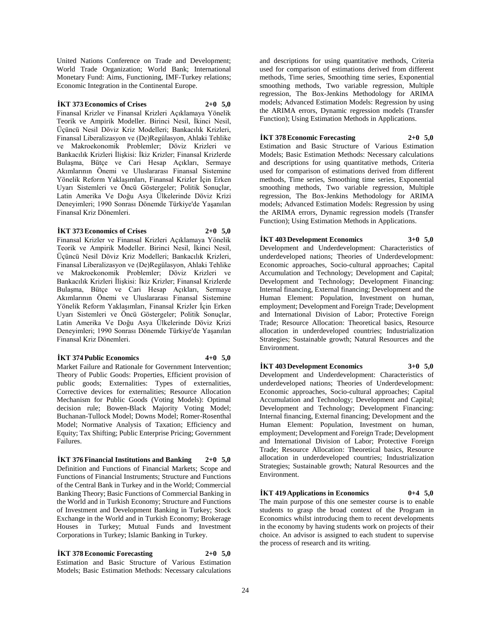United Nations Conference on Trade and Development; World Trade Organization; World Bank; International Monetary Fund: Aims, Functioning, IMF-Turkey relations; Economic Integration in the Continental Europe.

## **İKT 373 Economics of Crises 2+0 5,0**

Finansal Krizler ve Finansal Krizleri Açıklamaya Yönelik Teorik ve Ampirik Modeller. Birinci Nesil, İkinci Nesil, Üçüncü Nesil Döviz Kriz Modelleri; Bankacılık Krizleri, Finansal Liberalizasyon ve (De)Regülasyon, Ahlaki Tehlike ve Makroekonomik Problemler; Döviz Krizleri ve Bankacılık Krizleri İlişkisi: İkiz Krizler; Finansal Krizlerde Bulaşma, Bütçe ve Cari Hesap Açıkları, Sermaye Akımlarının Önemi ve Uluslararası Finansal Sistemine Yönelik Reform Yaklaşımları, Finansal Krizler İçin Erken Uyarı Sistemleri ve Öncü Göstergeler; Politik Sonuçlar, Latin Amerika Ve Doğu Asya Ülkelerinde Döviz Krizi Deneyimleri; 1990 Sonrası Dönemde Türkiye'de Yaşanılan Finansal Kriz Dönemleri.

## **İKT 373 Economics of Crises 2+0 5,0**

Finansal Krizler ve Finansal Krizleri Açıklamaya Yönelik Teorik ve Ampirik Modeller. Birinci Nesil, İkinci Nesil, Üçüncü Nesil Döviz Kriz Modelleri; Bankacılık Krizleri, Finansal Liberalizasyon ve (De)Regülasyon, Ahlaki Tehlike ve Makroekonomik Problemler; Döviz Krizleri ve Bankacılık Krizleri İlişkisi: İkiz Krizler; Finansal Krizlerde Bulaşma, Bütçe ve Cari Hesap Açıkları, Sermaye Akımlarının Önemi ve Uluslararası Finansal Sistemine Yönelik Reform Yaklaşımları, Finansal Krizler İçin Erken Uyarı Sistemleri ve Öncü Göstergeler; Politik Sonuçlar, Latin Amerika Ve Doğu Asya Ülkelerinde Döviz Krizi Deneyimleri; 1990 Sonrası Dönemde Türkiye'de Yaşanılan Finansal Kriz Dönemleri.

## **İKT 374 Public Economics 4+0 5,0**

Market Failure and Rationale for Government Intervention; Theory of Public Goods: Properties, Efficient provision of public goods; Externalities: Types of externalities, Corrective devices for externalities; Resource Allocation Mechanism for Public Goods (Voting Models): Optimal decision rule; Bowen-Black Majority Voting Model; Buchanan-Tullock Model; Downs Model; Romer-Rosenthal Model; Normative Analysis of Taxation; Efficiency and Equity; Tax Shifting; Public Enterprise Pricing; Government Failures.

**İKT 376 Financial Institutions and Banking 2+0 5,0** Definition and Functions of Financial Markets; Scope and Functions of Financial Instruments; Structure and Functions of the Central Bank in Turkey and in the World; Commercial Banking Theory; Basic Functions of Commercial Banking in the World and in Turkish Economy; Structure and Functions of Investment and Development Banking in Turkey; Stock Exchange in the World and in Turkish Economy; Brokerage Houses in Turkey; Mutual Funds and Investment Corporations in Turkey; Islamic Banking in Turkey.

**İKT 378 Economic Forecasting 2+0 5,0** Estimation and Basic Structure of Various Estimation Models; Basic Estimation Methods: Necessary calculations

and descriptions for using quantitative methods, Criteria used for comparison of estimations derived from different methods, Time series, Smoothing time series, Exponential smoothing methods, Two variable regression, Multiple regression, The Box-Jenkins Methodology for ARIMA models; Advanced Estimation Models: Regression by using the ARIMA errors, Dynamic regression models (Transfer Function); Using Estimation Methods in Applications.

## **İKT 378 Economic Forecasting 2+0 5,0**

Estimation and Basic Structure of Various Estimation Models; Basic Estimation Methods: Necessary calculations and descriptions for using quantitative methods, Criteria used for comparison of estimations derived from different methods, Time series, Smoothing time series, Exponential smoothing methods, Two variable regression, Multiple regression, The Box-Jenkins Methodology for ARIMA models; Advanced Estimation Models: Regression by using the ARIMA errors, Dynamic regression models (Transfer Function); Using Estimation Methods in Applications.

**İKT 403 Development Economics 3+0 5,0** Development and Underdevelopment: Characteristics of underdeveloped nations; Theories of Underdevelopment: Economic approaches, Socio-cultural approaches; Capital Accumulation and Technology; Development and Capital; Development and Technology; Development Financing: Internal financing, External financing; Development and the Human Element: Population, Investment on human, employment; Development and Foreign Trade; Development and International Division of Labor; Protective Foreign Trade; Resource Allocation: Theoretical basics, Resource allocation in underdeveloped countries; Industrialization Strategies; Sustainable growth; Natural Resources and the Environment.

**İKT 403 Development Economics 3+0 5,0** Development and Underdevelopment: Characteristics of

underdeveloped nations; Theories of Underdevelopment: Economic approaches, Socio-cultural approaches; Capital Accumulation and Technology; Development and Capital; Development and Technology; Development Financing: Internal financing, External financing; Development and the Human Element: Population, Investment on human, employment; Development and Foreign Trade; Development and International Division of Labor; Protective Foreign Trade; Resource Allocation: Theoretical basics, Resource allocation in underdeveloped countries; Industrialization Strategies; Sustainable growth; Natural Resources and the Environment.

## **İKT 419 Applications in Economics 0+4 5,0**

The main purpose of this one semester course is to enable students to grasp the broad context of the Program in Economics whilst introducing them to recent developments in the economy by having students work on projects of their choice. An advisor is assigned to each student to supervise the process of research and its writing.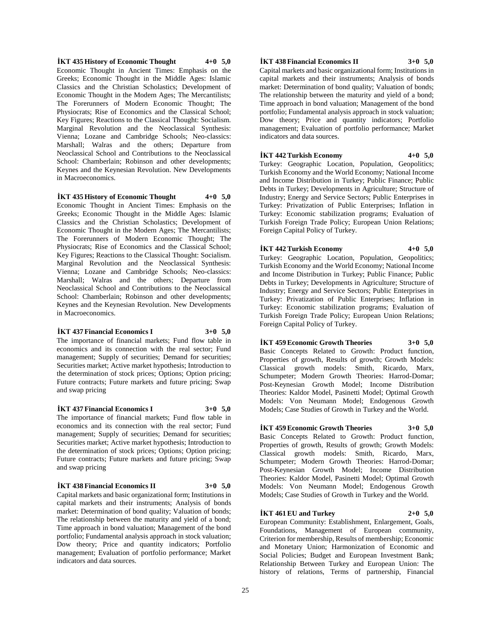**İKT 435 History of Economic Thought 4+0 5,0** Economic Thought in Ancient Times: Emphasis on the Greeks; Economic Thought in the Middle Ages: Islamic Classics and the Christian Scholastics; Development of Economic Thought in the Modern Ages; The Mercantilists; The Forerunners of Modern Economic Thought; The Physiocrats; Rise of Economics and the Classical School; Key Figures; Reactions to the Classical Thought: Socialism. Marginal Revolution and the Neoclassical Synthesis: Vienna; Lozane and Cambridge Schools; Neo-classics: Marshall; Walras and the others; Departure from Neoclassical School and Contributions to the Neoclassical School: Chamberlain; Robinson and other developments; Keynes and the Keynesian Revolution. New Developments in Macroeconomics.

**İKT 435 History of Economic Thought 4+0 5,0** Economic Thought in Ancient Times: Emphasis on the Greeks; Economic Thought in the Middle Ages: Islamic Classics and the Christian Scholastics; Development of Economic Thought in the Modern Ages; The Mercantilists; The Forerunners of Modern Economic Thought; The Physiocrats; Rise of Economics and the Classical School; Key Figures; Reactions to the Classical Thought: Socialism. Marginal Revolution and the Neoclassical Synthesis: Vienna; Lozane and Cambridge Schools; Neo-classics: Marshall; Walras and the others; Departure from Neoclassical School and Contributions to the Neoclassical School: Chamberlain: Robinson and other developments: Keynes and the Keynesian Revolution. New Developments in Macroeconomics.

## **İKT 437 Financial Economics I 3+0 5,0**

The importance of financial markets; Fund flow table in economics and its connection with the real sector; Fund management; Supply of securities; Demand for securities; Securities market; Active market hypothesis; Introduction to the determination of stock prices; Options; Option pricing; Future contracts; Future markets and future pricing; Swap and swap pricing

## **İKT 437 Financial Economics I 3+0 5,0**

The importance of financial markets; Fund flow table in economics and its connection with the real sector; Fund management; Supply of securities; Demand for securities; Securities market; Active market hypothesis; Introduction to the determination of stock prices; Options; Option pricing; Future contracts; Future markets and future pricing; Swap and swap pricing

## **İKT 438 Financial Economics II 3+0 5,0**

Capital markets and basic organizational form; Institutions in capital markets and their instruments; Analysis of bonds market: Determination of bond quality; Valuation of bonds; The relationship between the maturity and yield of a bond; Time approach in bond valuation; Management of the bond portfolio; Fundamental analysis approach in stock valuation; Dow theory; Price and quantity indicators; Portfolio management; Evaluation of portfolio performance; Market indicators and data sources.

## **İKT 438 Financial Economics II 3+0 5,0**

Capital markets and basic organizational form; Institutions in capital markets and their instruments; Analysis of bonds market: Determination of bond quality; Valuation of bonds; The relationship between the maturity and yield of a bond; Time approach in bond valuation; Management of the bond portfolio; Fundamental analysis approach in stock valuation; Dow theory; Price and quantity indicators; Portfolio management; Evaluation of portfolio performance; Market indicators and data sources.

## **İKT 442 Turkish Economy 4+0 5,0**

Turkey: Geographic Location, Population, Geopolitics; Turkish Economy and the World Economy; National Income and Income Distribution in Turkey; Public Finance; Public Debts in Turkey; Developments in Agriculture; Structure of Industry; Energy and Service Sectors; Public Enterprises in Turkey: Privatization of Public Enterprises; Inflation in Turkey: Economic stabilization programs; Evaluation of Turkish Foreign Trade Policy; European Union Relations; Foreign Capital Policy of Turkey.

**İKT 442 Turkish Economy 4+0 5,0** Turkey: Geographic Location, Population, Geopolitics; Turkish Economy and the World Economy; National Income and Income Distribution in Turkey; Public Finance; Public Debts in Turkey; Developments in Agriculture; Structure of Industry; Energy and Service Sectors; Public Enterprises in Turkey: Privatization of Public Enterprises; Inflation in Turkey: Economic stabilization programs; Evaluation of Turkish Foreign Trade Policy; European Union Relations; Foreign Capital Policy of Turkey.

**İKT 459 Economic Growth Theories 3+0 5,0** Basic Concepts Related to Growth: Product function, Properties of growth, Results of growth; Growth Models: Classical growth models: Smith, Ricardo, Marx, Schumpeter; Modern Growth Theories: Harrod-Domar; Post-Keynesian Growth Model; Income Distribution Theories: Kaldor Model, Pasinetti Model; Optimal Growth Models: Von Neumann Model; Endogenous Growth Models; Case Studies of Growth in Turkey and the World.

## **İKT 459 Economic Growth Theories 3+0 5,0** Basic Concepts Related to Growth: Product function, Properties of growth, Results of growth; Growth Models: Classical growth models: Smith, Ricardo, Marx, Schumpeter; Modern Growth Theories: Harrod-Domar; Post-Keynesian Growth Model; Income Distribution Theories: Kaldor Model, Pasinetti Model; Optimal Growth Models: Von Neumann Model; Endogenous Growth Models; Case Studies of Growth in Turkey and the World.

## **İKT 461 EU and Turkey 2+0 5,0**

European Community: Establishment, Enlargement, Goals, Foundations, Management of European community, Criterion for membership, Results of membership; Economic and Monetary Union; Harmonization of Economic and Social Policies; Budget and European Investment Bank; Relationship Between Turkey and European Union: The history of relations, Terms of partnership, Financial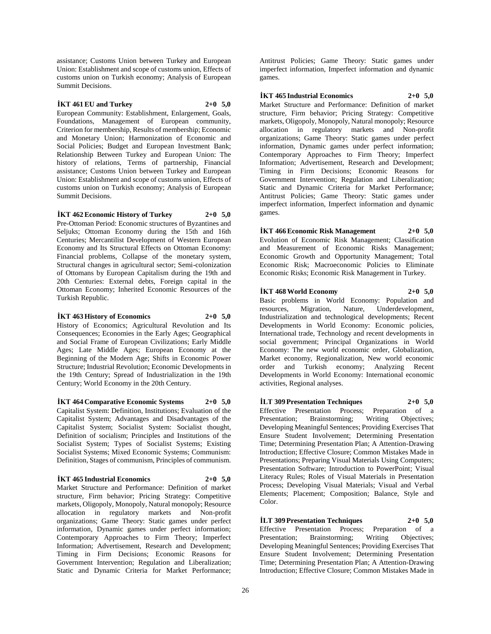assistance; Customs Union between Turkey and European Union: Establishment and scope of customs union, Effects of customs union on Turkish economy; Analysis of European Summit Decisions.

## **İKT 461 EU and Turkey 2+0 5,0**

European Community: Establishment, Enlargement, Goals, Foundations, Management of European community, Criterion for membership, Results of membership; Economic and Monetary Union; Harmonization of Economic and Social Policies; Budget and European Investment Bank; Relationship Between Turkey and European Union: The history of relations, Terms of partnership, Financial assistance; Customs Union between Turkey and European Union: Establishment and scope of customs union, Effects of customs union on Turkish economy; Analysis of European Summit Decisions.

**İKT 462 Economic History of Turkey 2+0 5,0**

Pre-Ottoman Period: Economic structures of Byzantines and Seljuks; Ottoman Economy during the 15th and 16th Centuries; Mercantilist Development of Western European Economy and Its Structural Effects on Ottoman Economy: Financial problems, Collapse of the monetary system. Structural changes in agricultural sector; Semi-colonization of Ottomans by European Capitalism during the 19th and 20th Centuries: External debts, Foreign capital in the Ottoman Economy; Inherited Economic Resources of the Turkish Republic.

## **İKT 463 History of Economics 2+0 5,0**

History of Economics; Agricultural Revolution and Its Consequences; Economies in the Early Ages; Geographical and Social Frame of European Civilizations; Early Middle Ages; Late Middle Ages; European Economy at the Beginning of the Modern Age; Shifts in Economic Power Structure; Industrial Revolution; Economic Developments in the 19th Century; Spread of Industrialization in the 19th Century; World Economy in the 20th Century.

**İKT 464 Comparative Economic Systems 2+0 5,0** Capitalist System: Definition, Institutions; Evaluation of the Capitalist System; Advantages and Disadvantages of the Capitalist System; Socialist System: Socialist thought, Definition of socialism; Principles and Institutions of the Socialist System; Types of Socialist Systems; Existing Socialist Systems; Mixed Economic Systems; Communism: Definition, Stages of communism, Principles of communism.

## **İKT 465 Industrial Economics 2+0 5,0**

Market Structure and Performance: Definition of market structure, Firm behavior; Pricing Strategy: Competitive markets, Oligopoly, Monopoly, Natural monopoly; Resource allocation in regulatory markets and Non-profit organizations; Game Theory: Static games under perfect information, Dynamic games under perfect information; Contemporary Approaches to Firm Theory; Imperfect Information; Advertisement, Research and Development; Timing in Firm Decisions; Economic Reasons for Government Intervention; Regulation and Liberalization; Static and Dynamic Criteria for Market Performance;

Antitrust Policies; Game Theory: Static games under imperfect information, Imperfect information and dynamic games.

**İKT 465 Industrial Economics 2+0 5,0**

Market Structure and Performance: Definition of market structure, Firm behavior; Pricing Strategy: Competitive markets, Oligopoly, Monopoly, Natural monopoly; Resource allocation in regulatory markets and Non-profit organizations; Game Theory: Static games under perfect information, Dynamic games under perfect information; Contemporary Approaches to Firm Theory; Imperfect Information; Advertisement, Research and Development; Timing in Firm Decisions; Economic Reasons for Government Intervention; Regulation and Liberalization; Static and Dynamic Criteria for Market Performance; Antitrust Policies; Game Theory: Static games under imperfect information, Imperfect information and dynamic games.

## **İKT 466 Economic Risk Management 2+0 5,0**

Evolution of Economic Risk Management; Classification and Measurement of Economic Risks Management; Economic Growth and Opportunity Management; Total Economic Risk; Macroeconomic Policies to Eliminate Economic Risks; Economic Risk Management in Turkey.

**İKT 468 World Economy 2+0 5,0** Basic problems in World Economy: Population and resources, Migration, Nature, Underdevelopment, Industrialization and technological developments; Recent Developments in World Economy: Economic policies, International trade, Technology and recent developments in social government; Principal Organizations in World

Economy: The new world economic order, Globalization, Market economy, Regionalization, New world economic order and Turkish economy; Analyzing Recent Developments in World Economy: International economic activities, Regional analyses.

**İLT 309 Presentation Techniques 2+0 5,0** Effective Presentation Process; Preparation of a<br>Presentation: Brainstorming; Writing Objectives; Presentation; Brainstorming; Writing Objectives; Developing Meaningful Sentences; Providing Exercises That Ensure Student Involvement; Determining Presentation Time; Determining Presentation Plan; A Attention-Drawing Introduction; Effective Closure; Common Mistakes Made in Presentations; Preparing Visual Materials Using Computers; Presentation Software; Introduction to PowerPoint; Visual Literacy Rules; Roles of Visual Materials in Presentation Process; Developing Visual Materials; Visual and Verbal Elements; Placement; Composition; Balance, Style and Color.

**İLT 309 Presentation Techniques 2+0 5,0** Effective Presentation Process; Preparation Presentation; Brainstorming; Writing Objectives; Developing Meaningful Sentences; Providing Exercises That Ensure Student Involvement; Determining Presentation Time; Determining Presentation Plan; A Attention-Drawing Introduction; Effective Closure; Common Mistakes Made in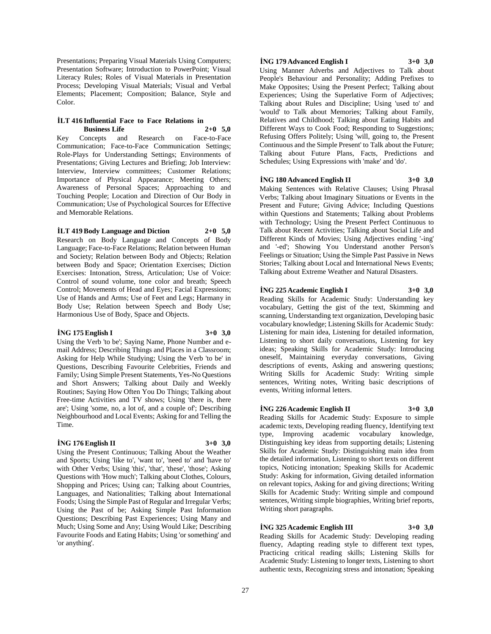Presentations; Preparing Visual Materials Using Computers; Presentation Software; Introduction to PowerPoint; Visual Literacy Rules; Roles of Visual Materials in Presentation Process; Developing Visual Materials; Visual and Verbal Elements; Placement; Composition; Balance, Style and Color.

## **İLT 416 Influential Face to Face Relations in Business Life 2+0 5,0**

Key Concepts and Research on Face-to-Face Communication; Face-to-Face Communication Settings; Role-Plays for Understanding Settings; Environments of Presentations; Giving Lectures and Briefing; Job Interview: Interview, Interview committees; Customer Relations; Importance of Physical Appearance; Meeting Others; Awareness of Personal Spaces; Approaching to and Touching People; Location and Direction of Our Body in Communication; Use of Psychological Sources for Effective and Memorable Relations.

## **İLT 419 Body Language and Diction 2+0 5,0**

Research on Body Language and Concepts of Body Language; Face-to-Face Relations; Relation between Human and Society; Relation between Body and Objects; Relation between Body and Space; Orientation Exercises; Diction Exercises: Intonation, Stress, Articulation; Use of Voice: Control of sound volume, tone color and breath; Speech Control; Movements of Head and Eyes; Facial Expressions; Use of Hands and Arms; Use of Feet and Legs; Harmany in Body Use; Relation between Speech and Body Use; Harmonious Use of Body, Space and Objects.

## **İNG 175 English I 3+0 3,0**

Using the Verb 'to be'; Saying Name, Phone Number and email Address; Describing Things and Places in a Classroom; Asking for Help While Studying; Using the Verb 'to be' in Questions, Describing Favourite Celebrities, Friends and Family; Using Simple Present Statements, Yes-No Questions and Short Answers; Talking about Daily and Weekly Routines; Saying How Often You Do Things; Talking about Free-time Activities and TV shows; Using 'there is, there are'; Using 'some, no, a lot of, and a couple of'; Describing Neighbourhood and Local Events; Asking for and Telling the Time.

## **İNG 176 English II 3+0 3,0**

Using the Present Continuous; Talking About the Weather and Sports; Using 'like to', 'want to', 'need to' and 'have to' with Other Verbs; Using 'this', 'that', 'these', 'those'; Asking Questions with 'How much'; Talking about Clothes, Colours, Shopping and Prices; Using can; Talking about Countries, Languages, and Nationalities; Talking about International Foods; Using the Simple Past of Regular and Irregular Verbs; Using the Past of be; Asking Simple Past Information Questions; Describing Past Experiences; Using Many and Much; Using Some and Any; Using Would Like; Describing Favourite Foods and Eating Habits; Using 'or something' and 'or anything'.

## **İNG 179 Advanced English I 3+0 3,0**

Using Manner Adverbs and Adjectives to Talk about People's Behaviour and Personality; Adding Prefixes to Make Opposites; Using the Present Perfect; Talking about Experiences; Using the Superlative Form of Adjectives; Talking about Rules and Discipline; Using 'used to' and 'would' to Talk about Memories; Talking about Family, Relatives and Childhood; Talking about Eating Habits and Different Ways to Cook Food; Responding to Suggestions; Refusing Offers Politely; Using 'will, going to, the Present Continuous and the Simple Present' to Talk about the Future; Talking about Future Plans, Facts, Predictions and Schedules; Using Expressions with 'make' and 'do'.

## **İNG 180 Advanced English II 3+0 3,0**

Making Sentences with Relative Clauses; Using Phrasal Verbs; Talking about Imaginary Situations or Events in the Present and Future; Giving Advice; Including Questions within Questions and Statements; Talking about Problems with Technology; Using the Present Perfect Continuous to Talk about Recent Activities; Talking about Social Life and Different Kinds of Movies; Using Adjectives ending '-ing' and '-ed'; Showing You Understand another Person's Feelings or Situation; Using the Simple Past Passive in News Stories; Talking about Local and International News Events; Talking about Extreme Weather and Natural Disasters.

## **İNG 225 Academic English I 3+0 3,0**

Reading Skills for Academic Study: Understanding key vocabulary, Getting the gist of the text, Skimming and scanning, Understanding text organization, Developing basic vocabulary knowledge; Listening Skills for Academic Study: Listening for main idea, Listening for detailed information, Listening to short daily conversations, Listening for key ideas; Speaking Skills for Academic Study: Introducing oneself, Maintaining everyday conversations, Giving descriptions of events, Asking and answering questions; Writing Skills for Academic Study: Writing simple sentences, Writing notes, Writing basic descriptions of events, Writing informal letters.

## **İNG 226 Academic English II 3+0 3,0**

Reading Skills for Academic Study: Exposure to simple academic texts, Developing reading fluency, Identifying text type, Improving academic vocabulary knowledge, Distinguishing key ideas from supporting details; Listening Skills for Academic Study: Distinguishing main idea from the detailed information, Listening to short texts on different topics, Noticing intonation; Speaking Skills for Academic Study: Asking for information, Giving detailed information on relevant topics, Asking for and giving directions; Writing Skills for Academic Study: Writing simple and compound sentences, Writing simple biographies, Writing brief reports, Writing short paragraphs.

## **İNG 325 Academic English III 3+0 3,0**

Reading Skills for Academic Study: Developing reading fluency, Adapting reading style to different text types, Practicing critical reading skills; Listening Skills for Academic Study: Listening to longer texts, Listening to short authentic texts, Recognizing stress and intonation; Speaking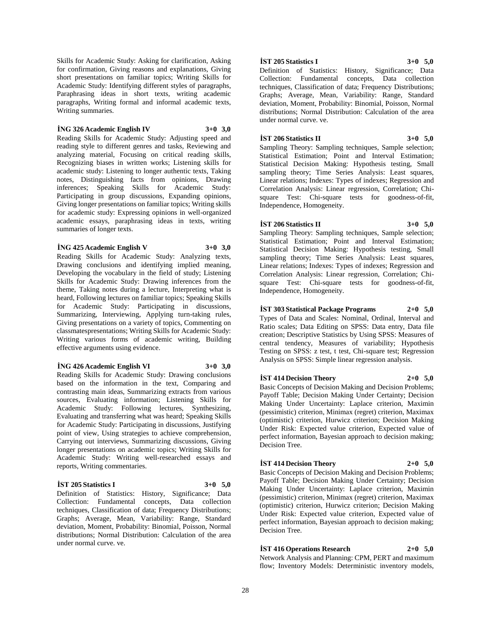Skills for Academic Study: Asking for clarification, Asking for confirmation, Giving reasons and explanations, Giving short presentations on familiar topics; Writing Skills for Academic Study: Identifying different styles of paragraphs, Paraphrasing ideas in short texts, writing academic paragraphs, Writing formal and informal academic texts, Writing summaries.

#### **İNG 326 Academic English IV 3+0 3,0**

Reading Skills for Academic Study: Adjusting speed and reading style to different genres and tasks, Reviewing and analyzing material, Focusing on critical reading skills, Recognizing biases in written works; Listening skills for academic study: Listening to longer authentic texts, Taking notes, Distinguishing facts from opinions, Drawing inferences; Speaking Skills for Academic Study: Participating in group discussions, Expanding opinions, Giving longer presentations on familiar topics; Writing skills for academic study: Expressing opinions in well-organized academic essays, paraphrasing ideas in texts, writing summaries of longer texts.

#### **İNG 425 Academic English V 3+0 3,0**

Reading Skills for Academic Study: Analyzing texts, Drawing conclusions and identifying implied meaning, Developing the vocabulary in the field of study; Listening Skills for Academic Study: Drawing inferences from the theme, Taking notes during a lecture, Interpreting what is heard, Following lectures on familiar topics; Speaking Skills for Academic Study: Participating in discussions, Summarizing, Interviewing, Applying turn-taking rules, Giving presentations on a variety of topics, Commenting on classmatespresentations; Writing Skills for Academic Study: Writing various forms of academic writing, Building effective arguments using evidence.

#### **İNG 426 Academic English VI 3+0 3,0**

Reading Skills for Academic Study: Drawing conclusions based on the information in the text, Comparing and contrasting main ideas, Summarizing extracts from various sources, Evaluating information; Listening Skills for Academic Study: Following lectures, Synthesizing, Evaluating and transferring what was heard; Speaking Skills for Academic Study: Participating in discussions, Justifying point of view, Using strategies to achieve comprehension, Carrying out interviews, Summarizing discussions, Giving longer presentations on academic topics; Writing Skills for Academic Study: Writing well-researched essays and reports, Writing commentaries.

## **İST 205 Statistics I 3+0 5,0**

Definition of Statistics: History, Significance; Data Collection: Fundamental concepts, Data collection techniques, Classification of data; Frequency Distributions; Graphs; Average, Mean, Variability: Range, Standard deviation, Moment, Probability: Binomial, Poisson, Normal distributions; Normal Distribution: Calculation of the area under normal curve. ve.

## **İST 205 Statistics I 3+0 5,0**

Definition of Statistics: History, Significance; Data Collection: Fundamental concepts, Data collection techniques, Classification of data; Frequency Distributions; Graphs; Average, Mean, Variability: Range, Standard deviation, Moment, Probability: Binomial, Poisson, Normal distributions; Normal Distribution: Calculation of the area under normal curve. ve.

## **İST 206 Statistics II 3+0 5,0**

Sampling Theory: Sampling techniques, Sample selection; Statistical Estimation; Point and Interval Estimation; Statistical Decision Making: Hypothesis testing, Small sampling theory; Time Series Analysis: Least squares, Linear relations; Indexes: Types of indexes; Regression and Correlation Analysis: Linear regression, Correlation; Chisquare Test: Chi-square tests for goodness-of-fit, Independence, Homogeneity.

## **İST 206 Statistics II 3+0 5,0**

Sampling Theory: Sampling techniques, Sample selection; Statistical Estimation; Point and Interval Estimation; Statistical Decision Making: Hypothesis testing, Small sampling theory; Time Series Analysis: Least squares, Linear relations; Indexes: Types of indexes; Regression and Correlation Analysis: Linear regression, Correlation; Chisquare Test: Chi-square tests for goodness-of-fit, Independence, Homogeneity.

## **İST 303 Statistical Package Programs 2+0 5,0**

Types of Data and Scales: Nominal, Ordinal, Interval and Ratio scales; Data Editing on SPSS: Data entry, Data file creation; Descriptive Statistics by Using SPSS: Measures of central tendency, Measures of variability; Hypothesis Testing on SPSS: z test, t test, Chi-square test; Regression Analysis on SPSS: Simple linear regression analysis.

#### **İST 414 Decision Theory 2+0 5,0**

Basic Concepts of Decision Making and Decision Problems; Payoff Table; Decision Making Under Certainty; Decision Making Under Uncertainty: Laplace criterion, Maximin (pessimistic) criterion, Minimax (regret) criterion, Maximax (optimistic) criterion, Hurwicz criterion; Decision Making Under Risk: Expected value criterion, Expected value of perfect information, Bayesian approach to decision making; Decision Tree.

## **İST 414 Decision Theory 2+0 5,0**

Basic Concepts of Decision Making and Decision Problems; Payoff Table; Decision Making Under Certainty; Decision Making Under Uncertainty: Laplace criterion, Maximin (pessimistic) criterion, Minimax (regret) criterion, Maximax (optimistic) criterion, Hurwicz criterion; Decision Making Under Risk: Expected value criterion, Expected value of perfect information, Bayesian approach to decision making; Decision Tree.

**İST 416 Operations Research 2+0 5,0**

Network Analysis and Planning: CPM, PERT and maximum flow; Inventory Models: Deterministic inventory models,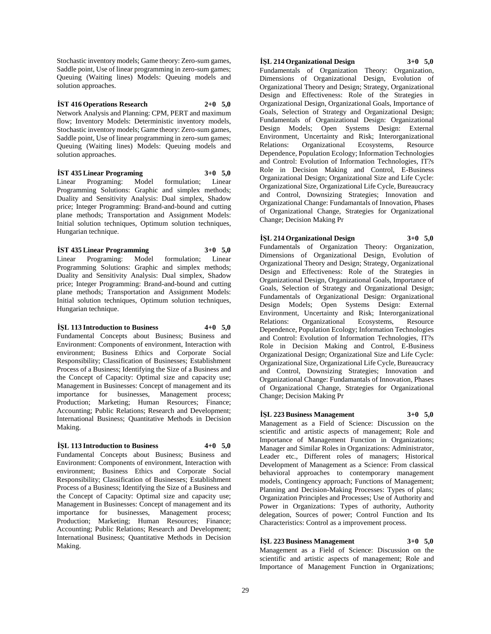Stochastic inventory models; Game theory: Zero-sum games, Saddle point, Use of linear programming in zero-sum games; Queuing (Waiting lines) Models: Queuing models and solution approaches.

**İST 416 Operations Research 2+0 5,0** Network Analysis and Planning: CPM, PERT and maximum flow; Inventory Models: Deterministic inventory models, Stochastic inventory models; Game theory: Zero-sum games, Saddle point, Use of linear programming in zero-sum games; Queuing (Waiting lines) Models: Queuing models and solution approaches.

## **İST 435 Linear Programing 3+0 5,0**

Linear Programing: Model formulation; Linear Programming Solutions: Graphic and simplex methods; Duality and Sensitivity Analysis: Dual simplex, Shadow price; Integer Programming: Brand-and-bound and cutting plane methods; Transportation and Assignment Models: Initial solution techniques, Optimum solution techniques, Hungarian technique.

## **İST 435 Linear Programming 3+0 5,0**

Linear Programing: Model formulation; Linear Programming Solutions: Graphic and simplex methods; Duality and Sensitivity Analysis: Dual simplex, Shadow price; Integer Programming: Brand-and-bound and cutting plane methods; Transportation and Assignment Models: Initial solution techniques, Optimum solution techniques, Hungarian technique.

## **İŞL 113 Introduction to Business 4+0 5,0**

Fundamental Concepts about Business; Business and Environment: Components of environment, Interaction with environment; Business Ethics and Corporate Social Responsibility; Classification of Businesses; Establishment Process of a Business; Identifying the Size of a Business and the Concept of Capacity: Optimal size and capacity use; Management in Businesses: Concept of management and its importance for businesses, Management process; Production; Marketing; Human Resources; Finance; Accounting; Public Relations; Research and Development; International Business; Quantitative Methods in Decision Making.

**İŞL 113 Introduction to Business 4+0 5,0** Fundamental Concepts about Business; Business and Environment: Components of environment, Interaction with environment; Business Ethics and Corporate Social Responsibility; Classification of Businesses; Establishment Process of a Business; Identifying the Size of a Business and the Concept of Capacity: Optimal size and capacity use; Management in Businesses: Concept of management and its importance for businesses, Management process; Production; Marketing; Human Resources; Finance; Accounting; Public Relations; Research and Development; International Business; Quantitative Methods in Decision Making.

## **İŞL 214 Organizational Design 3+0 5,0**

Fundamentals of Organization Theory: Organization, Dimensions of Organizational Design, Evolution of Organizational Theory and Design; Strategy, Organizational Design and Effectiveness: Role of the Strategies in Organizational Design, Organizational Goals, Importance of Goals, Selection of Strategy and Organizational Design; Fundamentals of Organizational Design: Organizational Design Models; Open Systems Design: External Environment, Uncertainty and Risk; Interorganizational Relations: Organizational Ecosystems, Resource Dependence, Population Ecology; Information Technologies and Control: Evolution of Information Technologies, IT?s Role in Decision Making and Control, E-Business Organizational Design; Organizational Size and Life Cycle: Organizational Size, Organizational Life Cycle, Bureaucracy and Control, Downsizing Strategies; Innovation and Organizational Change: Fundamantals of Innovation, Phases of Organizational Change, Strategies for Organizational Change; Decision Making Pr

**İŞL 214 Organizational Design 3+0 5,0** Fundamentals of Organization Theory: Organization, Dimensions of Organizational Design, Evolution of Organizational Theory and Design; Strategy, Organizational Design and Effectiveness: Role of the Strategies in Organizational Design, Organizational Goals, Importance of Goals, Selection of Strategy and Organizational Design; Fundamentals of Organizational Design: Organizational Design Models; Open Systems Design: External Environment, Uncertainty and Risk; Interorganizational Relations: Organizational Ecosystems, Resource Dependence, Population Ecology; Information Technologies and Control: Evolution of Information Technologies, IT?s Role in Decision Making and Control, E-Business Organizational Design; Organizational Size and Life Cycle: Organizational Size, Organizational Life Cycle, Bureaucracy and Control, Downsizing Strategies; Innovation and Organizational Change: Fundamantals of Innovation, Phases of Organizational Change, Strategies for Organizational Change; Decision Making Pr

## **İŞL 223 Business Management 3+0 5,0**

Management as a Field of Science: Discussion on the scientific and artistic aspects of management; Role and Importance of Management Function in Organizations; Manager and Similar Roles in Organizations: Administrator, Leader etc., Different roles of managers; Historical Development of Management as a Science: From classical behavioral approaches to contemporary management models, Contingency approach; Functions of Management; Planning and Decision-Making Processes: Types of plans; Organization Principles and Processes; Use of Authority and Power in Organizations: Types of authority, Authority delegation, Sources of power; Control Function and Its Characteristics: Control as a improvement process.

## **İŞL 223 Business Management 3+0 5,0**

Management as a Field of Science: Discussion on the scientific and artistic aspects of management; Role and Importance of Management Function in Organizations;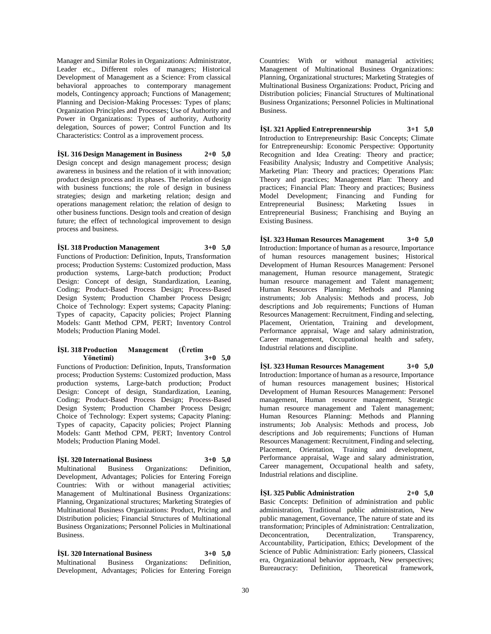Manager and Similar Roles in Organizations: Administrator, Leader etc., Different roles of managers; Historical Development of Management as a Science: From classical behavioral approaches to contemporary management models, Contingency approach; Functions of Management; Planning and Decision-Making Processes: Types of plans; Organization Principles and Processes; Use of Authority and Power in Organizations: Types of authority, Authority delegation, Sources of power; Control Function and Its Characteristics: Control as a improvement process.

**İŞL 316 Design Management in Business 2+0 5,0** Design concept and design management process; design awareness in business and the relation of it with innovation; product design process and its phases. The relation of design with business functions; the role of design in business strategies; design and marketing relation; design and operations management relation; the relation of design to other business functions. Design tools and creation of design future; the effect of technological improvement to design process and business.

**İŞL 318 Production Management 3+0 5,0** Functions of Production: Definition, Inputs, Transformation process; Production Systems: Customized production, Mass production systems, Large-batch production; Product Design: Concept of design, Standardization, Leaning, Coding; Product-Based Process Design; Process-Based Design System; Production Chamber Process Design; Choice of Technology: Expert systems; Capacity Planing: Types of capacity, Capacity policies; Project Planning Models: Gantt Method CPM, PERT; Inventory Control Models; Production Planing Model.

## **İŞL 318 Production Management (Üretim Yönetimi) 3+0 5,0**

Functions of Production: Definition, Inputs, Transformation process; Production Systems: Customized production, Mass production systems, Large-batch production; Product Design: Concept of design, Standardization, Leaning, Coding; Product-Based Process Design; Process-Based Design System; Production Chamber Process Design; Choice of Technology: Expert systems; Capacity Planing: Types of capacity, Capacity policies; Project Planning Models: Gantt Method CPM, PERT; Inventory Control Models; Production Planing Model.

## **İŞL 320 International Business 3+0 5,0**

Multinational Business Organizations: Definition, Development, Advantages; Policies for Entering Foreign Countries: With or without managerial activities; Management of Multinational Business Organizations: Planning, Organizational structures; Marketing Strategies of Multinational Business Organizations: Product, Pricing and Distribution policies; Financial Structures of Multinational Business Organizations; Personnel Policies in Multinational Business.

**İŞL 320 International Business 3+0 5,0** Multinational Business Organizations: Definition, Development, Advantages; Policies for Entering Foreign

Countries: With or without managerial activities; Management of Multinational Business Organizations: Planning, Organizational structures; Marketing Strategies of Multinational Business Organizations: Product, Pricing and Distribution policies; Financial Structures of Multinational Business Organizations; Personnel Policies in Multinational Business.

**İŞL 321 Applied Entreprenneurship 3+1 5,0** Introduction to Entrepreneurship: Basic Concepts; Climate for Entrepreneurship: Economic Perspective: Opportunity Recognition and Idea Creating: Theory and practice; Feasibility Analysis; Industry and Competitive Analysis; Marketing Plan: Theory and practices; Operations Plan: Theory and practices; Management Plan: Theory and practices; Financial Plan: Theory and practices; Business Model Development; Financing and Funding for Entrepreneurial Business; Marketing Issues in Entrepreneurial Business; Franchising and Buying an Existing Business.

**İŞL 323 Human Resources Management 3+0 5,0** Introduction: Importance of human as a resource, Importance of human resources management busines; Historical Development of Human Resources Management: Personel management, Human resource management, Strategic human resource management and Talent management; Human Resources Planning: Methods and Planning instruments; Job Analysis: Methods and process, Job descriptions and Job requirements; Functions of Human Resources Management: Recruitment, Finding and selecting, Placement, Orientation, Training and development, Performance appraisal, Wage and salary administration, Career management, Occupational health and safety, Industrial relations and discipline.

**İŞL 323 Human Resources Management 3+0 5,0** Introduction: Importance of human as a resource, Importance of human resources management busines; Historical Development of Human Resources Management: Personel management, Human resource management, Strategic human resource management and Talent management; Human Resources Planning: Methods and Planning instruments; Job Analysis: Methods and process, Job descriptions and Job requirements; Functions of Human Resources Management: Recruitment, Finding and selecting, Placement, Orientation, Training and development, Performance appraisal, Wage and salary administration, Career management, Occupational health and safety, Industrial relations and discipline.

**İŞL 325 Public Administration 2+0 5,0**

Basic Concepts: Definition of administration and public administration, Traditional public administration, New public management, Governance, The nature of state and its transformation; Principles of Administration: Centralization, Deconcentration, Decentralization, Transparency, Accountability, Participation, Ethics; Development of the Science of Public Administration: Early pioneers, Classical era, Organizational behavior approach, New perspectives; Bureaucracy: Definition, Theoretical framework,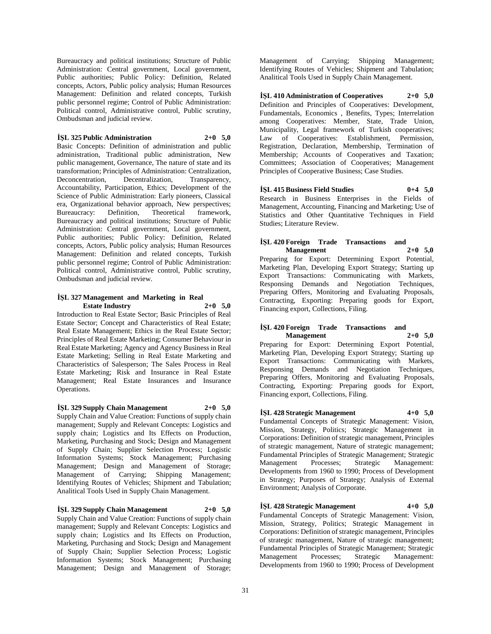Bureaucracy and political institutions; Structure of Public Administration: Central government, Local government, Public authorities; Public Policy: Definition, Related concepts, Actors, Public policy analysis; Human Resources Management: Definition and related concepts, Turkish public personnel regime; Control of Public Administration: Political control, Administrative control, Public scrutiny, Ombudsman and judicial review.

**İŞL 325 Public Administration 2+0 5,0**

Basic Concepts: Definition of administration and public administration, Traditional public administration, New public management, Governance, The nature of state and its transformation; Principles of Administration: Centralization, Deconcentration, Decentralization, Transparency, Accountability, Participation, Ethics; Development of the Science of Public Administration: Early pioneers, Classical era, Organizational behavior approach, New perspectives; Bureaucracy: Definition, Theoretical framework, Bureaucracy and political institutions; Structure of Public Administration: Central government, Local government, Public authorities; Public Policy: Definition, Related concepts, Actors, Public policy analysis; Human Resources Management: Definition and related concepts, Turkish public personnel regime; Control of Public Administration: Political control, Administrative control, Public scrutiny, Ombudsman and judicial review.

## **İŞL 327 Management and Marketing in Real Estate Industry 2+0 5,0**

Introduction to Real Estate Sector; Basic Principles of Real Estate Sector; Concept and Characteristics of Real Estate; Real Estate Management; Ethics in the Real Estate Sector; Principles of Real Estate Marketing; Consumer Behaviour in Real Estate Marketing; Agency and Agency Business in Real Estate Marketing; Selling in Real Estate Marketing and Characteristics of Salesperson; The Sales Process in Real Estate Marketing; Risk and Insurance in Real Estate Management; Real Estate Insurances and Insurance Operations.

## **İŞL 329 Supply Chain Management 2+0 5,0**

Supply Chain and Value Creation: Functions of supply chain management; Supply and Relevant Concepts: Logistics and supply chain; Logistics and Its Effects on Production, Marketing, Purchasing and Stock; Design and Management of Supply Chain; Supplier Selection Process; Logistic Information Systems; Stock Management; Purchasing Management; Design and Management of Storage; Management of Carrying; Shipping Management; Identifying Routes of Vehicles; Shipment and Tabulation; Analitical Tools Used in Supply Chain Management.

**İŞL 329 Supply Chain Management 2+0 5,0** Supply Chain and Value Creation: Functions of supply chain management; Supply and Relevant Concepts: Logistics and supply chain; Logistics and Its Effects on Production, Marketing, Purchasing and Stock; Design and Management of Supply Chain; Supplier Selection Process; Logistic Information Systems; Stock Management; Purchasing Management; Design and Management of Storage;

Management of Carrying; Shipping Management; Identifying Routes of Vehicles; Shipment and Tabulation; Analitical Tools Used in Supply Chain Management.

**İŞL 410 Administration of Cooperatives 2+0 5,0** Definition and Principles of Cooperatives: Development, Fundamentals, Economics , Benefits, Types; Interrelation among Cooperatives: Member, State, Trade Union, Municipality, Legal framework of Turkish cooperatives; Law of Cooperatives: Establishment, Permission, Registration, Declaration, Membership, Termination of Membership; Accounts of Cooperatives and Taxation; Committees; Association of Cooperatives; Management Principles of Cooperative Business; Case Studies.

**İŞL 415 Business Field Studies 0+4 5,0** Research in Business Enterprises in the Fields of Management, Accounting, Financing and Marketing; Use of Statistics and Other Quantitative Techniques in Field Studies; Literature Review.

# **İŞL 420 Foreign Trade Transactions and**

**Management 2+0 5,0** Preparing for Export: Determining Export Potential, Marketing Plan, Developing Export Strategy; Starting up Export Transactions: Communicating with Markets, Responsing Demands and Negotiation Techniques, Preparing Offers, Monitoring and Evaluating Proposals, Contracting, Exporting: Preparing goods for Export, Financing export, Collections, Filing.

## **İŞL 420 Foreign Trade Transactions and Management 2+0 5,0**

Preparing for Export: Determining Export Potential, Marketing Plan, Developing Export Strategy; Starting up Export Transactions: Communicating with Markets, Responsing Demands and Negotiation Techniques, Preparing Offers, Monitoring and Evaluating Proposals, Contracting, Exporting: Preparing goods for Export, Financing export, Collections, Filing.

## **İŞL 428 Strategic Management 4+0 5,0**

Fundamental Concepts of Strategic Management: Vision, Mission, Strategy, Politics; Strategic Management in Corporations: Definition of strategic management, Principles of strategic management, Nature of strategic management; Fundamental Principles of Strategic Management; Strategic Management Processes; Strategic Management: Developments from 1960 to 1990; Process of Development in Strategy; Purposes of Strategy; Analysis of External Environment; Analysis of Corporate.

## **İŞL 428 Strategic Management 4+0 5,0**

Fundamental Concepts of Strategic Management: Vision, Mission, Strategy, Politics; Strategic Management in Corporations: Definition of strategic management, Principles of strategic management, Nature of strategic management; Fundamental Principles of Strategic Management; Strategic Management Processes; Strategic Management: Developments from 1960 to 1990; Process of Development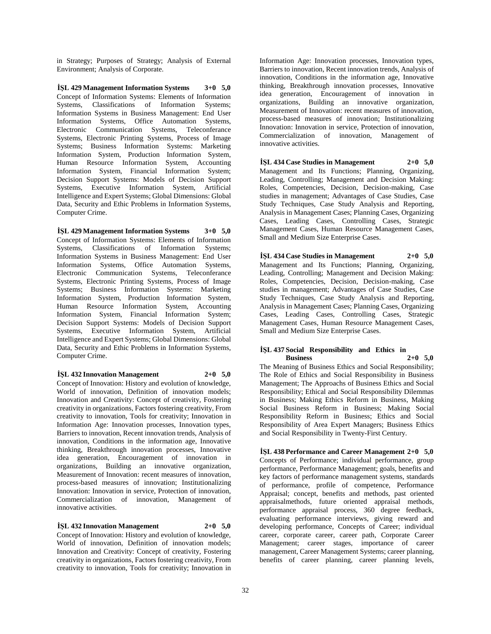in Strategy; Purposes of Strategy; Analysis of External Environment; Analysis of Corporate.

**İŞL 429 Management Information Systems 3+0 5,0** Concept of Information Systems: Elements of Information Systems, Classifications of Information Systems; Information Systems in Business Management: End User Information Systems, Office Automation Systems, Electronic Communication Systems, Teleconferance Systems, Electronic Printing Systems, Process of Image Systems; Business Information Systems: Marketing Information System, Production Information System, Human Resource Information System, Accounting Information System, Financial Information System; Decision Support Systems: Models of Decision Support Systems, Executive Information System, Artificial Intelligence and Expert Systems; Global Dimensions: Global Data, Security and Ethic Problems in Information Systems, Computer Crime.

**İŞL 429 Management Information Systems 3+0 5,0** Concept of Information Systems: Elements of Information Systems, Classifications of Information Systems; Information Systems in Business Management: End User Information Systems, Office Automation Systems, Electronic Communication Systems, Teleconferance Systems, Electronic Printing Systems, Process of Image Systems; Business Information Systems: Marketing Information System, Production Information System, Human Resource Information System, Accounting Information System, Financial Information System; Decision Support Systems: Models of Decision Support Systems, Executive Information System, Artificial Intelligence and Expert Systems; Global Dimensions: Global Data, Security and Ethic Problems in Information Systems, Computer Crime.

**İŞL 432 Innovation Management 2+0 5,0** Concept of Innovation: History and evolution of knowledge,

World of innovation, Definition of innovation models; Innovation and Creativity: Concept of creativity, Fostering creativity in organizations, Factors fostering creativity, From creativity to innovation, Tools for creativity; Innovation in Information Age: Innovation processes, Innovation types, Barriers to innovation, Recent innovation trends, Analysis of innovation, Conditions in the information age, Innovative thinking, Breakthrough innovation processes, Innovative idea generation, Encouragement of innovation in organizations, Building an innovative organization, Measurement of Innovation: recent measures of innovation, process-based measures of innovation; Institutionalizing Innovation: Innovation in service, Protection of innovation, Commercialization of innovation, Management of innovative activities.

**İŞL 432 Innovation Management 2+0 5,0** Concept of Innovation: History and evolution of knowledge, World of innovation, Definition of innovation models; Innovation and Creativity: Concept of creativity, Fostering creativity in organizations, Factors fostering creativity, From creativity to innovation, Tools for creativity; Innovation in

Information Age: Innovation processes, Innovation types, Barriers to innovation, Recent innovation trends, Analysis of innovation, Conditions in the information age, Innovative thinking, Breakthrough innovation processes, Innovative idea generation, Encouragement of innovation in organizations, Building an innovative organization, Measurement of Innovation: recent measures of innovation, process-based measures of innovation; Institutionalizing Innovation: Innovation in service, Protection of innovation, Commercialization of innovation, Management of innovative activities.

**İŞL 434 Case Studies in Management 2+0 5,0** Management and Its Functions; Planning, Organizing, Leading, Controlling; Management and Decision Making: Roles, Competencies, Decision, Decision-making, Case studies in management; Advantages of Case Studies, Case Study Techniques, Case Study Analysis and Reporting, Analysis in Management Cases; Planning Cases, Organizing Cases, Leading Cases, Controlling Cases, Strategic Management Cases, Human Resource Management Cases, Small and Medium Size Enterprise Cases.

**İŞL 434 Case Studies in Management 2+0 5,0** Management and Its Functions; Planning, Organizing, Leading, Controlling; Management and Decision Making: Roles, Competencies, Decision, Decision-making, Case studies in management; Advantages of Case Studies, Case Study Techniques, Case Study Analysis and Reporting, Analysis in Management Cases; Planning Cases, Organizing Cases, Leading Cases, Controlling Cases, Strategic Management Cases, Human Resource Management Cases, Small and Medium Size Enterprise Cases.

## **İŞL 437 Social Responsibility and Ethics in Business 2+0 5,0**

The Meaning of Business Ethics and Social Responsibility; The Role of Ethics and Social Responsibility in Business Management; The Approachs of Business Ethics and Social Responsibility; Ethical and Social Responsibility Dilemmas in Business; Making Ethics Reform in Business, Making Social Business Reform in Business; Making Social Responsibility Reform in Business; Ethics and Social Responsibility of Area Expert Managers; Business Ethics and Social Responsibility in Twenty-First Century.

**İŞL 438 Performance and Career Management 2+0 5,0** Concepts of Performance; individual performance, group performance, Performance Management; goals, benefits and key factors of performance management systems, standards of performance, profile of competence, Performance Appraisal; concept, benefits and methods, past oriented appraisalmethods, future oriented appraisal methods, performance appraisal process, 360 degree feedback, evaluating performance interviews, giving reward and developing performance, Concepts of Career; individual career, corporate career, career path, Corporate Career Management; career stages, importance of career management, Career Management Systems; career planning, benefits of career planning, career planning levels,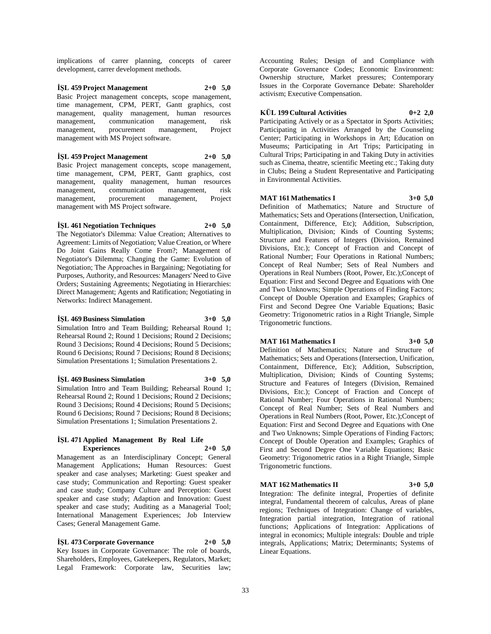implications of carrer planning, concepts of career development, carrer development methods.

**İŞL 459 Project Management 2+0 5,0** Basic Project management concepts, scope management, time management, CPM, PERT, Gantt graphics, cost management, quality management, human resources management, communication management, risk management, procurement management, Project management with MS Project software.

**İŞL 459 Project Management 2+0 5,0** Basic Project management concepts, scope management, time management, CPM, PERT, Gantt graphics, cost management, quality management, human resources management, communication management, risk management, procurement management, Project management with MS Project software.

## **İŞL 461 Negotiation Techniques 2+0 5,0**

The Negotiator's Dilemma: Value Creation; Alternatives to Agreement: Limits of Negotiation; Value Creation, or Where Do Joint Gains Really Come From?; Management of Negotiator's Dilemma; Changing the Game: Evolution of Negotiation; The Approaches in Bargaining; Negotiating for Purposes, Authority, and Resources: Managers' Need to Give Orders; Sustaining Agreements; Negotiating in Hierarchies: Direct Management; Agents and Ratification; Negotiating in Networks: Indirect Management.

#### **İŞL 469 Business Simulation 3+0 5,0**

Simulation Intro and Team Building; Rehearsal Round 1; Rehearsal Round 2; Round 1 Decisions; Round 2 Decisions; Round 3 Decisions; Round 4 Decisions; Round 5 Decisions; Round 6 Decisions; Round 7 Decisions; Round 8 Decisions; Simulation Presentations 1; Simulation Presentations 2.

**İŞL 469 Business Simulation 3+0 5,0**

Simulation Intro and Team Building; Rehearsal Round 1; Rehearsal Round 2; Round 1 Decisions; Round 2 Decisions; Round 3 Decisions; Round 4 Decisions; Round 5 Decisions; Round 6 Decisions; Round 7 Decisions; Round 8 Decisions; Simulation Presentations 1; Simulation Presentations 2.

## **İŞL 471 Applied Management By Real Life Experiences 2+0 5,0**

Management as an Interdisciplinary Concept; General Management Applications; Human Resources: Guest speaker and case analyses; Marketing: Guest speaker and case study; Communication and Reporting: Guest speaker and case study; Company Culture and Perception: Guest speaker and case study; Adaption and Innovation: Guest speaker and case study; Auditing as a Managerial Tool; International Management Experiences; Job Interview Cases; General Management Game.

**İŞL 473 Corporate Governance 2+0 5,0** Key Issues in Corporate Governance: The role of boards, Shareholders, Employees, Gatekeepers, Regulators, Market; Legal Framework: Corporate law, Securities law;

Accounting Rules; Design of and Compliance with Corporate Governance Codes; Economic Environment: Ownership structure, Market pressures; Contemporary Issues in the Corporate Governance Debate: Shareholder activism; Executive Compensation.

## **KÜL 199 Cultural Activities 0+2 2,0**

Participating Actively or as a Spectator in Sports Activities; Participating in Activities Arranged by the Counseling Center; Participating in Workshops in Art; Education on Museums; Participating in Art Trips; Participating in Cultural Trips; Participating in and Taking Duty in activities such as Cinema, theatre, scientific Meeting etc.; Taking duty in Clubs; Being a Student Representative and Participating in Environmental Activities.

## **MAT 161 Mathematics I 3+0 5,0**

Definition of Mathematics; Nature and Structure of Mathematics; Sets and Operations (Intersection, Unification, Containment, Difference, Etc); Addition, Subscription, Multiplication, Division; Kinds of Counting Systems; Structure and Features of Integers (Division, Remained Divisions, Etc.); Concept of Fraction and Concept of Rational Number; Four Operations in Rational Numbers; Concept of Real Number; Sets of Real Numbers and Operations in Real Numbers (Root, Power, Etc.);Concept of Equation: First and Second Degree and Equations with One and Two Unknowns; Simple Operations of Finding Factors; Concept of Double Operation and Examples; Graphics of First and Second Degree One Variable Equations; Basic Geometry: Trigonometric ratios in a Right Triangle, Simple Trigonometric functions.

## **MAT 161 Mathematics I 3+0 5,0**

Definition of Mathematics; Nature and Structure of Mathematics; Sets and Operations (Intersection, Unification, Containment, Difference, Etc); Addition, Subscription, Multiplication, Division; Kinds of Counting Systems; Structure and Features of Integers (Division, Remained Divisions, Etc.); Concept of Fraction and Concept of Rational Number; Four Operations in Rational Numbers; Concept of Real Number; Sets of Real Numbers and Operations in Real Numbers (Root, Power, Etc.);Concept of Equation: First and Second Degree and Equations with One and Two Unknowns; Simple Operations of Finding Factors; Concept of Double Operation and Examples; Graphics of First and Second Degree One Variable Equations; Basic Geometry: Trigonometric ratios in a Right Triangle, Simple Trigonometric functions.

## **MAT 162 Mathematics II 3+0 5,0**

Integration: The definite integral, Properties of definite integral, Fundamental theorem of calculus, Areas of plane regions; Techniques of Integration: Change of variables, Integration partial integration, Integration of rational functions; Applications of Integration: Applications of integral in economics; Multiple integrals: Double and triple integrals, Applications; Matrix; Determinants; Systems of Linear Equations.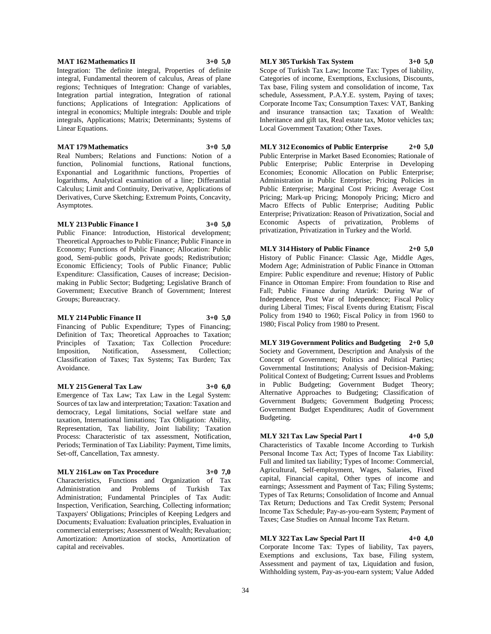Definition of Tax; Theoretical Approaches to Taxation; Principles of Taxation; Tax Collection Procedure: Imposition, Notification, Assessment, Collection; Classification of Taxes; Tax Systems; Tax Burden; Tax Avoidance. **MLY 215 General Tax Law 3+0 6,0**

**MLY 214 Public Finance II 3+0 5,0** Financing of Public Expenditure; Types of Financing;

Groups; Bureaucracy.

Emergence of Tax Law; Tax Law in the Legal System: Sources of tax law and interpretation; Taxation: Taxation and democracy, Legal limitations, Social welfare state and taxation, International limitations; Tax Obligation: Ability, Representation, Tax liability, Joint liability; Taxation Process: Characteristic of tax assessment, Notification, Periods; Termination of Tax Liability: Payment, Time limits, Set-off, Cancellation, Tax amnesty.

#### **MLY 216 Law on Tax Procedure 3+0 7,0**

Characteristics, Functions and Organization of Tax Administration and Problems of Turkish Tax Administration; Fundamental Principles of Tax Audit: Inspection, Verification, Searching, Collecting information; Taxpayers' Obligations; Principles of Keeping Ledgers and Documents; Evaluation: Evaluation principles, Evaluation in commercial enterprises; Assessment of Wealth; Revaluation; Amortization: Amortization of stocks, Amortization of capital and receivables.

**MLY 305 Turkish Tax System 3+0 5,0**

Scope of Turkish Tax Law; Income Tax: Types of liability, Categories of income, Exemptions, Exclusions, Discounts, Tax base, Filing system and consolidation of income, Tax schedule, Assessment, P.A.Y.E. system, Paying of taxes; Corporate Income Tax; Consumption Taxes: VAT, Banking and insurance transaction tax; Taxation of Wealth: Inheritance and gift tax, Real estate tax, Motor vehicles tax; Local Government Taxation; Other Taxes.

**MLY 312 Economics of Public Enterprise 2+0 5,0** Public Enterprise in Market Based Economies; Rationale of Public Enterprise; Public Enterprise in Developing Economies; Economic Allocation on Public Enterprise; Administration in Public Enterprise; Pricing Policies in Public Enterprise; Marginal Cost Pricing; Average Cost Pricing; Mark-up Pricing; Monopoly Pricing; Micro and Macro Effects of Public Enterprise; Auditing Public Enterprise; Privatization: Reason of Privatization, Social and Economic Aspects of privatization, Problems of privatization, Privatization in Turkey and the World.

**MLY 314 History of Public Finance 2+0 5,0** History of Public Finance: Classic Age, Middle Ages, Modern Age; Administration of Public Finance in Ottoman Empire: Public expenditure and revenue; History of Public Finance in Ottoman Empire: From foundation to Rise and Fall; Public Finance during Atarürk: During War of Independence, Post War of Independence; Fiscal Policy during Liberal Times; Fiscal Events during Etatism; Fiscal Policy from 1940 to 1960; Fiscal Policy in from 1960 to 1980; Fiscal Policy from 1980 to Present.

**MLY 319 Government Politics and Budgeting 2+0 5,0** Society and Government, Description and Analysis of the Concept of Government; Politics and Political Parties; Governmental Institutions; Analysis of Decision-Making; Political Context of Budgeting; Current Issues and Problems in Public Budgeting; Government Budget Theory; Alternative Approaches to Budgeting; Classification of Government Budgets; Government Budgeting Process; Government Budget Expenditures; Audit of Government Budgeting.

**MLY 321 Tax Law Special Part I 4+0 5,0** Characteristics of Taxable Income According to Turkish Personal Income Tax Act; Types of Income Tax Liability: Full and limited tax liability; Types of Income: Commercial, Agricultural, Self-employment, Wages, Salaries, Fixed capital, Financial capital, Other types of income and earnings; Assessment and Payment of Tax; Filing Systems; Types of Tax Returns; Consolidation of Income and Annual Tax Return; Deductions and Tax Credit System; Personal

**MLY 322 Tax Law Special Part II 4+0 4,0**

Income Tax Schedule; Pay-as-you-earn System; Payment of Taxes; Case Studies on Annual Income Tax Return.

Corporate Income Tax: Types of liability, Tax payers, Exemptions and exclusions, Tax base, Filing system, Assessment and payment of tax, Liquidation and fusion, Withholding system, Pay-as-you-earn system; Value Added

#### **MAT 162 Mathematics II 3+0 5,0**

Linear Equations.

Asymptotes.

integral, Fundamental theorem of calculus, Areas of plane regions; Techniques of Integration: Change of variables, Integration partial integration, Integration of rational functions; Applications of Integration: Applications of integral in economics; Multiple integrals: Double and triple integrals, Applications; Matrix; Determinants; Systems of

**MAT 179 Mathematics 3+0 5,0** Real Numbers; Relations and Functions: Notion of a function, Polinomial functions, Rational functions, Exponantial and Logarithmic functions, Properties of logarithms, Analytical examination of a line; Differantial Calculus; Limit and Continuity, Derivative, Applications of Derivatives, Curve Sketching; Extremum Points, Concavity,

**MLY 213 Public Finance I 3+0 5,0** Public Finance: Introduction, Historical development; Theoretical Approaches to Public Finance; Public Finance in Economy; Functions of Public Finance; Allocation: Public good, Semi-public goods, Private goods; Redistribution; Economic Efficiency; Tools of Public Finance; Public Expenditure: Classification, Causes of increase; Decisionmaking in Public Sector; Budgeting; Legislative Branch of Government; Executive Branch of Government; Interest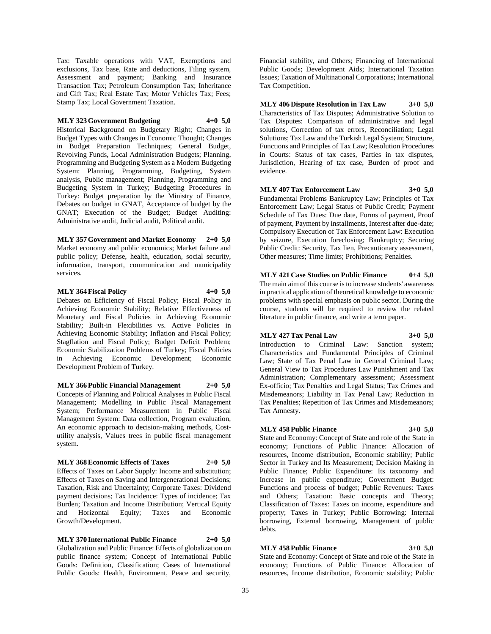Tax: Taxable operations with VAT, Exemptions and exclusions, Tax base, Rate and deductions, Filing system, Assessment and payment; Banking and Insurance Transaction Tax; Petroleum Consumption Tax; Inheritance and Gift Tax; Real Estate Tax; Motor Vehicles Tax; Fees; Stamp Tax; Local Government Taxation.

## **MLY 323 Government Budgeting 4+0 5,0**

Historical Background on Budgetary Right; Changes in Budget Types with Changes in Economic Thought; Changes in Budget Preparation Techniques; General Budget, Revolving Funds, Local Administration Budgets; Planning, Programming and Budgeting System as a Modern Budgeting System: Planning, Programming, Budgeting, System analysis, Public management; Planning, Programming and Budgeting System in Turkey; Budgeting Procedures in Turkey: Budget preparation by the Ministry of Finance, Debates on budget in GNAT, Acceptance of budget by the GNAT; Execution of the Budget; Budget Auditing: Administrative audit, Judicial audit, Political audit.

**MLY 357 Government and Market Economy 2+0 5,0** Market economy and public economics; Market failure and public policy; Defense, health, education, social security, information, transport, communication and municipality services.

## **MLY 364 Fiscal Policy 4+0 5,0**

Debates on Efficiency of Fiscal Policy; Fiscal Policy in Achieving Economic Stability; Relative Effectiveness of Monetary and Fiscal Policies in Achieving Economic Stability; Built-in Flexibilities vs. Active Policies in Achieving Economic Stability; Inflation and Fiscal Policy; Stagflation and Fiscal Policy; Budget Deficit Problem; Economic Stabilization Problems of Turkey; Fiscal Policies in Achieving Economic Development; Economic Development Problem of Turkey.

**MLY 366 Public Financial Management 2+0 5,0** Concepts of Planning and Political Analyses in Public Fiscal Management; Modelling in Public Fiscal Management System; Performance Measurement in Public Fiscal Management System: Data collection, Program evaluation, An economic approach to decision-making methods, Costutility analysis, Values trees in public fiscal management system.

## **MLY 368 Economic Effects of Taxes 2+0 5,0**

Effects of Taxes on Labor Supply: Income and substitution; Effects of Taxes on Saving and Intergenerational Decisions; Taxation, Risk and Uncertainty; Corporate Taxes: Dividend payment decisions; Tax Incidence: Types of incidence; Tax Burden; Taxation and Income Distribution; Vertical Equity and Horizontal Equity; Taxes and Economic Growth/Development.

**MLY 370 International Public Finance 2+0 5,0** Globalization and Public Finance: Effects of globalization on public finance system; Concept of International Public Goods: Definition, Classification; Cases of International Public Goods: Health, Environment, Peace and security,

Financial stability, and Others; Financing of International Public Goods; Development Aids; International Taxation Issues; Taxation of Multinational Corporations; International Tax Competition.

**MLY 406 Dispute Resolution in Tax Law 3+0 5,0** Characteristics of Tax Disputes; Administrative Solution to Tax Disputes: Comparison of administrative and legal solutions, Correction of tax errors, Reconciliation; Legal Solutions; Tax Law and the Turkish Legal System; Structure, Functions and Principles of Tax Law; Resolution Procedures in Courts: Status of tax cases, Parties in tax disputes, Jurisdiction, Hearing of tax case, Burden of proof and evidence.

**MLY 407 Tax Enforcement Law 3+0 5,0** Fundamental Problems Bankruptcy Law; Principles of Tax

Enforcement Law; Legal Status of Public Credit; Payment Schedule of Tax Dues: Due date, Forms of payment, Proof of payment, Payment by installments, Interest after due-date; Compulsory Execution of Tax Enforcement Law: Execution by seizure, Execution foreclosing; Bankruptcy; Securing Public Credit: Security, Tax lien, Precautionary assessment, Other measures; Time limits; Prohibitions; Penalties.

**MLY 421 Case Studies on Public Finance 0+4 5,0**

The main aim of this course is to increase students' awareness in practical application of theoretical knowledge to economic problems with special emphasis on public sector. During the course, students will be required to review the related literature in public finance, and write a term paper.

## **MLY 427 Tax Penal Law 3+0 5,0**

Introduction to Criminal Law: Sanction system; Characteristics and Fundamental Principles of Criminal

Law; State of Tax Penal Law in General Criminal Law; General View to Tax Procedures Law Punishment and Tax Administration; Complementary assessment; Assessment Ex-officio; Tax Penalties and Legal Status; Tax Crimes and Misdemeanors; Liability in Tax Penal Law; Reduction in Tax Penalties; Repetition of Tax Crimes and Misdemeanors; Tax Amnesty.

## **MLY 458 Public Finance 3+0 5,0**

State and Economy: Concept of State and role of the State in economy; Functions of Public Finance: Allocation of resources, Income distribution, Economic stability; Public Sector in Turkey and Its Measurement; Decision Making in Public Finance; Public Expenditure: Its taxonomy and Increase in public expenditure; Government Budget: Functions and process of budget; Public Revenues: Taxes and Others; Taxation: Basic concepts and Theory; Classification of Taxes: Taxes on income, expenditure and property; Taxes in Turkey; Public Borrowing: Internal borrowing, External borrowing, Management of public debts.

## **MLY 458 Public Finance 3+0 5,0**

State and Economy: Concept of State and role of the State in economy; Functions of Public Finance: Allocation of resources, Income distribution, Economic stability; Public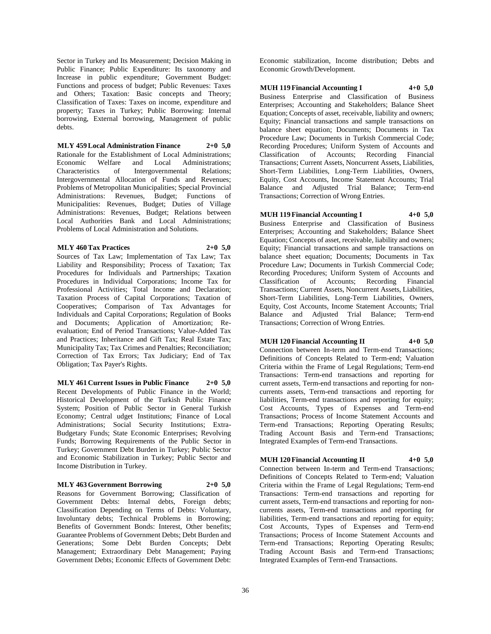Sector in Turkey and Its Measurement; Decision Making in Public Finance; Public Expenditure: Its taxonomy and Increase in public expenditure; Government Budget: Functions and process of budget; Public Revenues: Taxes and Others; Taxation: Basic concepts and Theory; Classification of Taxes: Taxes on income, expenditure and property; Taxes in Turkey; Public Borrowing: Internal borrowing, External borrowing, Management of public debts.

**MLY 459 Local Administration Finance 2+0 5,0** Rationale for the Establishment of Local Administrations; Economic Welfare and Local Administrations; Characteristics of Intergovernmental Relations; Intergovernmental Allocation of Funds and Revenues; Problems of Metropolitan Municipalities; Special Provincial Administrations: Revenues, Budget; Functions of Municipalities: Revenues, Budget; Duties of Village Administrations: Revenues, Budget; Relations between Local Authorities Bank and Local Administrations; Problems of Local Administration and Solutions.

## **MLY 460 Tax Practices 2+0 5,0**

Sources of Tax Law; Implementation of Tax Law; Tax Liability and Responsibility; Process of Taxation; Tax Procedures for Individuals and Partnerships; Taxation Procedures in Individual Corporations; Income Tax for Professional Activities; Total Income and Declaration; Taxation Process of Capital Corporations; Taxation of Cooperatives; Comparison of Tax Advantages for Individuals and Capital Corporations; Regulation of Books and Documents; Application of Amortization; Reevaluation; End of Period Transactions; Value-Added Tax and Practices; Inheritance and Gift Tax; Real Estate Tax; Municipality Tax; Tax Crimes and Penalties; Reconciliation; Correction of Tax Errors; Tax Judiciary; End of Tax Obligation; Tax Payer's Rights.

**MLY 461 Current Issues in Public Finance 2+0 5,0** Recent Developments of Public Finance in the World; Historical Development of the Turkish Public Finance System; Position of Public Sector in General Turkish Economy; Central udget Institutions; Finance of Local Administrations; Social Security Institutions; Extra-Budgetary Funds; State Economic Enterprises; Revolving Funds; Borrowing Requirements of the Public Sector in Turkey; Government Debt Burden in Turkey; Public Sector and Economic Stabilization in Turkey; Public Sector and Income Distribution in Turkey.

#### **MLY 463 Government Borrowing 2+0 5,0**

Reasons for Government Borrowing; Classification of Government Debts: Internal debts, Foreign debts; Classification Depending on Terms of Debts: Voluntary, Involuntary debts; Technical Problems in Borrowing; Benefits of Government Bonds: Interest, Other benefits; Guarantee Problems of Government Debts; Debt Burden and Generations; Some Debt Burden Concepts; Debt Management; Extraordinary Debt Management; Paying Government Debts; Economic Effects of Government Debt:

Economic stabilization, Income distribution; Debts and Economic Growth/Development.

**MUH 119 Financial Accounting I 4+0 5,0**

Business Enterprise and Classification of Business Enterprises; Accounting and Stakeholders; Balance Sheet Equation; Concepts of asset, receivable, liability and owners; Equity; Financial transactions and sample transactions on balance sheet equation; Documents; Documents in Tax Procedure Law; Documents in Turkish Commercial Code; Recording Procedures; Uniform System of Accounts and Classification of Accounts; Recording Financial Transactions; Current Assets, Noncurrent Assets, Liabilities, Short-Term Liabilities, Long-Term Liabilities, Owners, Equity, Cost Accounts, Income Statement Accounts; Trial Balance and Adjusted Trial Balance; Term-end Transactions; Correction of Wrong Entries.

**MUH 119 Financial Accounting I 4+0 5,0** Business Enterprise and Classification of Business Enterprises; Accounting and Stakeholders; Balance Sheet Equation; Concepts of asset, receivable, liability and owners; Equity; Financial transactions and sample transactions on balance sheet equation; Documents; Documents in Tax Procedure Law; Documents in Turkish Commercial Code; Recording Procedures; Uniform System of Accounts and Classification of Accounts; Recording Financial Transactions; Current Assets, Noncurrent Assets, Liabilities, Short-Term Liabilities, Long-Term Liabilities, Owners, Equity, Cost Accounts, Income Statement Accounts; Trial Balance and Adjusted Trial Balance; Term-end Transactions; Correction of Wrong Entries.

## **MUH 120 Financial Accounting II 4+0 5,0**

Connection between In-term and Term-end Transactions; Definitions of Concepts Related to Term-end; Valuation Criteria within the Frame of Legal Regulations; Term-end Transactions: Term-end transactions and reporting for current assets, Term-end transactions and reporting for noncurrents assets, Term-end transactions and reporting for liabilities, Term-end transactions and reporting for equity; Cost Accounts, Types of Expenses and Term-end Transactions; Process of Income Statement Accounts and Term-end Transactions; Reporting Operating Results; Trading Account Basis and Term-end Transactions; Integrated Examples of Term-end Transactions.

## **MUH 120 Financial Accounting II 4+0 5,0**

Connection between In-term and Term-end Transactions; Definitions of Concepts Related to Term-end; Valuation Criteria within the Frame of Legal Regulations; Term-end Transactions: Term-end transactions and reporting for current assets, Term-end transactions and reporting for noncurrents assets, Term-end transactions and reporting for liabilities, Term-end transactions and reporting for equity; Cost Accounts, Types of Expenses and Term-end Transactions; Process of Income Statement Accounts and Term-end Transactions; Reporting Operating Results; Trading Account Basis and Term-end Transactions; Integrated Examples of Term-end Transactions.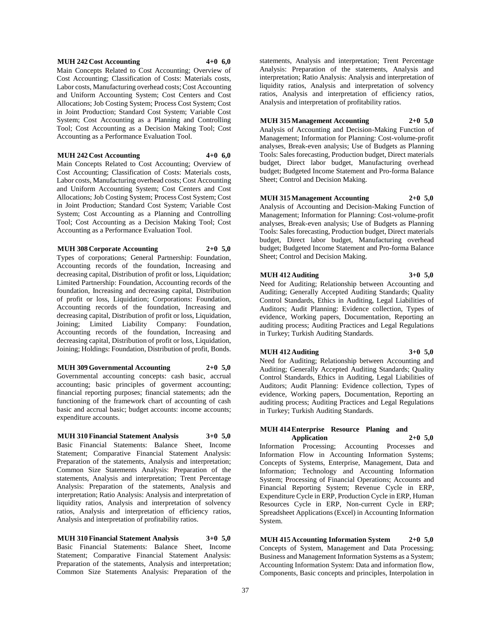## **MUH 242 Cost Accounting 4+0 6,0**

Main Concepts Related to Cost Accounting; Overview of Cost Accounting; Classification of Costs: Materials costs, Labor costs, Manufacturing overhead costs; Cost Accounting and Uniform Accounting System; Cost Centers and Cost Allocations; Job Costing System; Process Cost System; Cost in Joint Production; Standard Cost System; Variable Cost System; Cost Accounting as a Planning and Controlling Tool; Cost Accounting as a Decision Making Tool; Cost Accounting as a Performance Evaluation Tool.

## **MUH 242 Cost Accounting 4+0 6,0**

Main Concepts Related to Cost Accounting; Overview of Cost Accounting; Classification of Costs: Materials costs, Labor costs, Manufacturing overhead costs; Cost Accounting and Uniform Accounting System; Cost Centers and Cost Allocations; Job Costing System; Process Cost System; Cost in Joint Production; Standard Cost System; Variable Cost System; Cost Accounting as a Planning and Controlling Tool; Cost Accounting as a Decision Making Tool; Cost Accounting as a Performance Evaluation Tool.

**MUH 308 Corporate Accounting 2+0 5,0**

Types of corporations; General Partnership: Foundation, Accounting records of the foundation, Increasing and decreasing capital, Distribution of profit or loss, Liquidation; Limited Partnership: Foundation, Accounting records of the foundation, Increasing and decreasing capital, Distribution of profit or loss, Liquidation; Corporations: Foundation, Accounting records of the foundation, Increasing and decreasing capital, Distribution of profit or loss, Liquidation, Joining; Limited Liability Company: Foundation, Accounting records of the foundation, Increasing and decreasing capital, Distribution of profit or loss, Liquidation, Joining; Holdings: Foundation, Distribution of profit, Bonds.

#### **MUH 309 Governmental Accounting 2+0 5,0**

Governmental accounting concepts: cash basic, accrual accounting; basic principles of goverment accounting; financial reporting purposes; financial statements; adn the functioning of the framework chart of accounting of cash basic and accrual basic; budget accounts: income accounts; expenditure accounts.

**MUH 310 Financial Statement Analysis 3+0 5,0** Basic Financial Statements: Balance Sheet, Income Statement; Comparative Financial Statement Analysis: Preparation of the statements, Analysis and interpretation; Common Size Statements Analysis: Preparation of the statements, Analysis and interpretation; Trent Percentage Analysis: Preparation of the statements, Analysis and interpretation; Ratio Analysis: Analysis and interpretation of liquidity ratios, Analysis and interpretation of solvency ratios, Analysis and interpretation of efficiency ratios, Analysis and interpretation of profitability ratios.

**MUH 310 Financial Statement Analysis 3+0 5,0** Basic Financial Statements: Balance Sheet, Income Statement; Comparative Financial Statement Analysis: Preparation of the statements, Analysis and interpretation; Common Size Statements Analysis: Preparation of the

statements, Analysis and interpretation; Trent Percentage Analysis: Preparation of the statements, Analysis and interpretation; Ratio Analysis: Analysis and interpretation of liquidity ratios, Analysis and interpretation of solvency ratios, Analysis and interpretation of efficiency ratios, Analysis and interpretation of profitability ratios.

## **MUH 315 Management Accounting 2+0 5,0**

Analysis of Accounting and Decision-Making Function of Management; Information for Planning: Cost-volume-profit analyses, Break-even analysis; Use of Budgets as Planning Tools: Sales forecasting, Production budget, Direct materials budget, Direct labor budget, Manufacturing overhead budget; Budgeted Income Statement and Pro-forma Balance Sheet; Control and Decision Making.

#### **MUH 315 Management Accounting 2+0 5,0**

Analysis of Accounting and Decision-Making Function of Management; Information for Planning: Cost-volume-profit analyses, Break-even analysis; Use of Budgets as Planning Tools: Sales forecasting, Production budget, Direct materials budget, Direct labor budget, Manufacturing overhead budget; Budgeted Income Statement and Pro-forma Balance Sheet; Control and Decision Making.

#### **MUH 412 Auditing 3+0 5,0**

Need for Auditing; Relationship between Accounting and Auditing; Generally Accepted Auditing Standards; Quality Control Standards, Ethics in Auditing, Legal Liabilities of Auditors; Audit Planning: Evidence collection, Types of evidence, Working papers, Documentation, Reporting an auditing process; Auditing Practices and Legal Regulations in Turkey; Turkish Auditing Standards.

#### **MUH 412 Auditing 3+0 5,0**

Need for Auditing; Relationship between Accounting and Auditing; Generally Accepted Auditing Standards; Quality Control Standards, Ethics in Auditing, Legal Liabilities of

Auditors; Audit Planning: Evidence collection, Types of evidence, Working papers, Documentation, Reporting an auditing process; Auditing Practices and Legal Regulations in Turkey; Turkish Auditing Standards.

## **MUH 414 Enterprise Resource Planing and Application 2+0 5,0**

Information Processing; Accounting Processes and Information Flow in Accounting Information Systems; Concepts of Systems, Enterprise, Management, Data and Information; Technology and Accounting Information System; Processing of Financial Operations; Accounts and Financial Reporting System; Revenue Cycle in ERP, Expenditure Cycle in ERP, Production Cycle in ERP, Human Resources Cycle in ERP, Non-current Cycle in ERP; Spreadsheet Applications (Excel) in Accounting Information System.

**MUH 415 Accounting Information System 2+0 5,0** Concepts of System, Management and Data Processing; Business and Management Information Systems as a System; Accounting Information System: Data and information flow, Components, Basic concepts and principles, Interpolation in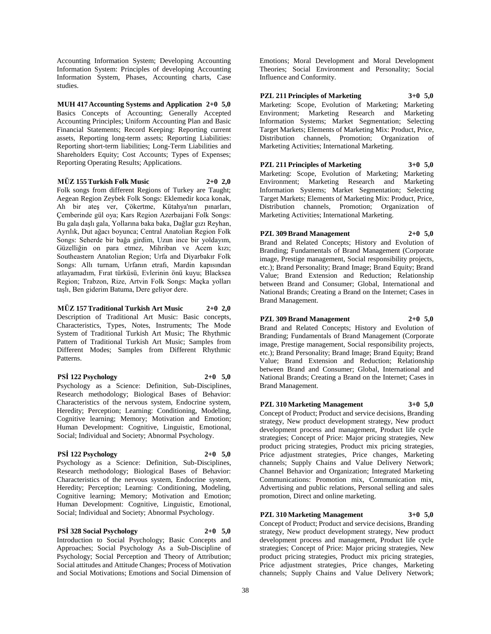Accounting Information System; Developing Accounting Information System: Principles of developing Accounting Information System, Phases, Accounting charts, Case studies.

**MUH 417 Accounting Systems and Application 2+0 5,0** Basics Concepts of Accounting; Generally Accepted Accounting Principles; Uniform Accounting Plan and Basic Financial Statements; Record Keeping: Reporting current assets, Reporting long-term assets; Reporting Liabilities: Reporting short-term liabilities; Long-Term Liabilities and Shareholders Equity; Cost Accounts; Types of Expenses; Reporting Operating Results; Applications.

## **MÜZ 155 Turkish Folk Music 2+0 2,0**

Folk songs from different Regions of Turkey are Taught; Aegean Region Zeybek Folk Songs: Eklemedir koca konak, Ah bir ateş ver, Çökertme, Kütahya'nın pınarları, Çemberinde gül oya; Kars Region Azerbaijani Folk Songs: Bu gala daşlı gala, Yollarına baka baka, Dağlar gızı Reyhan, Ayrılık, Dut ağacı boyunca; Central Anatolian Region Folk Songs: Seherde bir bağa girdim, Uzun ince bir yoldayım, Güzelliğin on para etmez, Mihriban ve Acem kızı; Southeastern Anatolian Region; Urfa and Diyarbakır Folk Songs: Allı turnam, Urfanın etrafı, Mardin kapısından atlayamadım, Fırat türküsü, Evlerinin önü kuyu; Blacksea Region; Trabzon, Rize, Artvin Folk Songs: Maçka yolları taşlı, Ben giderim Batuma, Dere geliyor dere.

**MÜZ 157 Traditional Turkish Art Music 2+0 2,0** Description of Traditional Art Music: Basic concepts, Characteristics, Types, Notes, Instruments; The Mode System of Traditional Turkish Art Music; The Rhythmic Pattern of Traditional Turkish Art Music; Samples from Different Modes; Samples from Different Rhythmic Patterns.

## **PSİ 122 Psychology 2+0 5,0**

Psychology as a Science: Definition, Sub-Disciplines, Research methodology; Biological Bases of Behavior: Characteristics of the nervous system, Endocrine system, Heredity; Perception; Learning: Conditioning, Modeling, Cognitive learning; Memory; Motivation and Emotion; Human Development: Cognitive, Linguistic, Emotional, Social; Individual and Society; Abnormal Psychology.

## **PSİ 122 Psychology 2+0 5,0**

Psychology as a Science: Definition, Sub-Disciplines, Research methodology; Biological Bases of Behavior: Characteristics of the nervous system, Endocrine system, Heredity; Perception; Learning: Conditioning, Modeling, Cognitive learning; Memory; Motivation and Emotion; Human Development: Cognitive, Linguistic, Emotional, Social; Individual and Society; Abnormal Psychology.

## **PSİ 328 Social Psychology 2+0 5,0**

Introduction to Social Psychology; Basic Concepts and Approaches; Social Psychology As a Sub-Discipline of Psychology; Social Perception and Theory of Attribution; Social attitudes and Attitude Changes; Process of Motivation and Social Motivations; Emotions and Social Dimension of

Emotions; Moral Development and Moral Development Theories; Social Environment and Personality; Social Influence and Conformity.

**PZL 211 Principles of Marketing 3+0 5,0** Marketing: Scope, Evolution of Marketing; Marketing Environment; Marketing Research and Marketing Information Systems; Market Segmentation; Selecting Target Markets; Elements of Marketing Mix: Product, Price, Distribution channels, Promotion; Organization of Marketing Activities; International Marketing.

**PZL 211 Principles of Marketing 3+0 5,0** Marketing: Scope, Evolution of Marketing; Marketing Environment; Marketing Research and Marketing Information Systems; Market Segmentation; Selecting Target Markets; Elements of Marketing Mix: Product, Price, Distribution channels, Promotion; Organization of Marketing Activities; International Marketing.

## **PZL 309 Brand Management 2+0 5,0**

Brand and Related Concepts; History and Evolution of Branding; Fundamentals of Brand Management (Corporate image, Prestige management, Social responsibility projects, etc.); Brand Personality; Brand Image; Brand Equity; Brand Value; Brand Extension and Reduction; Relationship between Brand and Consumer; Global, International and National Brands; Creating a Brand on the Internet; Cases in Brand Management.

## **PZL 309 Brand Management 2+0 5,0**

Brand and Related Concepts; History and Evolution of Branding; Fundamentals of Brand Management (Corporate image, Prestige management, Social responsibility projects, etc.); Brand Personality; Brand Image; Brand Equity; Brand Value; Brand Extension and Reduction; Relationship between Brand and Consumer; Global, International and National Brands; Creating a Brand on the Internet; Cases in Brand Management.

## **PZL 310 Marketing Management 3+0 5,0**

Concept of Product; Product and service decisions, Branding strategy, New product development strategy, New product development process and management, Product life cycle strategies; Concept of Price: Major pricing strategies, New product pricing strategies, Product mix pricing strategies, Price adjustment strategies, Price changes, Marketing channels; Supply Chains and Value Delivery Network; Channel Behavior and Organization; Integrated Marketing Communications: Promotion mix, Communication mix, Advertising and public relations, Personal selling and sales promotion, Direct and online marketing.

## **PZL 310 Marketing Management 3+0 5,0**

Concept of Product; Product and service decisions, Branding strategy, New product development strategy, New product development process and management, Product life cycle strategies; Concept of Price: Major pricing strategies, New product pricing strategies, Product mix pricing strategies, Price adjustment strategies, Price changes, Marketing channels; Supply Chains and Value Delivery Network;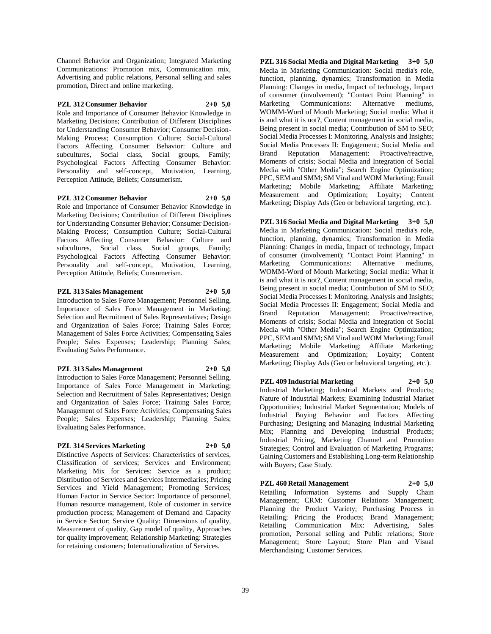Channel Behavior and Organization; Integrated Marketing Communications: Promotion mix, Communication mix, Advertising and public relations, Personal selling and sales promotion, Direct and online marketing.

## **PZL 312 Consumer Behavior 2+0 5,0**

Role and Importance of Consumer Behavior Knowledge in Marketing Decisions; Contribution of Different Disciplines for Understanding Consumer Behavior; Consumer Decision-Making Process; Consumption Culture; Social-Cultural Factors Affecting Consumer Behavior: Culture and subcultures, Social class, Social groups, Family; Psychological Factors Affecting Consumer Behavior: Personality and self-concept, Motivation, Learning, Perception Attitude, Beliefs; Consumerism.

**PZL 312 Consumer Behavior 2+0 5,0**

Role and Importance of Consumer Behavior Knowledge in Marketing Decisions; Contribution of Different Disciplines for Understanding Consumer Behavior; Consumer Decision-Making Process; Consumption Culture; Social-Cultural Factors Affecting Consumer Behavior: Culture and subcultures, Social class, Social groups, Family; Psychological Factors Affecting Consumer Behavior: Personality and self-concept, Motivation, Learning, Perception Attitude, Beliefs; Consumerism.

## **PZL 313 Sales Management 2+0 5,0**

Introduction to Sales Force Management; Personnel Selling, Importance of Sales Force Management in Marketing; Selection and Recruitment of Sales Representatives; Design and Organization of Sales Force; Training Sales Force; Management of Sales Force Activities; Compensating Sales People; Sales Expenses; Leadership; Planning Sales; Evaluating Sales Performance.

## **PZL 313 Sales Management 2+0 5,0**

Introduction to Sales Force Management; Personnel Selling, Importance of Sales Force Management in Marketing; Selection and Recruitment of Sales Representatives; Design and Organization of Sales Force; Training Sales Force; Management of Sales Force Activities; Compensating Sales People; Sales Expenses; Leadership; Planning Sales; Evaluating Sales Performance.

## **PZL 314 Services Marketing 2+0 5,0**

Distinctive Aspects of Services: Characteristics of services, Classification of services; Services and Environment; Marketing Mix for Services: Service as a product; Distribution of Services and Services Intermediaries; Pricing Services and Yield Management; Promoting Services; Human Factor in Service Sector: Importance of personnel, Human resource management, Role of customer in service production process; Management of Demand and Capacity in Service Sector; Service Quality: Dimensions of quality, Measurement of quality, Gap model of quality, Approaches for quality improvement; Relationship Marketing: Strategies for retaining customers; Internationalization of Services.

**PZL 316 Social Media and Digital Marketing 3+0 5,0** Media in Marketing Communication: Social media's role, function, planning, dynamics; Transformation in Media Planning: Changes in media, Impact of technology, Impact of consumer (involvement); "Contact Point Planning" in Marketing Communications: Alternative mediums, WOMM-Word of Mouth Marketing; Social media: What it is and what it is not?, Content management in social media, Being present in social media; Contribution of SM to SEO; Social Media Processes I: Monitoring, Analysis and Insights; Social Media Processes II: Engagement; Social Media and Brand Reputation Management: Proactive/reactive, Moments of crisis; Social Media and Integration of Social Media with "Other Media"; Search Engine Optimization; PPC, SEM and SMM; SM Viral and WOM Marketing; Email Marketing; Mobile Marketing; Affiliate Marketing; Measurement and Optimization; Loyalty; Content Marketing; Display Ads (Geo or behavioral targeting, etc.).

**PZL 316 Social Media and Digital Marketing 3+0 5,0** Media in Marketing Communication: Social media's role, function, planning, dynamics; Transformation in Media Planning: Changes in media, Impact of technology, Impact of consumer (involvement); "Contact Point Planning" in Marketing Communications: Alternative mediums, WOMM-Word of Mouth Marketing; Social media: What it is and what it is not?, Content management in social media, Being present in social media; Contribution of SM to SEO; Social Media Processes I: Monitoring, Analysis and Insights; Social Media Processes II: Engagement; Social Media and Brand Reputation Management: Proactive/reactive, Moments of crisis; Social Media and Integration of Social Media with "Other Media"; Search Engine Optimization; PPC, SEM and SMM; SM Viral and WOM Marketing; Email Marketing; Mobile Marketing; Affiliate Marketing; Measurement and Optimization; Loyalty; Content Marketing; Display Ads (Geo or behavioral targeting, etc.).

**PZL 409 Industrial Marketing 2+0 5,0**

Industrial Marketing; Industrial Markets and Products; Nature of Industrial Markets; Examining Industrial Market Opportunities; Industrial Market Segmentation; Models of Industrial Buying Behavior and Factors Affecting Purchasing; Designing and Managing Industrial Marketing Mix; Planning and Developing Industrial Products; Industrial Pricing, Marketing Channel and Promotion Strategies; Control and Evaluation of Marketing Programs; Gaining Customers and Establishing Long-term Relationship with Buyers; Case Study.

## **PZL 460 Retail Management 2+0 5,0**

Retailing Information Systems and Supply Chain Management; CRM: Customer Relations Management; Planning the Product Variety; Purchasing Process in Retailing; Pricing the Products; Brand Management; Retailing Communication Mix: Advertising, Sales promotion, Personal selling and Public relations; Store Management; Store Layout; Store Plan and Visual Merchandising; Customer Services.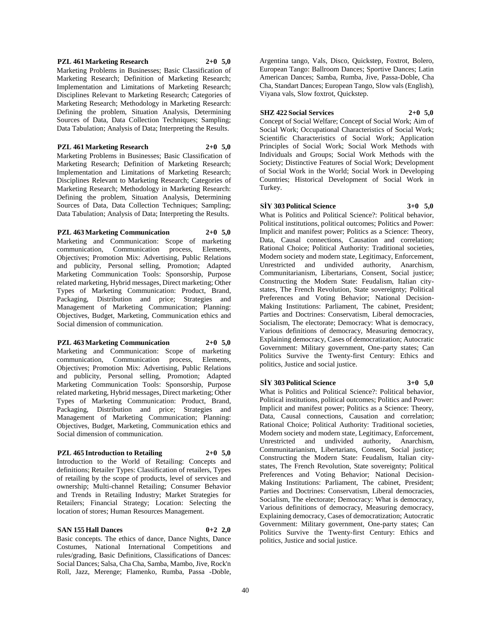#### **PZL 461 Marketing Research 2+0 5,0**

Marketing Problems in Businesses; Basic Classification of Marketing Research; Definition of Marketing Research; Implementation and Limitations of Marketing Research; Disciplines Relevant to Marketing Research; Categories of Marketing Research; Methodology in Marketing Research: Defining the problem, Situation Analysis, Determining Sources of Data, Data Collection Techniques; Sampling; Data Tabulation; Analysis of Data; Interpreting the Results.

## **PZL 461 Marketing Research 2+0 5,0**

Marketing Problems in Businesses; Basic Classification of Marketing Research; Definition of Marketing Research; Implementation and Limitations of Marketing Research; Disciplines Relevant to Marketing Research; Categories of Marketing Research; Methodology in Marketing Research: Defining the problem, Situation Analysis, Determining Sources of Data, Data Collection Techniques; Sampling; Data Tabulation; Analysis of Data; Interpreting the Results.

## **PZL 463 Marketing Communication 2+0 5,0**

Marketing and Communication: Scope of marketing communication, Communication process, Elements, Objectives; Promotion Mix: Advertising, Public Relations and publicity, Personal selling, Promotion; Adapted Marketing Communication Tools: Sponsorship, Purpose related marketing, Hybrid messages, Direct marketing; Other Types of Marketing Communication: Product, Brand, Packaging, Distribution and price; Strategies and Management of Marketing Communication; Planning: Objectives, Budget, Marketing, Communication ethics and Social dimension of communication.

## **PZL 463 Marketing Communication 2+0 5,0**

Marketing and Communication: Scope of marketing communication, Communication process, Elements, Objectives; Promotion Mix: Advertising, Public Relations and publicity, Personal selling, Promotion; Adapted Marketing Communication Tools: Sponsorship, Purpose related marketing, Hybrid messages, Direct marketing; Other Types of Marketing Communication: Product, Brand, Packaging, Distribution and price; Strategies and Management of Marketing Communication; Planning: Objectives, Budget, Marketing, Communication ethics and Social dimension of communication.

## **PZL 465 Introduction to Retailing 2+0 5,0**

Introduction to the World of Retailing: Concepts and definitions; Retailer Types: Classification of retailers, Types of retailing by the scope of products, level of services and ownership; Multi-channel Retailing; Consumer Behavior and Trends in Retailing Industry; Market Strategies for Retailers; Financial Strategy; Location: Selecting the location of stores; Human Resources Management.

#### **SAN 155 Hall Dances 0+2 2,0**

Basic concepts. The ethics of dance, Dance Nights, Dance Costumes, National International Competitions and rules/grading, Basic Definitions, Classifications of Dances: Social Dances; Salsa, Cha Cha, Samba, Mambo, Jive, Rock'n Roll, Jazz, Merenge; Flamenko, Rumba, Passa -Doble,

Argentina tango, Vals, Disco, Quickstep, Foxtrot, Bolero, European Tango: Ballroom Dances; Sportive Dances; Latin American Dances; Samba, Rumba, Jive, Passa-Doble, Cha Cha, Standart Dances; European Tango, Slow vals (English), Viyana vals, Slow foxtrot, Quickstep.

## **SHZ 422 Social Services 2+0 5,0**

Concept of Social Welfare; Concept of Social Work; Aim of Social Work; Occupational Characteristics of Social Work; Scientific Characteristics of Social Work; Application Principles of Social Work; Social Work Methods with Individuals and Groups; Social Work Methods with the Society; Distinctive Features of Social Work; Development of Social Work in the World; Social Work in Developing Countries; Historical Development of Social Work in Turkey.

## **SİY 303 Political Science 3+0 5,0**

What is Politics and Political Science?: Political behavior, Political institutions, political outcomes; Politics and Power: Implicit and manifest power; Politics as a Science: Theory, Data, Causal connections, Causation and correlation; Rational Choice; Political Authority: Traditional societies, Modern society and modern state, Legitimacy, Enforcement, Unrestricted and undivided authority, Anarchism, Communitarianism, Libertarians, Consent, Social justice; Constructing the Modern State: Feudalism, Italian citystates, The French Revolution, State sovereignty; Political Preferences and Voting Behavior; National Decision-Making Institutions: Parliament, The cabinet, President; Parties and Doctrines: Conservatism, Liberal democracies, Socialism, The electorate; Democracy: What is democracy, Various definitions of democracy, Measuring democracy, Explaining democracy, Cases of democratization; Autocratic Government: Military government, One-party states; Can Politics Survive the Twenty-first Century: Ethics and politics, Justice and social justice.

#### **SİY 303 Political Science 3+0 5,0**

What is Politics and Political Science?: Political behavior, Political institutions, political outcomes; Politics and Power: Implicit and manifest power; Politics as a Science: Theory, Data, Causal connections, Causation and correlation; Rational Choice; Political Authority: Traditional societies, Modern society and modern state, Legitimacy, Enforcement, Unrestricted and undivided authority, Anarchism, Communitarianism, Libertarians, Consent, Social justice; Constructing the Modern State: Feudalism, Italian citystates, The French Revolution, State sovereignty; Political Preferences and Voting Behavior; National Decision-Making Institutions: Parliament, The cabinet, President; Parties and Doctrines: Conservatism, Liberal democracies, Socialism, The electorate; Democracy: What is democracy, Various definitions of democracy, Measuring democracy, Explaining democracy, Cases of democratization; Autocratic Government: Military government, One-party states; Can Politics Survive the Twenty-first Century: Ethics and politics, Justice and social justice.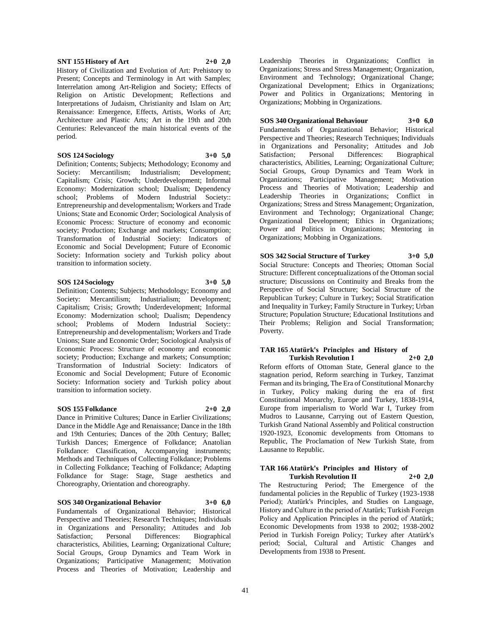#### **SNT 155 History of Art 2+0 2,0**

History of Civilization and Evolution of Art: Prehistory to Present; Concepts and Terminology in Art with Samples; Interrelation among Art-Religion and Society; Effects of Religion on Artistic Development; Reflections and Interpretations of Judaism, Christianity and Islam on Art; Renaissance: Emergence, Effects, Artists, Works of Art; Architecture and Plastic Arts; Art in the 19th and 20th Centuries: Relevanceof the main historical events of the period.

#### **SOS 124 Sociology 3+0 5,0**

Definition; Contents; Subjects; Methodology; Economy and Society: Mercantilism; Industrialism; Development; Capitalism; Crisis; Growth; Underdevelopment; Informal Economy: Modernization school; Dualism; Dependency school; Problems of Modern Industrial Society:: Entrepreneurship and developmentalism; Workers and Trade Unions; State and Economic Order; Sociological Analysis of Economic Process: Structure of economy and economic society; Production; Exchange and markets; Consumption; Transformation of Industrial Society: Indicators of Economic and Social Development; Future of Economic Society: Information society and Turkish policy about transition to information society.

## **SOS 124 Sociology 3+0 5,0**

Definition; Contents; Subjects; Methodology; Economy and Society: Mercantilism; Industrialism; Development; Capitalism; Crisis; Growth; Underdevelopment; Informal Economy: Modernization school; Dualism; Dependency school; Problems of Modern Industrial Society:: Entrepreneurship and developmentalism; Workers and Trade Unions; State and Economic Order; Sociological Analysis of Economic Process: Structure of economy and economic society; Production; Exchange and markets; Consumption; Transformation of Industrial Society: Indicators of Economic and Social Development; Future of Economic Society: Information society and Turkish policy about transition to information society.

## **SOS 155 Folkdance 2+0 2,0**

Dance in Primitive Cultures; Dance in Earlier Civilizations; Dance in the Middle Age and Renaissance; Dance in the 18th and 19th Centuries; Dances of the 20th Century; Ballet; Turkish Dances; Emergence of Folkdance; Anatolian Folkdance: Classification, Accompanying instruments; Methods and Techniques of Collecting Folkdance; Problems in Collecting Folkdance; Teaching of Folkdance; Adapting Folkdance for Stage: Stage, Stage aesthetics and Choreography, Orientation and choreography.

#### **SOS 340 Organizational Behavior 3+0 6,0**

Fundamentals of Organizational Behavior; Historical Perspective and Theories; Research Techniques; Individuals in Organizations and Personality; Attitudes and Job Satisfaction; Personal Differences: Biographical characteristics, Abilities, Learning; Organizational Culture; Social Groups, Group Dynamics and Team Work in Organizations; Participative Management; Motivation Process and Theories of Motivation; Leadership and Leadership Theories in Organizations; Conflict in Organizations; Stress and Stress Management; Organization, Environment and Technology; Organizational Change; Organizational Development; Ethics in Organizations; Power and Politics in Organizations; Mentoring in Organizations; Mobbing in Organizations.

## **SOS 340 Organizational Behaviour 3+0 6,0**

Fundamentals of Organizational Behavior; Historical Perspective and Theories; Research Techniques; Individuals in Organizations and Personality; Attitudes and Job Satisfaction; Personal Differences: Biographical characteristics, Abilities, Learning; Organizational Culture; Social Groups, Group Dynamics and Team Work in Organizations; Participative Management; Motivation Process and Theories of Motivation; Leadership and Leadership Theories in Organizations; Conflict in Organizations; Stress and Stress Management; Organization, Environment and Technology; Organizational Change; Organizational Development; Ethics in Organizations; Power and Politics in Organizations; Mentoring in Organizations; Mobbing in Organizations.

## **SOS 342 Social Structure of Turkey 3+0 5,0**

Social Structure: Concepts and Theories; Ottoman Social Structure: Different conceptualizations of the Ottoman social structure; Discussions on Continuity and Breaks from the Perspective of Social Structure; Social Structure of the Republican Turkey; Culture in Turkey; Social Stratification and Inequality in Turkey; Family Structure in Turkey; Urban Structure; Population Structure; Educational Institutions and Their Problems; Religion and Social Transformation; Poverty.

## **TAR 165 Atatürk's Principles and History of Turkish Revolution I 2+0 2,0**

Reform efforts of Ottoman State, General glance to the stagnation period, Reform searching in Turkey, Tanzimat Ferman and its bringing, The Era of Constitutional Monarchy in Turkey, Policy making during the era of first Constitutional Monarchy, Europe and Turkey, 1838-1914, Europe from imperialism to World War I, Turkey from Mudros to Lausanne, Carrying out of Eastern Question, Turkish Grand National Assembly and Political construction 1920-1923, Economic developments from Ottomans to Republic, The Proclamation of New Turkish State, from Lausanne to Republic.

#### **TAR 166 Atatürk's Principles and History of Turkish Revolution II 2+0 2,0**

The Restructuring Period; The Emergence of the fundamental policies in the Republic of Turkey (1923-1938 Period); Atatürk's Principles, and Studies on Language, History and Culture in the period of Atatürk; Turkish Foreign Policy and Application Principles in the period of Atatürk; Economic Developments from 1938 to 2002; 1938-2002 Period in Turkish Foreign Policy; Turkey after Atatürk's period; Social, Cultural and Artistic Changes and Developments from 1938 to Present.